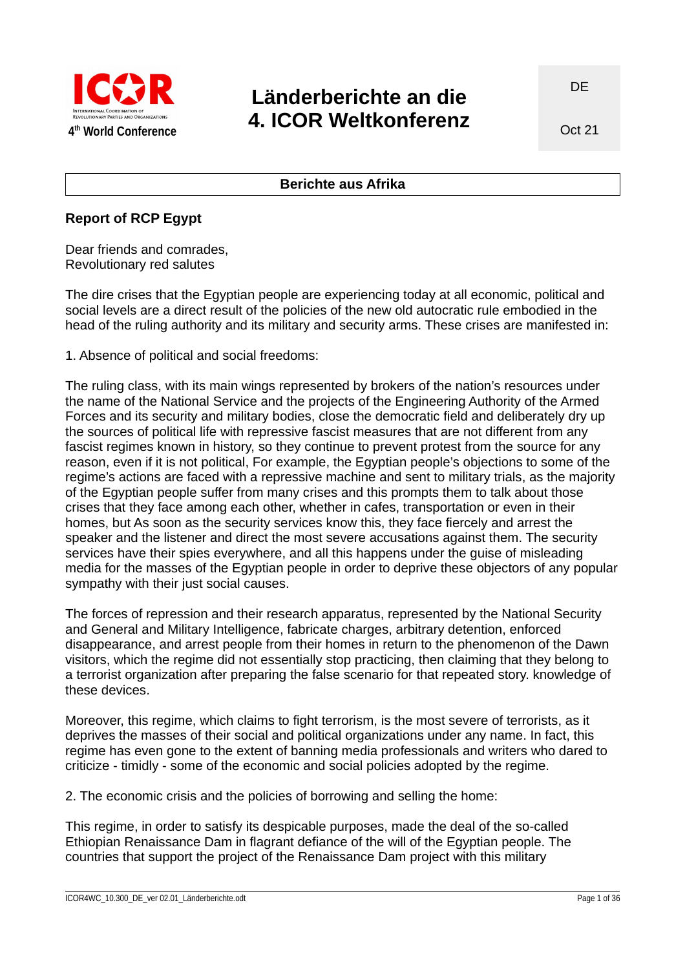

# **Länderberichte an die 4. ICOR Weltkonferenz**

## **Berichte aus Afrika**

## **Report of RCP Egypt**

Dear friends and comrades, Revolutionary red salutes

The dire crises that the Egyptian people are experiencing today at all economic, political and social levels are a direct result of the policies of the new old autocratic rule embodied in the head of the ruling authority and its military and security arms. These crises are manifested in:

1. Absence of political and social freedoms:

The ruling class, with its main wings represented by brokers of the nation's resources under the name of the National Service and the projects of the Engineering Authority of the Armed Forces and its security and military bodies, close the democratic field and deliberately dry up the sources of political life with repressive fascist measures that are not different from any fascist regimes known in history, so they continue to prevent protest from the source for any reason, even if it is not political, For example, the Egyptian people's objections to some of the regime's actions are faced with a repressive machine and sent to military trials, as the majority of the Egyptian people suffer from many crises and this prompts them to talk about those crises that they face among each other, whether in cafes, transportation or even in their homes, but As soon as the security services know this, they face fiercely and arrest the speaker and the listener and direct the most severe accusations against them. The security services have their spies everywhere, and all this happens under the guise of misleading media for the masses of the Egyptian people in order to deprive these objectors of any popular sympathy with their just social causes.

The forces of repression and their research apparatus, represented by the National Security and General and Military Intelligence, fabricate charges, arbitrary detention, enforced disappearance, and arrest people from their homes in return to the phenomenon of the Dawn visitors, which the regime did not essentially stop practicing, then claiming that they belong to a terrorist organization after preparing the false scenario for that repeated story. knowledge of these devices.

Moreover, this regime, which claims to fight terrorism, is the most severe of terrorists, as it deprives the masses of their social and political organizations under any name. In fact, this regime has even gone to the extent of banning media professionals and writers who dared to criticize - timidly - some of the economic and social policies adopted by the regime.

2. The economic crisis and the policies of borrowing and selling the home:

This regime, in order to satisfy its despicable purposes, made the deal of the so-called Ethiopian Renaissance Dam in flagrant defiance of the will of the Egyptian people. The countries that support the project of the Renaissance Dam project with this military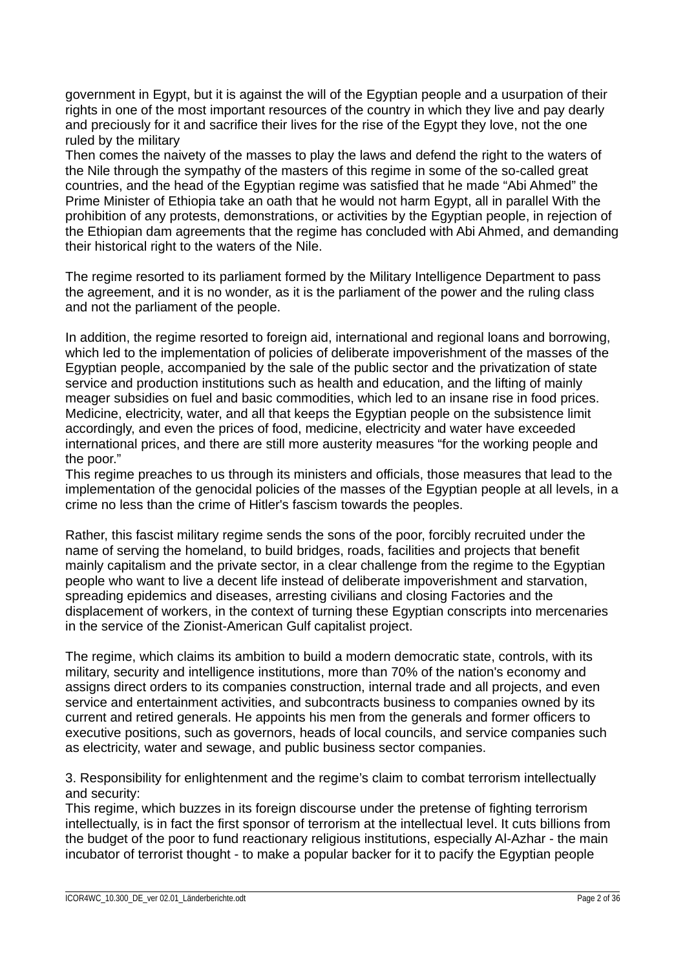government in Egypt, but it is against the will of the Egyptian people and a usurpation of their rights in one of the most important resources of the country in which they live and pay dearly and preciously for it and sacrifice their lives for the rise of the Egypt they love, not the one ruled by the military

Then comes the naivety of the masses to play the laws and defend the right to the waters of the Nile through the sympathy of the masters of this regime in some of the so-called great countries, and the head of the Egyptian regime was satisfied that he made "Abi Ahmed" the Prime Minister of Ethiopia take an oath that he would not harm Egypt, all in parallel With the prohibition of any protests, demonstrations, or activities by the Egyptian people, in rejection of the Ethiopian dam agreements that the regime has concluded with Abi Ahmed, and demanding their historical right to the waters of the Nile.

The regime resorted to its parliament formed by the Military Intelligence Department to pass the agreement, and it is no wonder, as it is the parliament of the power and the ruling class and not the parliament of the people.

In addition, the regime resorted to foreign aid, international and regional loans and borrowing, which led to the implementation of policies of deliberate impoverishment of the masses of the Egyptian people, accompanied by the sale of the public sector and the privatization of state service and production institutions such as health and education, and the lifting of mainly meager subsidies on fuel and basic commodities, which led to an insane rise in food prices. Medicine, electricity, water, and all that keeps the Egyptian people on the subsistence limit accordingly, and even the prices of food, medicine, electricity and water have exceeded international prices, and there are still more austerity measures "for the working people and the poor."

This regime preaches to us through its ministers and officials, those measures that lead to the implementation of the genocidal policies of the masses of the Egyptian people at all levels, in a crime no less than the crime of Hitler's fascism towards the peoples.

Rather, this fascist military regime sends the sons of the poor, forcibly recruited under the name of serving the homeland, to build bridges, roads, facilities and projects that benefit mainly capitalism and the private sector, in a clear challenge from the regime to the Egyptian people who want to live a decent life instead of deliberate impoverishment and starvation, spreading epidemics and diseases, arresting civilians and closing Factories and the displacement of workers, in the context of turning these Egyptian conscripts into mercenaries in the service of the Zionist-American Gulf capitalist project.

The regime, which claims its ambition to build a modern democratic state, controls, with its military, security and intelligence institutions, more than 70% of the nation's economy and assigns direct orders to its companies construction, internal trade and all projects, and even service and entertainment activities, and subcontracts business to companies owned by its current and retired generals. He appoints his men from the generals and former officers to executive positions, such as governors, heads of local councils, and service companies such as electricity, water and sewage, and public business sector companies.

3. Responsibility for enlightenment and the regime's claim to combat terrorism intellectually and security:

This regime, which buzzes in its foreign discourse under the pretense of fighting terrorism intellectually, is in fact the first sponsor of terrorism at the intellectual level. It cuts billions from the budget of the poor to fund reactionary religious institutions, especially Al-Azhar - the main incubator of terrorist thought - to make a popular backer for it to pacify the Egyptian people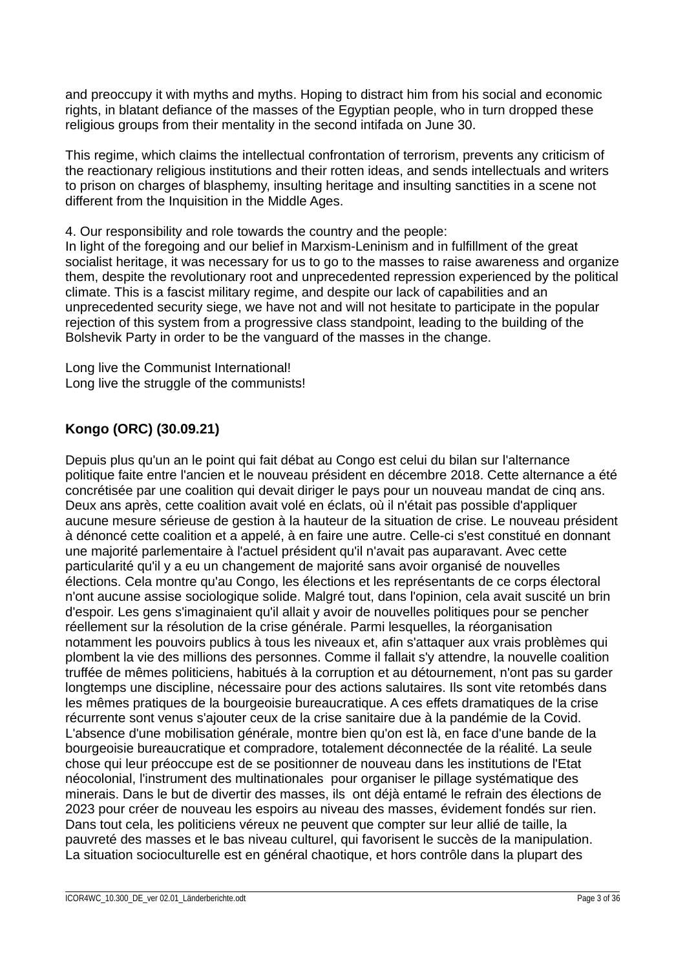and preoccupy it with myths and myths. Hoping to distract him from his social and economic rights, in blatant defiance of the masses of the Egyptian people, who in turn dropped these religious groups from their mentality in the second intifada on June 30.

This regime, which claims the intellectual confrontation of terrorism, prevents any criticism of the reactionary religious institutions and their rotten ideas, and sends intellectuals and writers to prison on charges of blasphemy, insulting heritage and insulting sanctities in a scene not different from the Inquisition in the Middle Ages.

4. Our responsibility and role towards the country and the people:

In light of the foregoing and our belief in Marxism-Leninism and in fulfillment of the great socialist heritage, it was necessary for us to go to the masses to raise awareness and organize them, despite the revolutionary root and unprecedented repression experienced by the political climate. This is a fascist military regime, and despite our lack of capabilities and an unprecedented security siege, we have not and will not hesitate to participate in the popular rejection of this system from a progressive class standpoint, leading to the building of the Bolshevik Party in order to be the vanguard of the masses in the change.

Long live the Communist International! Long live the struggle of the communists!

# **Kongo (ORC) (30.09.21)**

Depuis plus qu'un an le point qui fait débat au Congo est celui du bilan sur l'alternance politique faite entre l'ancien et le nouveau président en décembre 2018. Cette alternance a été concrétisée par une coalition qui devait diriger le pays pour un nouveau mandat de cinq ans. Deux ans après, cette coalition avait volé en éclats, où il n'était pas possible d'appliquer aucune mesure sérieuse de gestion à la hauteur de la situation de crise. Le nouveau président à dénoncé cette coalition et a appelé, à en faire une autre. Celle-ci s'est constitué en donnant une majorité parlementaire à l'actuel président qu'il n'avait pas auparavant. Avec cette particularité qu'il y a eu un changement de majorité sans avoir organisé de nouvelles élections. Cela montre qu'au Congo, les élections et les représentants de ce corps électoral n'ont aucune assise sociologique solide. Malgré tout, dans l'opinion, cela avait suscité un brin d'espoir. Les gens s'imaginaient qu'il allait y avoir de nouvelles politiques pour se pencher réellement sur la résolution de la crise générale. Parmi lesquelles, la réorganisation notamment les pouvoirs publics à tous les niveaux et, afin s'attaquer aux vrais problèmes qui plombent la vie des millions des personnes. Comme il fallait s'y attendre, la nouvelle coalition truffée de mêmes politiciens, habitués à la corruption et au détournement, n'ont pas su garder longtemps une discipline, nécessaire pour des actions salutaires. Ils sont vite retombés dans les mêmes pratiques de la bourgeoisie bureaucratique. A ces effets dramatiques de la crise récurrente sont venus s'ajouter ceux de la crise sanitaire due à la pandémie de la Covid. L'absence d'une mobilisation générale, montre bien qu'on est là, en face d'une bande de la bourgeoisie bureaucratique et compradore, totalement déconnectée de la réalité. La seule chose qui leur préoccupe est de se positionner de nouveau dans les institutions de l'Etat néocolonial, l'instrument des multinationales pour organiser le pillage systématique des minerais. Dans le but de divertir des masses, ils ont déjà entamé le refrain des élections de 2023 pour créer de nouveau les espoirs au niveau des masses, évidement fondés sur rien. Dans tout cela, les politiciens véreux ne peuvent que compter sur leur allié de taille, la pauvreté des masses et le bas niveau culturel, qui favorisent le succès de la manipulation. La situation socioculturelle est en général chaotique, et hors contrôle dans la plupart des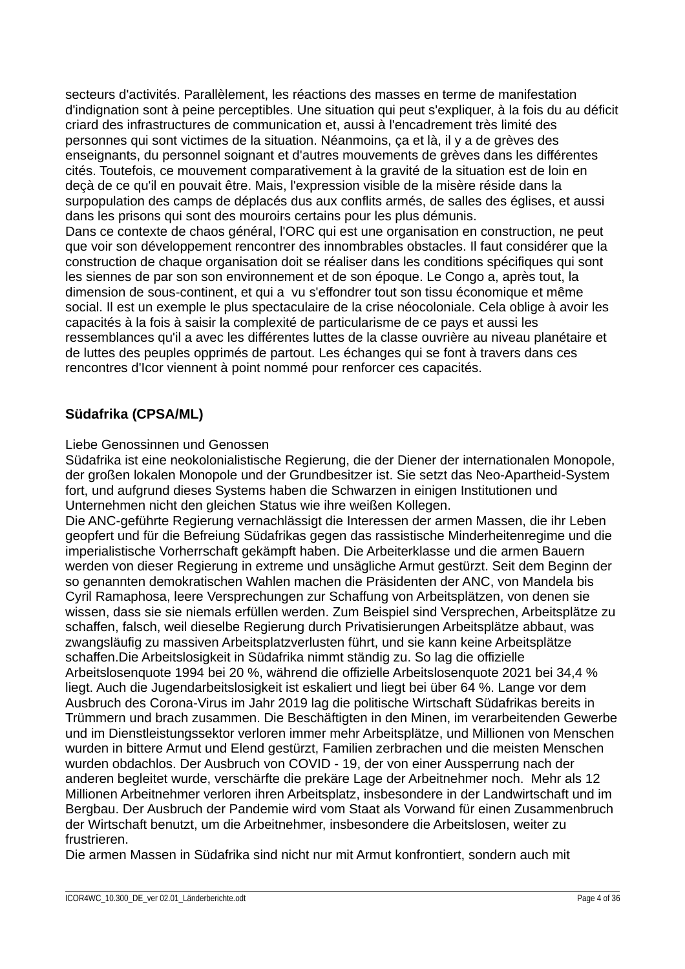secteurs d'activités. Parallèlement, les réactions des masses en terme de manifestation d'indignation sont à peine perceptibles. Une situation qui peut s'expliquer, à la fois du au déficit criard des infrastructures de communication et, aussi à l'encadrement très limité des personnes qui sont victimes de la situation. Néanmoins, ça et là, il y a de grèves des enseignants, du personnel soignant et d'autres mouvements de grèves dans les différentes cités. Toutefois, ce mouvement comparativement à la gravité de la situation est de loin en deçà de ce qu'il en pouvait être. Mais, l'expression visible de la misère réside dans la surpopulation des camps de déplacés dus aux conflits armés, de salles des églises, et aussi dans les prisons qui sont des mouroirs certains pour les plus démunis. Dans ce contexte de chaos général, l'ORC qui est une organisation en construction, ne peut que voir son développement rencontrer des innombrables obstacles. Il faut considérer que la construction de chaque organisation doit se réaliser dans les conditions spécifiques qui sont les siennes de par son son environnement et de son époque. Le Congo a, après tout, la dimension de sous-continent, et qui a vu s'effondrer tout son tissu économique et même social. Il est un exemple le plus spectaculaire de la crise néocoloniale. Cela oblige à avoir les capacités à la fois à saisir la complexité de particularisme de ce pays et aussi les ressemblances qu'il a avec les différentes luttes de la classe ouvrière au niveau planétaire et de luttes des peuples opprimés de partout. Les échanges qui se font à travers dans ces rencontres d'Icor viennent à point nommé pour renforcer ces capacités.

# **Südafrika (CPSA/ML)**

## Liebe Genossinnen und Genossen

Südafrika ist eine neokolonialistische Regierung, die der Diener der internationalen Monopole, der großen lokalen Monopole und der Grundbesitzer ist. Sie setzt das Neo-Apartheid-System fort, und aufgrund dieses Systems haben die Schwarzen in einigen Institutionen und Unternehmen nicht den gleichen Status wie ihre weißen Kollegen.

Die ANC-geführte Regierung vernachlässigt die Interessen der armen Massen, die ihr Leben geopfert und für die Befreiung Südafrikas gegen das rassistische Minderheitenregime und die imperialistische Vorherrschaft gekämpft haben. Die Arbeiterklasse und die armen Bauern werden von dieser Regierung in extreme und unsägliche Armut gestürzt. Seit dem Beginn der so genannten demokratischen Wahlen machen die Präsidenten der ANC, von Mandela bis Cyril Ramaphosa, leere Versprechungen zur Schaffung von Arbeitsplätzen, von denen sie wissen, dass sie sie niemals erfüllen werden. Zum Beispiel sind Versprechen, Arbeitsplätze zu schaffen, falsch, weil dieselbe Regierung durch Privatisierungen Arbeitsplätze abbaut, was zwangsläufig zu massiven Arbeitsplatzverlusten führt, und sie kann keine Arbeitsplätze schaffen.Die Arbeitslosigkeit in Südafrika nimmt ständig zu. So lag die offizielle Arbeitslosenquote 1994 bei 20 %, während die offizielle Arbeitslosenquote 2021 bei 34,4 % liegt. Auch die Jugendarbeitslosigkeit ist eskaliert und liegt bei über 64 %. Lange vor dem Ausbruch des Corona-Virus im Jahr 2019 lag die politische Wirtschaft Südafrikas bereits in Trümmern und brach zusammen. Die Beschäftigten in den Minen, im verarbeitenden Gewerbe und im Dienstleistungssektor verloren immer mehr Arbeitsplätze, und Millionen von Menschen wurden in bittere Armut und Elend gestürzt, Familien zerbrachen und die meisten Menschen wurden obdachlos. Der Ausbruch von COVID - 19, der von einer Aussperrung nach der anderen begleitet wurde, verschärfte die prekäre Lage der Arbeitnehmer noch. Mehr als 12 Millionen Arbeitnehmer verloren ihren Arbeitsplatz, insbesondere in der Landwirtschaft und im Bergbau. Der Ausbruch der Pandemie wird vom Staat als Vorwand für einen Zusammenbruch der Wirtschaft benutzt, um die Arbeitnehmer, insbesondere die Arbeitslosen, weiter zu frustrieren.

Die armen Massen in Südafrika sind nicht nur mit Armut konfrontiert, sondern auch mit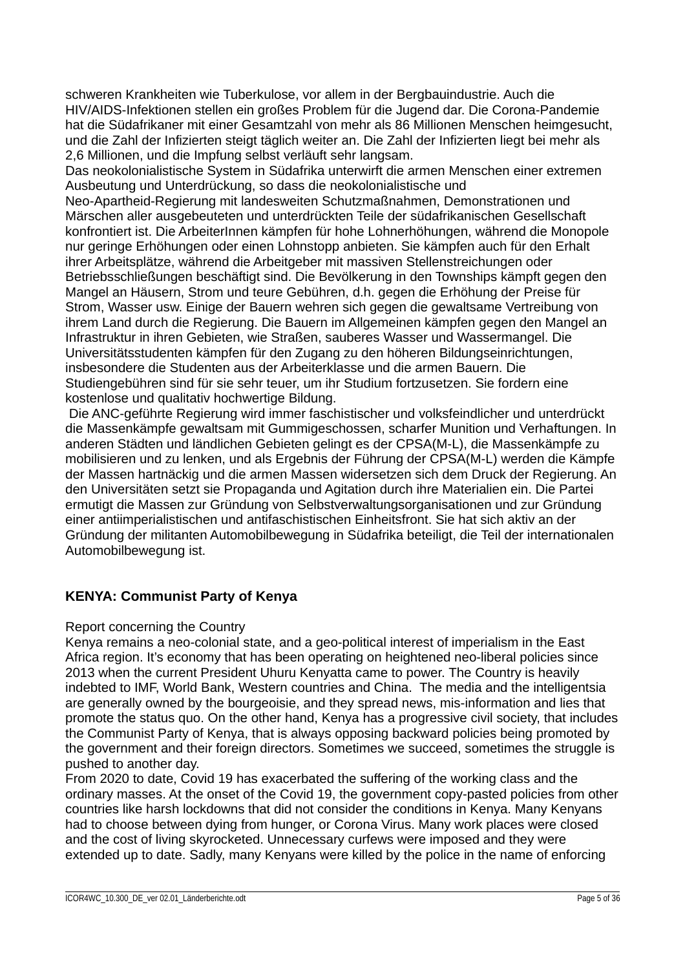schweren Krankheiten wie Tuberkulose, vor allem in der Bergbauindustrie. Auch die HIV/AIDS-Infektionen stellen ein großes Problem für die Jugend dar. Die Corona-Pandemie hat die Südafrikaner mit einer Gesamtzahl von mehr als 86 Millionen Menschen heimgesucht, und die Zahl der Infizierten steigt täglich weiter an. Die Zahl der Infizierten liegt bei mehr als 2,6 Millionen, und die Impfung selbst verläuft sehr langsam.

Das neokolonialistische System in Südafrika unterwirft die armen Menschen einer extremen Ausbeutung und Unterdrückung, so dass die neokolonialistische und

Neo-Apartheid-Regierung mit landesweiten Schutzmaßnahmen, Demonstrationen und Märschen aller ausgebeuteten und unterdrückten Teile der südafrikanischen Gesellschaft konfrontiert ist. Die ArbeiterInnen kämpfen für hohe Lohnerhöhungen, während die Monopole nur geringe Erhöhungen oder einen Lohnstopp anbieten. Sie kämpfen auch für den Erhalt ihrer Arbeitsplätze, während die Arbeitgeber mit massiven Stellenstreichungen oder Betriebsschließungen beschäftigt sind. Die Bevölkerung in den Townships kämpft gegen den Mangel an Häusern, Strom und teure Gebühren, d.h. gegen die Erhöhung der Preise für Strom, Wasser usw. Einige der Bauern wehren sich gegen die gewaltsame Vertreibung von ihrem Land durch die Regierung. Die Bauern im Allgemeinen kämpfen gegen den Mangel an Infrastruktur in ihren Gebieten, wie Straßen, sauberes Wasser und Wassermangel. Die Universitätsstudenten kämpfen für den Zugang zu den höheren Bildungseinrichtungen, insbesondere die Studenten aus der Arbeiterklasse und die armen Bauern. Die Studiengebühren sind für sie sehr teuer, um ihr Studium fortzusetzen. Sie fordern eine kostenlose und qualitativ hochwertige Bildung.

 Die ANC-geführte Regierung wird immer faschistischer und volksfeindlicher und unterdrückt die Massenkämpfe gewaltsam mit Gummigeschossen, scharfer Munition und Verhaftungen. In anderen Städten und ländlichen Gebieten gelingt es der CPSA(M-L), die Massenkämpfe zu mobilisieren und zu lenken, und als Ergebnis der Führung der CPSA(M-L) werden die Kämpfe der Massen hartnäckig und die armen Massen widersetzen sich dem Druck der Regierung. An den Universitäten setzt sie Propaganda und Agitation durch ihre Materialien ein. Die Partei ermutigt die Massen zur Gründung von Selbstverwaltungsorganisationen und zur Gründung einer antiimperialistischen und antifaschistischen Einheitsfront. Sie hat sich aktiv an der Gründung der militanten Automobilbewegung in Südafrika beteiligt, die Teil der internationalen Automobilbewegung ist.

# **KENYA: Communist Party of Kenya**

## Report concerning the Country

Kenya remains a neo-colonial state, and a geo-political interest of imperialism in the East Africa region. It's economy that has been operating on heightened neo-liberal policies since 2013 when the current President Uhuru Kenyatta came to power. The Country is heavily indebted to IMF, World Bank, Western countries and China. The media and the intelligentsia are generally owned by the bourgeoisie, and they spread news, mis-information and lies that promote the status quo. On the other hand, Kenya has a progressive civil society, that includes the Communist Party of Kenya, that is always opposing backward policies being promoted by the government and their foreign directors. Sometimes we succeed, sometimes the struggle is pushed to another day.

From 2020 to date, Covid 19 has exacerbated the suffering of the working class and the ordinary masses. At the onset of the Covid 19, the government copy-pasted policies from other countries like harsh lockdowns that did not consider the conditions in Kenya. Many Kenyans had to choose between dying from hunger, or Corona Virus. Many work places were closed and the cost of living skyrocketed. Unnecessary curfews were imposed and they were extended up to date. Sadly, many Kenyans were killed by the police in the name of enforcing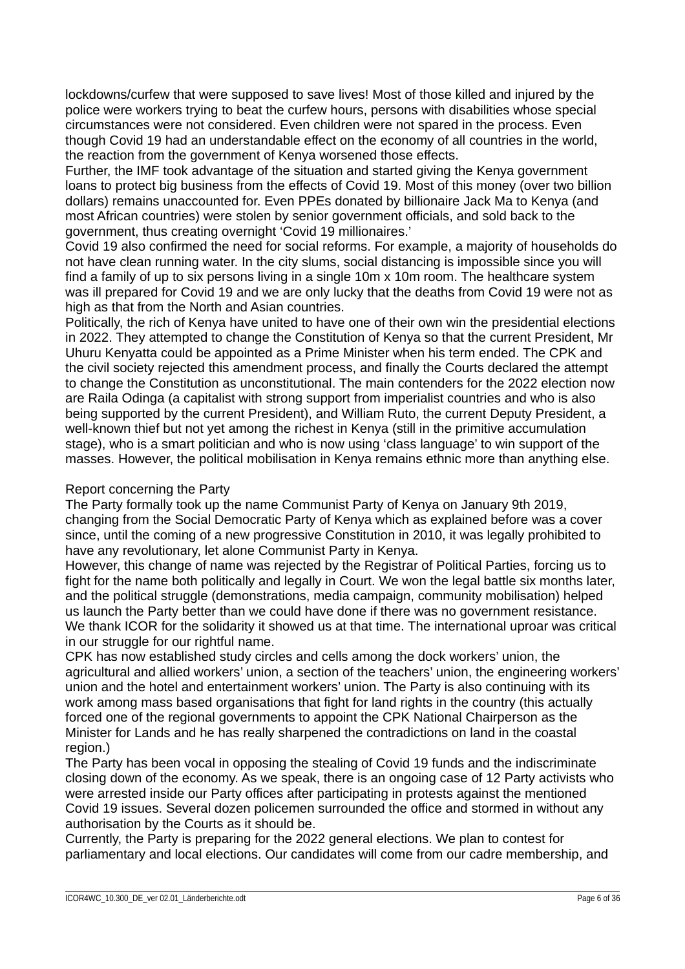lockdowns/curfew that were supposed to save lives! Most of those killed and injured by the police were workers trying to beat the curfew hours, persons with disabilities whose special circumstances were not considered. Even children were not spared in the process. Even though Covid 19 had an understandable effect on the economy of all countries in the world, the reaction from the government of Kenya worsened those effects.

Further, the IMF took advantage of the situation and started giving the Kenya government loans to protect big business from the effects of Covid 19. Most of this money (over two billion dollars) remains unaccounted for. Even PPEs donated by billionaire Jack Ma to Kenya (and most African countries) were stolen by senior government officials, and sold back to the government, thus creating overnight 'Covid 19 millionaires.'

Covid 19 also confirmed the need for social reforms. For example, a majority of households do not have clean running water. In the city slums, social distancing is impossible since you will find a family of up to six persons living in a single 10m x 10m room. The healthcare system was ill prepared for Covid 19 and we are only lucky that the deaths from Covid 19 were not as high as that from the North and Asian countries.

Politically, the rich of Kenya have united to have one of their own win the presidential elections in 2022. They attempted to change the Constitution of Kenya so that the current President, Mr Uhuru Kenyatta could be appointed as a Prime Minister when his term ended. The CPK and the civil society rejected this amendment process, and finally the Courts declared the attempt to change the Constitution as unconstitutional. The main contenders for the 2022 election now are Raila Odinga (a capitalist with strong support from imperialist countries and who is also being supported by the current President), and William Ruto, the current Deputy President, a well-known thief but not yet among the richest in Kenya (still in the primitive accumulation stage), who is a smart politician and who is now using 'class language' to win support of the masses. However, the political mobilisation in Kenya remains ethnic more than anything else.

## Report concerning the Party

The Party formally took up the name Communist Party of Kenya on January 9th 2019, changing from the Social Democratic Party of Kenya which as explained before was a cover since, until the coming of a new progressive Constitution in 2010, it was legally prohibited to have any revolutionary, let alone Communist Party in Kenya.

However, this change of name was rejected by the Registrar of Political Parties, forcing us to fight for the name both politically and legally in Court. We won the legal battle six months later, and the political struggle (demonstrations, media campaign, community mobilisation) helped us launch the Party better than we could have done if there was no government resistance. We thank ICOR for the solidarity it showed us at that time. The international uproar was critical in our struggle for our rightful name.

CPK has now established study circles and cells among the dock workers' union, the agricultural and allied workers' union, a section of the teachers' union, the engineering workers' union and the hotel and entertainment workers' union. The Party is also continuing with its work among mass based organisations that fight for land rights in the country (this actually forced one of the regional governments to appoint the CPK National Chairperson as the Minister for Lands and he has really sharpened the contradictions on land in the coastal region.)

The Party has been vocal in opposing the stealing of Covid 19 funds and the indiscriminate closing down of the economy. As we speak, there is an ongoing case of 12 Party activists who were arrested inside our Party offices after participating in protests against the mentioned Covid 19 issues. Several dozen policemen surrounded the office and stormed in without any authorisation by the Courts as it should be.

Currently, the Party is preparing for the 2022 general elections. We plan to contest for parliamentary and local elections. Our candidates will come from our cadre membership, and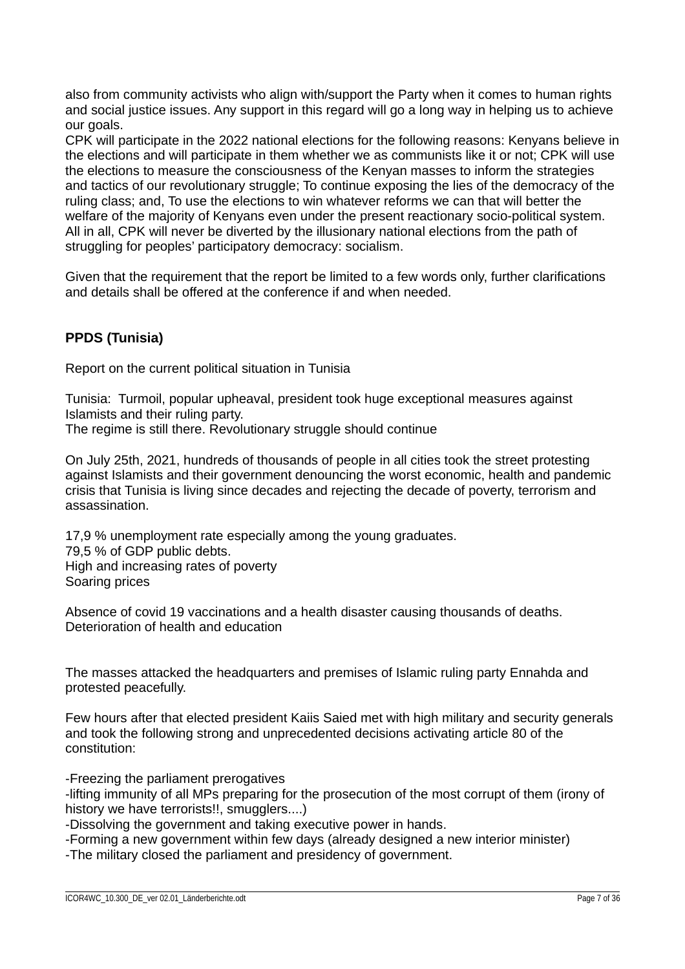also from community activists who align with/support the Party when it comes to human rights and social justice issues. Any support in this regard will go a long way in helping us to achieve our goals.

CPK will participate in the 2022 national elections for the following reasons: Kenyans believe in the elections and will participate in them whether we as communists like it or not; CPK will use the elections to measure the consciousness of the Kenyan masses to inform the strategies and tactics of our revolutionary struggle; To continue exposing the lies of the democracy of the ruling class; and, To use the elections to win whatever reforms we can that will better the welfare of the majority of Kenyans even under the present reactionary socio-political system. All in all, CPK will never be diverted by the illusionary national elections from the path of struggling for peoples' participatory democracy: socialism.

Given that the requirement that the report be limited to a few words only, further clarifications and details shall be offered at the conference if and when needed.

# **PPDS (Tunisia)**

Report on the current political situation in Tunisia

Tunisia: Turmoil, popular upheaval, president took huge exceptional measures against Islamists and their ruling party. The regime is still there. Revolutionary struggle should continue

On July 25th, 2021, hundreds of thousands of people in all cities took the street protesting against Islamists and their government denouncing the worst economic, health and pandemic crisis that Tunisia is living since decades and rejecting the decade of poverty, terrorism and assassination.

17.9 % unemployment rate especially among the young graduates. 79,5 % of GDP public debts. High and increasing rates of poverty Soaring prices

Absence of covid 19 vaccinations and a health disaster causing thousands of deaths. Deterioration of health and education

The masses attacked the headquarters and premises of Islamic ruling party Ennahda and protested peacefully.

Few hours after that elected president Kaiis Saied met with high military and security generals and took the following strong and unprecedented decisions activating article 80 of the constitution:

-Freezing the parliament prerogatives

-lifting immunity of all MPs preparing for the prosecution of the most corrupt of them (irony of history we have terrorists!!, smugglers....)

-Dissolving the government and taking executive power in hands.

-Forming a new government within few days (already designed a new interior minister)

-The military closed the parliament and presidency of government.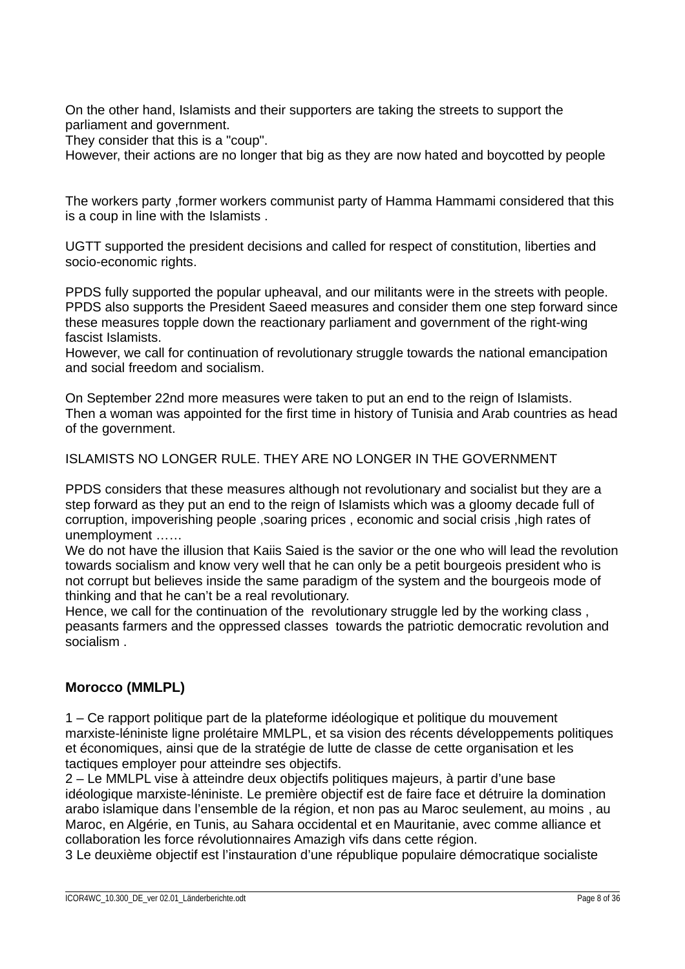On the other hand, Islamists and their supporters are taking the streets to support the parliament and government.

They consider that this is a "coup".

However, their actions are no longer that big as they are now hated and boycotted by people

The workers party ,former workers communist party of Hamma Hammami considered that this is a coup in line with the Islamists .

UGTT supported the president decisions and called for respect of constitution, liberties and socio-economic rights.

PPDS fully supported the popular upheaval, and our militants were in the streets with people. PPDS also supports the President Saeed measures and consider them one step forward since these measures topple down the reactionary parliament and government of the right-wing fascist Islamists.

However, we call for continuation of revolutionary struggle towards the national emancipation and social freedom and socialism.

On September 22nd more measures were taken to put an end to the reign of Islamists. Then a woman was appointed for the first time in history of Tunisia and Arab countries as head of the government.

ISLAMISTS NO LONGER RULE. THEY ARE NO LONGER IN THE GOVERNMENT

PPDS considers that these measures although not revolutionary and socialist but they are a step forward as they put an end to the reign of Islamists which was a gloomy decade full of corruption, impoverishing people ,soaring prices , economic and social crisis ,high rates of unemployment ……

We do not have the illusion that Kaiis Saied is the savior or the one who will lead the revolution towards socialism and know very well that he can only be a petit bourgeois president who is not corrupt but believes inside the same paradigm of the system and the bourgeois mode of thinking and that he can't be a real revolutionary.

Hence, we call for the continuation of the revolutionary struggle led by the working class , peasants farmers and the oppressed classes towards the patriotic democratic revolution and socialism .

## **Morocco (MMLPL)**

1 – Ce rapport politique part de la plateforme idéologique et politique du mouvement marxiste-léniniste ligne prolétaire MMLPL, et sa vision des récents développements politiques et économiques, ainsi que de la stratégie de lutte de classe de cette organisation et les tactiques employer pour atteindre ses objectifs.

2 – Le MMLPL vise à atteindre deux objectifs politiques majeurs, à partir d'une base idéologique marxiste-léniniste. Le première objectif est de faire face et détruire la domination arabo islamique dans l'ensemble de la région, et non pas au Maroc seulement, au moins , au Maroc, en Algérie, en Tunis, au Sahara occidental et en Mauritanie, avec comme alliance et collaboration les force révolutionnaires Amazigh vifs dans cette région.

3 Le deuxième objectif est l'instauration d'une république populaire démocratique socialiste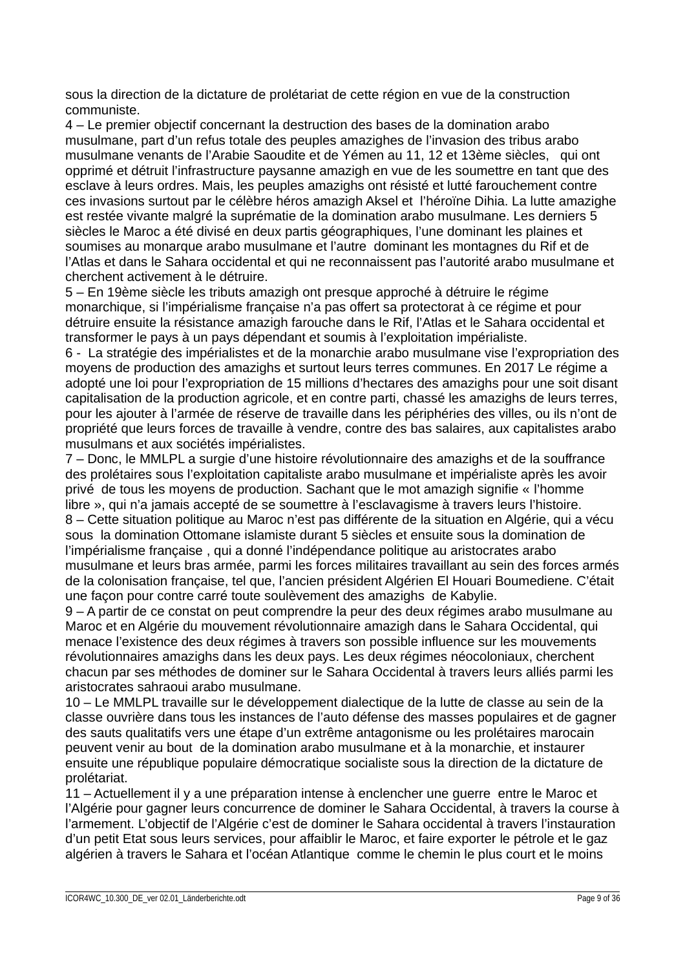sous la direction de la dictature de prolétariat de cette région en vue de la construction communiste.

4 – Le premier objectif concernant la destruction des bases de la domination arabo musulmane, part d'un refus totale des peuples amazighes de l'invasion des tribus arabo musulmane venants de l'Arabie Saoudite et de Yémen au 11, 12 et 13ème siècles, qui ont opprimé et détruit l'infrastructure paysanne amazigh en vue de les soumettre en tant que des esclave à leurs ordres. Mais, les peuples amazighs ont résisté et lutté farouchement contre ces invasions surtout par le célèbre héros amazigh Aksel et l'héroïne Dihia. La lutte amazighe est restée vivante malgré la suprématie de la domination arabo musulmane. Les derniers 5 siècles le Maroc a été divisé en deux partis géographiques, l'une dominant les plaines et soumises au monarque arabo musulmane et l'autre dominant les montagnes du Rif et de l'Atlas et dans le Sahara occidental et qui ne reconnaissent pas l'autorité arabo musulmane et cherchent activement à le détruire.

5 – En 19ème siècle les tributs amazigh ont presque approché à détruire le régime monarchique, si l'impérialisme française n'a pas offert sa protectorat à ce régime et pour détruire ensuite la résistance amazigh farouche dans le Rif, l'Atlas et le Sahara occidental et transformer le pays à un pays dépendant et soumis à l'exploitation impérialiste.

6 - La stratégie des impérialistes et de la monarchie arabo musulmane vise l'expropriation des moyens de production des amazighs et surtout leurs terres communes. En 2017 Le régime a adopté une loi pour l'expropriation de 15 millions d'hectares des amazighs pour une soit disant capitalisation de la production agricole, et en contre parti, chassé les amazighs de leurs terres, pour les ajouter à l'armée de réserve de travaille dans les périphéries des villes, ou ils n'ont de propriété que leurs forces de travaille à vendre, contre des bas salaires, aux capitalistes arabo musulmans et aux sociétés impérialistes.

7 – Donc, le MMLPL a surgie d'une histoire révolutionnaire des amazighs et de la souffrance des prolétaires sous l'exploitation capitaliste arabo musulmane et impérialiste après les avoir privé de tous les moyens de production. Sachant que le mot amazigh signifie « l'homme libre », qui n'a jamais accepté de se soumettre à l'esclavagisme à travers leurs l'histoire. 8 – Cette situation politique au Maroc n'est pas différente de la situation en Algérie, qui a vécu sous la domination Ottomane islamiste durant 5 siècles et ensuite sous la domination de l'impérialisme française , qui a donné l'indépendance politique au aristocrates arabo musulmane et leurs bras armée, parmi les forces militaires travaillant au sein des forces armés de la colonisation française, tel que, l'ancien président Algérien El Houari Boumediene. C'était une façon pour contre carré toute soulèvement des amazighs de Kabylie.

9 – A partir de ce constat on peut comprendre la peur des deux régimes arabo musulmane au Maroc et en Algérie du mouvement révolutionnaire amazigh dans le Sahara Occidental, qui menace l'existence des deux régimes à travers son possible influence sur les mouvements révolutionnaires amazighs dans les deux pays. Les deux régimes néocoloniaux, cherchent chacun par ses méthodes de dominer sur le Sahara Occidental à travers leurs alliés parmi les aristocrates sahraoui arabo musulmane.

10 – Le MMLPL travaille sur le développement dialectique de la lutte de classe au sein de la classe ouvrière dans tous les instances de l'auto défense des masses populaires et de gagner des sauts qualitatifs vers une étape d'un extrême antagonisme ou les prolétaires marocain peuvent venir au bout de la domination arabo musulmane et à la monarchie, et instaurer ensuite une république populaire démocratique socialiste sous la direction de la dictature de prolétariat.

11 – Actuellement il y a une préparation intense à enclencher une guerre entre le Maroc et l'Algérie pour gagner leurs concurrence de dominer le Sahara Occidental, à travers la course à l'armement. L'objectif de l'Algérie c'est de dominer le Sahara occidental à travers l'instauration d'un petit Etat sous leurs services, pour affaiblir le Maroc, et faire exporter le pétrole et le gaz algérien à travers le Sahara et l'océan Atlantique comme le chemin le plus court et le moins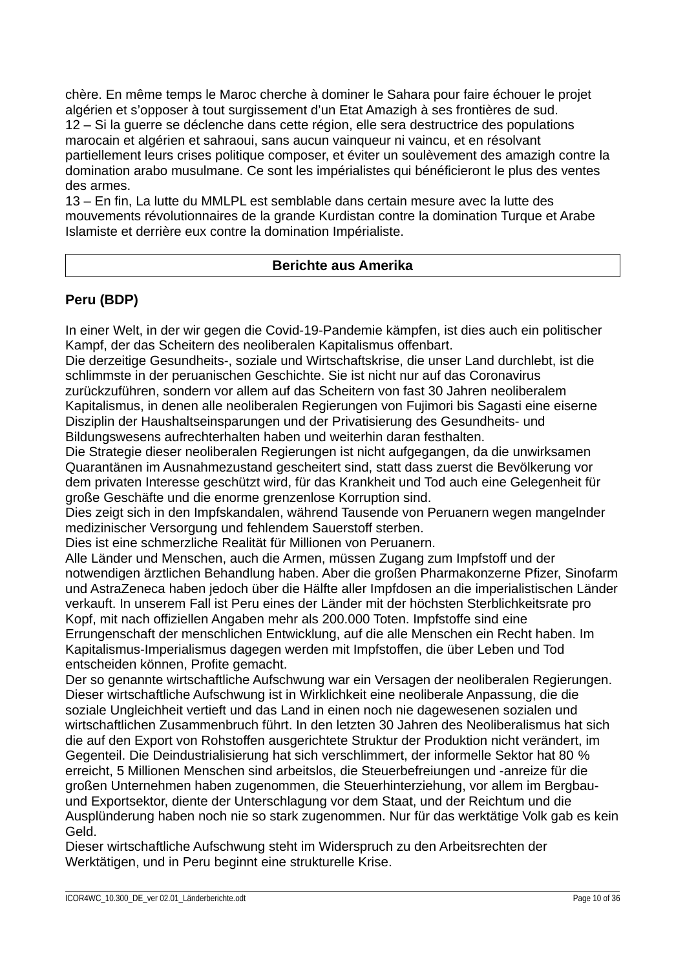chère. En même temps le Maroc cherche à dominer le Sahara pour faire échouer le projet algérien et s'opposer à tout surgissement d'un Etat Amazigh à ses frontières de sud. 12 – Si la guerre se déclenche dans cette région, elle sera destructrice des populations marocain et algérien et sahraoui, sans aucun vainqueur ni vaincu, et en résolvant partiellement leurs crises politique composer, et éviter un soulèvement des amazigh contre la domination arabo musulmane. Ce sont les impérialistes qui bénéficieront le plus des ventes des armes.

13 – En fin, La lutte du MMLPL est semblable dans certain mesure avec la lutte des mouvements révolutionnaires de la grande Kurdistan contre la domination Turque et Arabe Islamiste et derrière eux contre la domination Impérialiste.

## **Berichte aus Amerika**

# **Peru (BDP)**

In einer Welt, in der wir gegen die Covid-19-Pandemie kämpfen, ist dies auch ein politischer Kampf, der das Scheitern des neoliberalen Kapitalismus offenbart.

Die derzeitige Gesundheits-, soziale und Wirtschaftskrise, die unser Land durchlebt, ist die schlimmste in der peruanischen Geschichte. Sie ist nicht nur auf das Coronavirus zurückzuführen, sondern vor allem auf das Scheitern von fast 30 Jahren neoliberalem

Kapitalismus, in denen alle neoliberalen Regierungen von Fujimori bis Sagasti eine eiserne Disziplin der Haushaltseinsparungen und der Privatisierung des Gesundheits- und Bildungswesens aufrechterhalten haben und weiterhin daran festhalten.

Die Strategie dieser neoliberalen Regierungen ist nicht aufgegangen, da die unwirksamen Quarantänen im Ausnahmezustand gescheitert sind, statt dass zuerst die Bevölkerung vor dem privaten Interesse geschützt wird, für das Krankheit und Tod auch eine Gelegenheit für große Geschäfte und die enorme grenzenlose Korruption sind.

Dies zeigt sich in den Impfskandalen, während Tausende von Peruanern wegen mangelnder medizinischer Versorgung und fehlendem Sauerstoff sterben.

Dies ist eine schmerzliche Realität für Millionen von Peruanern.

Alle Länder und Menschen, auch die Armen, müssen Zugang zum Impfstoff und der notwendigen ärztlichen Behandlung haben. Aber die großen Pharmakonzerne Pfizer, Sinofarm und AstraZeneca haben jedoch über die Hälfte aller Impfdosen an die imperialistischen Länder verkauft. In unserem Fall ist Peru eines der Länder mit der höchsten Sterblichkeitsrate pro Kopf, mit nach offiziellen Angaben mehr als 200.000 Toten. Impfstoffe sind eine Errungenschaft der menschlichen Entwicklung, auf die alle Menschen ein Recht haben. Im Kapitalismus-Imperialismus dagegen werden mit Impfstoffen, die über Leben und Tod entscheiden können, Profite gemacht.

Der so genannte wirtschaftliche Aufschwung war ein Versagen der neoliberalen Regierungen. Dieser wirtschaftliche Aufschwung ist in Wirklichkeit eine neoliberale Anpassung, die die soziale Ungleichheit vertieft und das Land in einen noch nie dagewesenen sozialen und wirtschaftlichen Zusammenbruch führt. In den letzten 30 Jahren des Neoliberalismus hat sich die auf den Export von Rohstoffen ausgerichtete Struktur der Produktion nicht verändert, im Gegenteil. Die Deindustrialisierung hat sich verschlimmert, der informelle Sektor hat 80 % erreicht, 5 Millionen Menschen sind arbeitslos, die Steuerbefreiungen und -anreize für die großen Unternehmen haben zugenommen, die Steuerhinterziehung, vor allem im Bergbauund Exportsektor, diente der Unterschlagung vor dem Staat, und der Reichtum und die Ausplünderung haben noch nie so stark zugenommen. Nur für das werktätige Volk gab es kein Geld.

Dieser wirtschaftliche Aufschwung steht im Widerspruch zu den Arbeitsrechten der Werktätigen, und in Peru beginnt eine strukturelle Krise.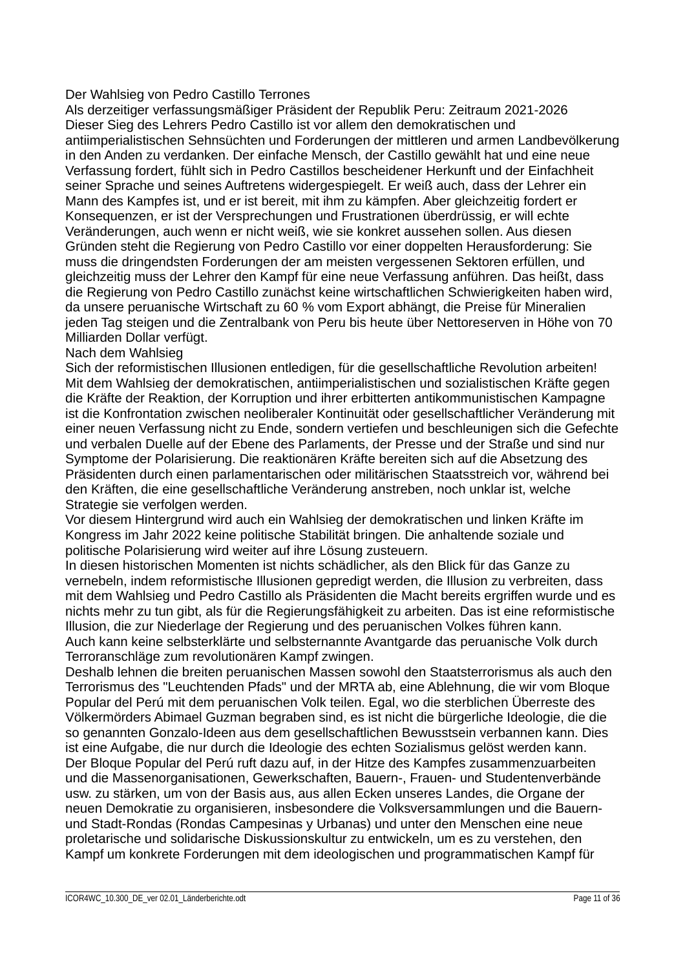#### Der Wahlsieg von Pedro Castillo Terrones

Als derzeitiger verfassungsmäßiger Präsident der Republik Peru: Zeitraum 2021-2026 Dieser Sieg des Lehrers Pedro Castillo ist vor allem den demokratischen und antiimperialistischen Sehnsüchten und Forderungen der mittleren und armen Landbevölkerung in den Anden zu verdanken. Der einfache Mensch, der Castillo gewählt hat und eine neue Verfassung fordert, fühlt sich in Pedro Castillos bescheidener Herkunft und der Einfachheit seiner Sprache und seines Auftretens widergespiegelt. Er weiß auch, dass der Lehrer ein Mann des Kampfes ist, und er ist bereit, mit ihm zu kämpfen. Aber gleichzeitig fordert er Konsequenzen, er ist der Versprechungen und Frustrationen überdrüssig, er will echte Veränderungen, auch wenn er nicht weiß, wie sie konkret aussehen sollen. Aus diesen Gründen steht die Regierung von Pedro Castillo vor einer doppelten Herausforderung: Sie muss die dringendsten Forderungen der am meisten vergessenen Sektoren erfüllen, und gleichzeitig muss der Lehrer den Kampf für eine neue Verfassung anführen. Das heißt, dass die Regierung von Pedro Castillo zunächst keine wirtschaftlichen Schwierigkeiten haben wird, da unsere peruanische Wirtschaft zu 60 % vom Export abhängt, die Preise für Mineralien jeden Tag steigen und die Zentralbank von Peru bis heute über Nettoreserven in Höhe von 70 Milliarden Dollar verfügt.

## Nach dem Wahlsieg

Sich der reformistischen Illusionen entledigen, für die gesellschaftliche Revolution arbeiten! Mit dem Wahlsieg der demokratischen, antiimperialistischen und sozialistischen Kräfte gegen die Kräfte der Reaktion, der Korruption und ihrer erbitterten antikommunistischen Kampagne ist die Konfrontation zwischen neoliberaler Kontinuität oder gesellschaftlicher Veränderung mit einer neuen Verfassung nicht zu Ende, sondern vertiefen und beschleunigen sich die Gefechte und verbalen Duelle auf der Ebene des Parlaments, der Presse und der Straße und sind nur Symptome der Polarisierung. Die reaktionären Kräfte bereiten sich auf die Absetzung des Präsidenten durch einen parlamentarischen oder militärischen Staatsstreich vor, während bei den Kräften, die eine gesellschaftliche Veränderung anstreben, noch unklar ist, welche Strategie sie verfolgen werden.

Vor diesem Hintergrund wird auch ein Wahlsieg der demokratischen und linken Kräfte im Kongress im Jahr 2022 keine politische Stabilität bringen. Die anhaltende soziale und politische Polarisierung wird weiter auf ihre Lösung zusteuern.

In diesen historischen Momenten ist nichts schädlicher, als den Blick für das Ganze zu vernebeln, indem reformistische Illusionen gepredigt werden, die Illusion zu verbreiten, dass mit dem Wahlsieg und Pedro Castillo als Präsidenten die Macht bereits ergriffen wurde und es nichts mehr zu tun gibt, als für die Regierungsfähigkeit zu arbeiten. Das ist eine reformistische Illusion, die zur Niederlage der Regierung und des peruanischen Volkes führen kann. Auch kann keine selbsterklärte und selbsternannte Avantgarde das peruanische Volk durch Terroranschläge zum revolutionären Kampf zwingen.

Deshalb lehnen die breiten peruanischen Massen sowohl den Staatsterrorismus als auch den Terrorismus des "Leuchtenden Pfads" und der MRTA ab, eine Ablehnung, die wir vom Bloque Popular del Perú mit dem peruanischen Volk teilen. Egal, wo die sterblichen Überreste des Völkermörders Abimael Guzman begraben sind, es ist nicht die bürgerliche Ideologie, die die so genannten Gonzalo-Ideen aus dem gesellschaftlichen Bewusstsein verbannen kann. Dies ist eine Aufgabe, die nur durch die Ideologie des echten Sozialismus gelöst werden kann. Der Bloque Popular del Perú ruft dazu auf, in der Hitze des Kampfes zusammenzuarbeiten und die Massenorganisationen, Gewerkschaften, Bauern-, Frauen- und Studentenverbände usw. zu stärken, um von der Basis aus, aus allen Ecken unseres Landes, die Organe der neuen Demokratie zu organisieren, insbesondere die Volksversammlungen und die Bauernund Stadt-Rondas (Rondas Campesinas y Urbanas) und unter den Menschen eine neue proletarische und solidarische Diskussionskultur zu entwickeln, um es zu verstehen, den Kampf um konkrete Forderungen mit dem ideologischen und programmatischen Kampf für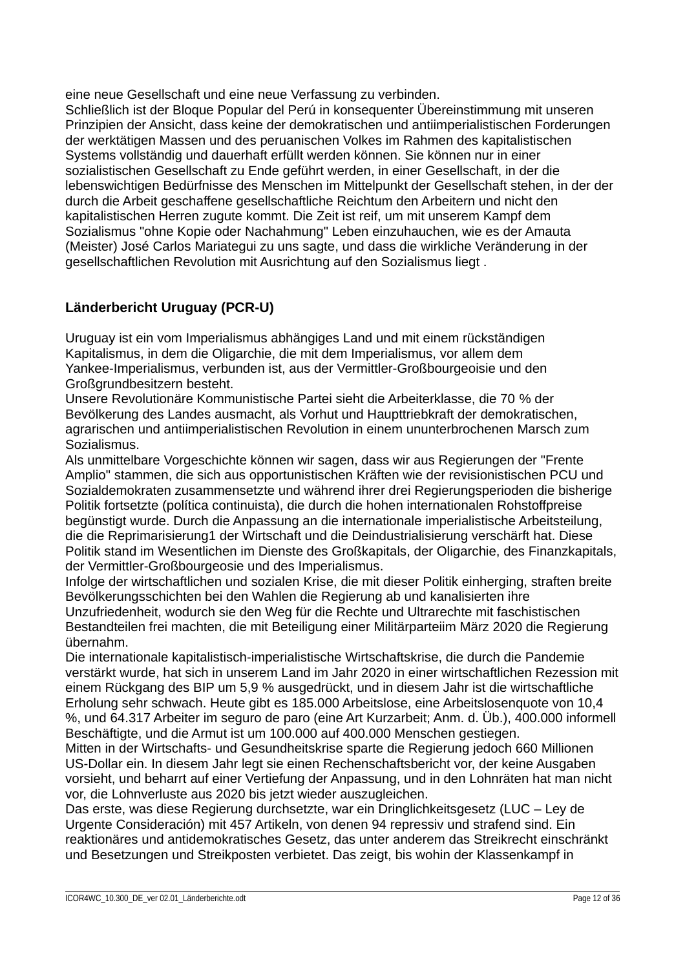eine neue Gesellschaft und eine neue Verfassung zu verbinden.

Schließlich ist der Bloque Popular del Perú in konsequenter Übereinstimmung mit unseren Prinzipien der Ansicht, dass keine der demokratischen und antiimperialistischen Forderungen der werktätigen Massen und des peruanischen Volkes im Rahmen des kapitalistischen Systems vollständig und dauerhaft erfüllt werden können. Sie können nur in einer sozialistischen Gesellschaft zu Ende geführt werden, in einer Gesellschaft, in der die lebenswichtigen Bedürfnisse des Menschen im Mittelpunkt der Gesellschaft stehen, in der der durch die Arbeit geschaffene gesellschaftliche Reichtum den Arbeitern und nicht den kapitalistischen Herren zugute kommt. Die Zeit ist reif, um mit unserem Kampf dem Sozialismus "ohne Kopie oder Nachahmung" Leben einzuhauchen, wie es der Amauta (Meister) José Carlos Mariategui zu uns sagte, und dass die wirkliche Veränderung in der gesellschaftlichen Revolution mit Ausrichtung auf den Sozialismus liegt .

# **Länderbericht Uruguay (PCR-U)**

Uruguay ist ein vom Imperialismus abhängiges Land und mit einem rückständigen Kapitalismus, in dem die Oligarchie, die mit dem Imperialismus, vor allem dem Yankee-Imperialismus, verbunden ist, aus der Vermittler-Großbourgeoisie und den Großgrundbesitzern besteht.

Unsere Revolutionäre Kommunistische Partei sieht die Arbeiterklasse, die 70 % der Bevölkerung des Landes ausmacht, als Vorhut und Haupttriebkraft der demokratischen, agrarischen und antiimperialistischen Revolution in einem ununterbrochenen Marsch zum Sozialismus.

Als unmittelbare Vorgeschichte können wir sagen, dass wir aus Regierungen der "Frente Amplio" stammen, die sich aus opportunistischen Kräften wie der revisionistischen PCU und Sozialdemokraten zusammensetzte und während ihrer drei Regierungsperioden die bisherige Politik fortsetzte (política continuista), die durch die hohen internationalen Rohstoffpreise begünstigt wurde. Durch die Anpassung an die internationale imperialistische Arbeitsteilung, die die Reprimarisierung1 der Wirtschaft und die Deindustrialisierung verschärft hat. Diese Politik stand im Wesentlichen im Dienste des Großkapitals, der Oligarchie, des Finanzkapitals, der Vermittler-Großbourgeosie und des Imperialismus.

Infolge der wirtschaftlichen und sozialen Krise, die mit dieser Politik einherging, straften breite Bevölkerungsschichten bei den Wahlen die Regierung ab und kanalisierten ihre Unzufriedenheit, wodurch sie den Weg für die Rechte und Ultrarechte mit faschistischen Bestandteilen frei machten, die mit Beteiligung einer Militärparteiim März 2020 die Regierung übernahm.

Die internationale kapitalistisch-imperialistische Wirtschaftskrise, die durch die Pandemie verstärkt wurde, hat sich in unserem Land im Jahr 2020 in einer wirtschaftlichen Rezession mit einem Rückgang des BIP um 5,9 % ausgedrückt, und in diesem Jahr ist die wirtschaftliche Erholung sehr schwach. Heute gibt es 185.000 Arbeitslose, eine Arbeitslosenquote von 10,4 %, und 64.317 Arbeiter im seguro de paro (eine Art Kurzarbeit; Anm. d. Üb.), 400.000 informell Beschäftigte, und die Armut ist um 100.000 auf 400.000 Menschen gestiegen.

Mitten in der Wirtschafts- und Gesundheitskrise sparte die Regierung jedoch 660 Millionen US-Dollar ein. In diesem Jahr legt sie einen Rechenschaftsbericht vor, der keine Ausgaben vorsieht, und beharrt auf einer Vertiefung der Anpassung, und in den Lohnräten hat man nicht vor, die Lohnverluste aus 2020 bis jetzt wieder auszugleichen.

Das erste, was diese Regierung durchsetzte, war ein Dringlichkeitsgesetz (LUC – Ley de Urgente Consideración) mit 457 Artikeln, von denen 94 repressiv und strafend sind. Ein reaktionäres und antidemokratisches Gesetz, das unter anderem das Streikrecht einschränkt und Besetzungen und Streikposten verbietet. Das zeigt, bis wohin der Klassenkampf in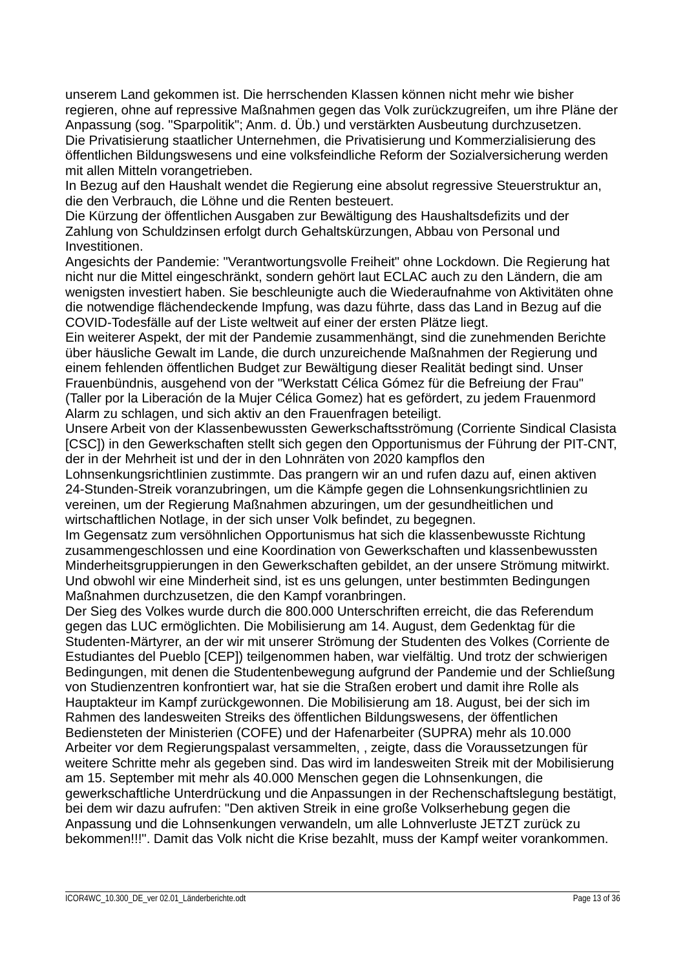unserem Land gekommen ist. Die herrschenden Klassen können nicht mehr wie bisher regieren, ohne auf repressive Maßnahmen gegen das Volk zurückzugreifen, um ihre Pläne der Anpassung (sog. "Sparpolitik"; Anm. d. Üb.) und verstärkten Ausbeutung durchzusetzen. Die Privatisierung staatlicher Unternehmen, die Privatisierung und Kommerzialisierung des öffentlichen Bildungswesens und eine volksfeindliche Reform der Sozialversicherung werden mit allen Mitteln vorangetrieben.

In Bezug auf den Haushalt wendet die Regierung eine absolut regressive Steuerstruktur an, die den Verbrauch, die Löhne und die Renten besteuert.

Die Kürzung der öffentlichen Ausgaben zur Bewältigung des Haushaltsdefizits und der Zahlung von Schuldzinsen erfolgt durch Gehaltskürzungen, Abbau von Personal und Investitionen.

Angesichts der Pandemie: "Verantwortungsvolle Freiheit" ohne Lockdown. Die Regierung hat nicht nur die Mittel eingeschränkt, sondern gehört laut ECLAC auch zu den Ländern, die am wenigsten investiert haben. Sie beschleunigte auch die Wiederaufnahme von Aktivitäten ohne die notwendige flächendeckende Impfung, was dazu führte, dass das Land in Bezug auf die COVID-Todesfälle auf der Liste weltweit auf einer der ersten Plätze liegt.

Ein weiterer Aspekt, der mit der Pandemie zusammenhängt, sind die zunehmenden Berichte über häusliche Gewalt im Lande, die durch unzureichende Maßnahmen der Regierung und einem fehlenden öffentlichen Budget zur Bewältigung dieser Realität bedingt sind. Unser Frauenbündnis, ausgehend von der "Werkstatt Célica Gómez für die Befreiung der Frau" (Taller por la Liberación de la Mujer Célica Gomez) hat es gefördert, zu jedem Frauenmord Alarm zu schlagen, und sich aktiv an den Frauenfragen beteiligt.

Unsere Arbeit von der Klassenbewussten Gewerkschaftsströmung (Corriente Sindical Clasista [CSC]) in den Gewerkschaften stellt sich gegen den Opportunismus der Führung der PIT-CNT, der in der Mehrheit ist und der in den Lohnräten von 2020 kampflos den

Lohnsenkungsrichtlinien zustimmte. Das prangern wir an und rufen dazu auf, einen aktiven 24-Stunden-Streik voranzubringen, um die Kämpfe gegen die Lohnsenkungsrichtlinien zu vereinen, um der Regierung Maßnahmen abzuringen, um der gesundheitlichen und wirtschaftlichen Notlage, in der sich unser Volk befindet, zu begegnen.

Im Gegensatz zum versöhnlichen Opportunismus hat sich die klassenbewusste Richtung zusammengeschlossen und eine Koordination von Gewerkschaften und klassenbewussten Minderheitsgruppierungen in den Gewerkschaften gebildet, an der unsere Strömung mitwirkt. Und obwohl wir eine Minderheit sind, ist es uns gelungen, unter bestimmten Bedingungen Maßnahmen durchzusetzen, die den Kampf voranbringen.

Der Sieg des Volkes wurde durch die 800.000 Unterschriften erreicht, die das Referendum gegen das LUC ermöglichten. Die Mobilisierung am 14. August, dem Gedenktag für die Studenten-Märtyrer, an der wir mit unserer Strömung der Studenten des Volkes (Corriente de Estudiantes del Pueblo [CEP]) teilgenommen haben, war vielfältig. Und trotz der schwierigen Bedingungen, mit denen die Studentenbewegung aufgrund der Pandemie und der Schließung von Studienzentren konfrontiert war, hat sie die Straßen erobert und damit ihre Rolle als Hauptakteur im Kampf zurückgewonnen. Die Mobilisierung am 18. August, bei der sich im Rahmen des landesweiten Streiks des öffentlichen Bildungswesens, der öffentlichen Bediensteten der Ministerien (COFE) und der Hafenarbeiter (SUPRA) mehr als 10.000 Arbeiter vor dem Regierungspalast versammelten, , zeigte, dass die Voraussetzungen für weitere Schritte mehr als gegeben sind. Das wird im landesweiten Streik mit der Mobilisierung am 15. September mit mehr als 40.000 Menschen gegen die Lohnsenkungen, die gewerkschaftliche Unterdrückung und die Anpassungen in der Rechenschaftslegung bestätigt, bei dem wir dazu aufrufen: "Den aktiven Streik in eine große Volkserhebung gegen die Anpassung und die Lohnsenkungen verwandeln, um alle Lohnverluste JETZT zurück zu bekommen!!!". Damit das Volk nicht die Krise bezahlt, muss der Kampf weiter vorankommen.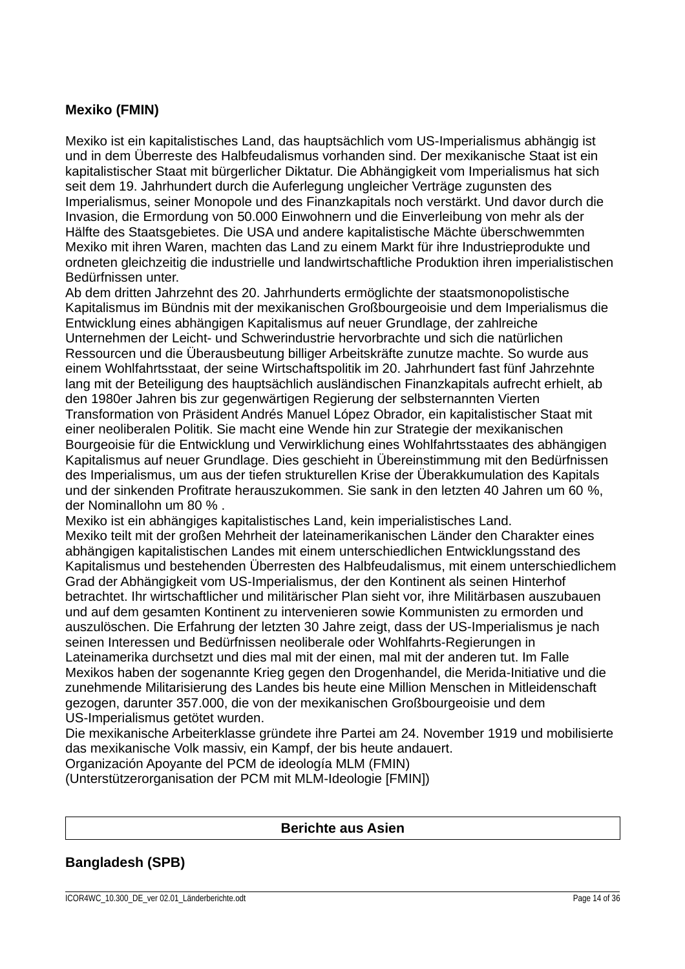## **Mexiko (FMIN)**

Mexiko ist ein kapitalistisches Land, das hauptsächlich vom US-Imperialismus abhängig ist und in dem Überreste des Halbfeudalismus vorhanden sind. Der mexikanische Staat ist ein kapitalistischer Staat mit bürgerlicher Diktatur. Die Abhängigkeit vom Imperialismus hat sich seit dem 19. Jahrhundert durch die Auferlegung ungleicher Verträge zugunsten des Imperialismus, seiner Monopole und des Finanzkapitals noch verstärkt. Und davor durch die Invasion, die Ermordung von 50.000 Einwohnern und die Einverleibung von mehr als der Hälfte des Staatsgebietes. Die USA und andere kapitalistische Mächte überschwemmten Mexiko mit ihren Waren, machten das Land zu einem Markt für ihre Industrieprodukte und ordneten gleichzeitig die industrielle und landwirtschaftliche Produktion ihren imperialistischen Bedürfnissen unter.

Ab dem dritten Jahrzehnt des 20. Jahrhunderts ermöglichte der staatsmonopolistische Kapitalismus im Bündnis mit der mexikanischen Großbourgeoisie und dem Imperialismus die Entwicklung eines abhängigen Kapitalismus auf neuer Grundlage, der zahlreiche Unternehmen der Leicht- und Schwerindustrie hervorbrachte und sich die natürlichen Ressourcen und die Überausbeutung billiger Arbeitskräfte zunutze machte. So wurde aus einem Wohlfahrtsstaat, der seine Wirtschaftspolitik im 20. Jahrhundert fast fünf Jahrzehnte lang mit der Beteiligung des hauptsächlich ausländischen Finanzkapitals aufrecht erhielt, ab den 1980er Jahren bis zur gegenwärtigen Regierung der selbsternannten Vierten Transformation von Präsident Andrés Manuel López Obrador, ein kapitalistischer Staat mit einer neoliberalen Politik. Sie macht eine Wende hin zur Strategie der mexikanischen Bourgeoisie für die Entwicklung und Verwirklichung eines Wohlfahrtsstaates des abhängigen Kapitalismus auf neuer Grundlage. Dies geschieht in Übereinstimmung mit den Bedürfnissen des Imperialismus, um aus der tiefen strukturellen Krise der Überakkumulation des Kapitals und der sinkenden Profitrate herauszukommen. Sie sank in den letzten 40 Jahren um 60 %, der Nominallohn um 80 % .

Mexiko ist ein abhängiges kapitalistisches Land, kein imperialistisches Land. Mexiko teilt mit der großen Mehrheit der lateinamerikanischen Länder den Charakter eines abhängigen kapitalistischen Landes mit einem unterschiedlichen Entwicklungsstand des Kapitalismus und bestehenden Überresten des Halbfeudalismus, mit einem unterschiedlichem Grad der Abhängigkeit vom US-Imperialismus, der den Kontinent als seinen Hinterhof betrachtet. Ihr wirtschaftlicher und militärischer Plan sieht vor, ihre Militärbasen auszubauen und auf dem gesamten Kontinent zu intervenieren sowie Kommunisten zu ermorden und auszulöschen. Die Erfahrung der letzten 30 Jahre zeigt, dass der US-Imperialismus je nach seinen Interessen und Bedürfnissen neoliberale oder Wohlfahrts-Regierungen in Lateinamerika durchsetzt und dies mal mit der einen, mal mit der anderen tut. Im Falle Mexikos haben der sogenannte Krieg gegen den Drogenhandel, die Merida-Initiative und die zunehmende Militarisierung des Landes bis heute eine Million Menschen in Mitleidenschaft gezogen, darunter 357.000, die von der mexikanischen Großbourgeoisie und dem US-Imperialismus getötet wurden.

Die mexikanische Arbeiterklasse gründete ihre Partei am 24. November 1919 und mobilisierte das mexikanische Volk massiv, ein Kampf, der bis heute andauert.

Organización Apoyante del PCM de ideología MLM (FMIN)

(Unterstützerorganisation der PCM mit MLM-Ideologie [FMIN])

#### **Berichte aus Asien**

## **Bangladesh (SPB)**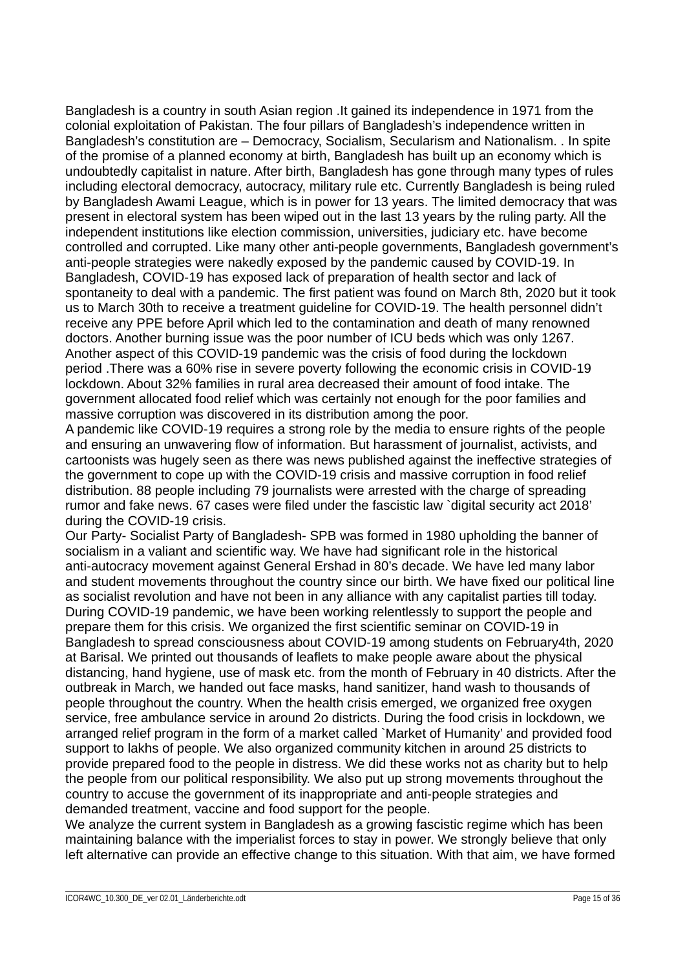Bangladesh is a country in south Asian region .It gained its independence in 1971 from the colonial exploitation of Pakistan. The four pillars of Bangladesh's independence written in Bangladesh's constitution are – Democracy, Socialism, Secularism and Nationalism. . In spite of the promise of a planned economy at birth, Bangladesh has built up an economy which is undoubtedly capitalist in nature. After birth, Bangladesh has gone through many types of rules including electoral democracy, autocracy, military rule etc. Currently Bangladesh is being ruled by Bangladesh Awami League, which is in power for 13 years. The limited democracy that was present in electoral system has been wiped out in the last 13 years by the ruling party. All the independent institutions like election commission, universities, judiciary etc. have become controlled and corrupted. Like many other anti-people governments, Bangladesh government's anti-people strategies were nakedly exposed by the pandemic caused by COVID-19. In Bangladesh, COVID-19 has exposed lack of preparation of health sector and lack of spontaneity to deal with a pandemic. The first patient was found on March 8th, 2020 but it took us to March 30th to receive a treatment guideline for COVID-19. The health personnel didn't receive any PPE before April which led to the contamination and death of many renowned doctors. Another burning issue was the poor number of ICU beds which was only 1267. Another aspect of this COVID-19 pandemic was the crisis of food during the lockdown period .There was a 60% rise in severe poverty following the economic crisis in COVID-19 lockdown. About 32% families in rural area decreased their amount of food intake. The government allocated food relief which was certainly not enough for the poor families and massive corruption was discovered in its distribution among the poor.

A pandemic like COVID-19 requires a strong role by the media to ensure rights of the people and ensuring an unwavering flow of information. But harassment of journalist, activists, and cartoonists was hugely seen as there was news published against the ineffective strategies of the government to cope up with the COVID-19 crisis and massive corruption in food relief distribution. 88 people including 79 journalists were arrested with the charge of spreading rumor and fake news. 67 cases were filed under the fascistic law `digital security act 2018' during the COVID-19 crisis.

Our Party- Socialist Party of Bangladesh- SPB was formed in 1980 upholding the banner of socialism in a valiant and scientific way. We have had significant role in the historical anti-autocracy movement against General Ershad in 80's decade. We have led many labor and student movements throughout the country since our birth. We have fixed our political line as socialist revolution and have not been in any alliance with any capitalist parties till today. During COVID-19 pandemic, we have been working relentlessly to support the people and prepare them for this crisis. We organized the first scientific seminar on COVID-19 in Bangladesh to spread consciousness about COVID-19 among students on February4th, 2020 at Barisal. We printed out thousands of leaflets to make people aware about the physical distancing, hand hygiene, use of mask etc. from the month of February in 40 districts. After the outbreak in March, we handed out face masks, hand sanitizer, hand wash to thousands of people throughout the country. When the health crisis emerged, we organized free oxygen service, free ambulance service in around 2o districts. During the food crisis in lockdown, we arranged relief program in the form of a market called `Market of Humanity' and provided food support to lakhs of people. We also organized community kitchen in around 25 districts to provide prepared food to the people in distress. We did these works not as charity but to help the people from our political responsibility. We also put up strong movements throughout the country to accuse the government of its inappropriate and anti-people strategies and demanded treatment, vaccine and food support for the people.

We analyze the current system in Bangladesh as a growing fascistic regime which has been maintaining balance with the imperialist forces to stay in power. We strongly believe that only left alternative can provide an effective change to this situation. With that aim, we have formed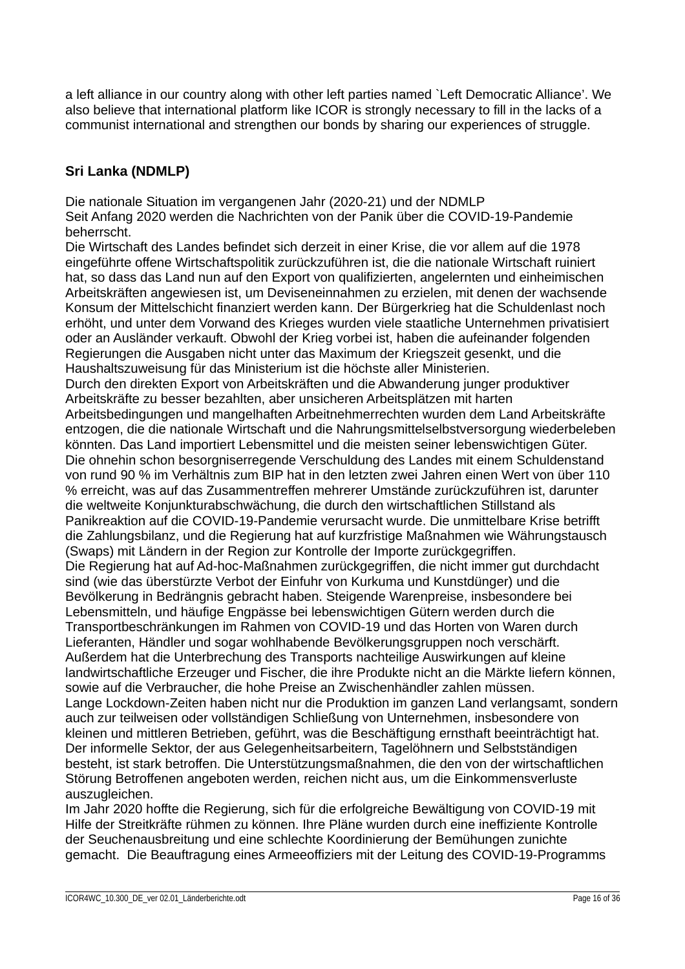a left alliance in our country along with other left parties named `Left Democratic Alliance'. We also believe that international platform like ICOR is strongly necessary to fill in the lacks of a communist international and strengthen our bonds by sharing our experiences of struggle.

# **Sri Lanka (NDMLP)**

Die nationale Situation im vergangenen Jahr (2020-21) und der NDMLP Seit Anfang 2020 werden die Nachrichten von der Panik über die COVID-19-Pandemie beherrscht.

Die Wirtschaft des Landes befindet sich derzeit in einer Krise, die vor allem auf die 1978 eingeführte offene Wirtschaftspolitik zurückzuführen ist, die die nationale Wirtschaft ruiniert hat, so dass das Land nun auf den Export von qualifizierten, angelernten und einheimischen Arbeitskräften angewiesen ist, um Deviseneinnahmen zu erzielen, mit denen der wachsende Konsum der Mittelschicht finanziert werden kann. Der Bürgerkrieg hat die Schuldenlast noch erhöht, und unter dem Vorwand des Krieges wurden viele staatliche Unternehmen privatisiert oder an Ausländer verkauft. Obwohl der Krieg vorbei ist, haben die aufeinander folgenden Regierungen die Ausgaben nicht unter das Maximum der Kriegszeit gesenkt, und die Haushaltszuweisung für das Ministerium ist die höchste aller Ministerien. Durch den direkten Export von Arbeitskräften und die Abwanderung junger produktiver Arbeitskräfte zu besser bezahlten, aber unsicheren Arbeitsplätzen mit harten Arbeitsbedingungen und mangelhaften Arbeitnehmerrechten wurden dem Land Arbeitskräfte entzogen, die die nationale Wirtschaft und die Nahrungsmittelselbstversorgung wiederbeleben könnten. Das Land importiert Lebensmittel und die meisten seiner lebenswichtigen Güter. Die ohnehin schon besorgniserregende Verschuldung des Landes mit einem Schuldenstand von rund 90 % im Verhältnis zum BIP hat in den letzten zwei Jahren einen Wert von über 110 % erreicht, was auf das Zusammentreffen mehrerer Umstände zurückzuführen ist, darunter die weltweite Konjunkturabschwächung, die durch den wirtschaftlichen Stillstand als Panikreaktion auf die COVID-19-Pandemie verursacht wurde. Die unmittelbare Krise betrifft die Zahlungsbilanz, und die Regierung hat auf kurzfristige Maßnahmen wie Währungstausch (Swaps) mit Ländern in der Region zur Kontrolle der Importe zurückgegriffen. Die Regierung hat auf Ad-hoc-Maßnahmen zurückgegriffen, die nicht immer gut durchdacht sind (wie das überstürzte Verbot der Einfuhr von Kurkuma und Kunstdünger) und die Bevölkerung in Bedrängnis gebracht haben. Steigende Warenpreise, insbesondere bei Lebensmitteln, und häufige Engpässe bei lebenswichtigen Gütern werden durch die Transportbeschränkungen im Rahmen von COVID-19 und das Horten von Waren durch Lieferanten, Händler und sogar wohlhabende Bevölkerungsgruppen noch verschärft. Außerdem hat die Unterbrechung des Transports nachteilige Auswirkungen auf kleine landwirtschaftliche Erzeuger und Fischer, die ihre Produkte nicht an die Märkte liefern können, sowie auf die Verbraucher, die hohe Preise an Zwischenhändler zahlen müssen. Lange Lockdown-Zeiten haben nicht nur die Produktion im ganzen Land verlangsamt, sondern auch zur teilweisen oder vollständigen Schließung von Unternehmen, insbesondere von kleinen und mittleren Betrieben, geführt, was die Beschäftigung ernsthaft beeinträchtigt hat. Der informelle Sektor, der aus Gelegenheitsarbeitern, Tagelöhnern und Selbstständigen besteht, ist stark betroffen. Die Unterstützungsmaßnahmen, die den von der wirtschaftlichen Störung Betroffenen angeboten werden, reichen nicht aus, um die Einkommensverluste auszugleichen.

Im Jahr 2020 hoffte die Regierung, sich für die erfolgreiche Bewältigung von COVID-19 mit Hilfe der Streitkräfte rühmen zu können. Ihre Pläne wurden durch eine ineffiziente Kontrolle der Seuchenausbreitung und eine schlechte Koordinierung der Bemühungen zunichte gemacht. Die Beauftragung eines Armeeoffiziers mit der Leitung des COVID-19-Programms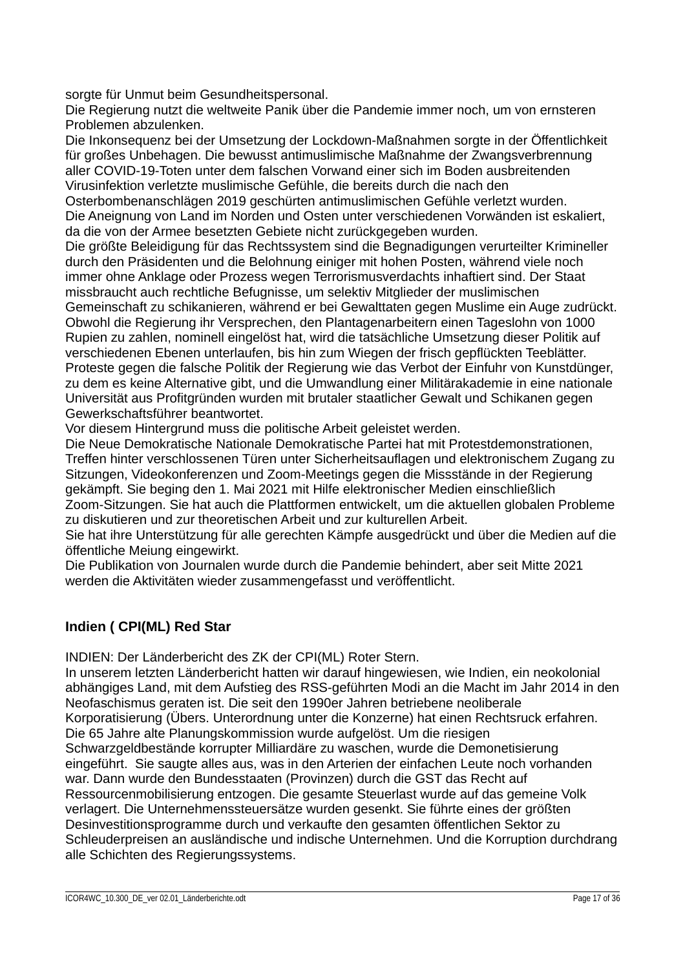sorgte für Unmut beim Gesundheitspersonal.

Die Regierung nutzt die weltweite Panik über die Pandemie immer noch, um von ernsteren Problemen abzulenken.

Die Inkonsequenz bei der Umsetzung der Lockdown-Maßnahmen sorgte in der Öffentlichkeit für großes Unbehagen. Die bewusst antimuslimische Maßnahme der Zwangsverbrennung aller COVID-19-Toten unter dem falschen Vorwand einer sich im Boden ausbreitenden Virusinfektion verletzte muslimische Gefühle, die bereits durch die nach den

Osterbombenanschlägen 2019 geschürten antimuslimischen Gefühle verletzt wurden. Die Aneignung von Land im Norden und Osten unter verschiedenen Vorwänden ist eskaliert, da die von der Armee besetzten Gebiete nicht zurückgegeben wurden.

Die größte Beleidigung für das Rechtssystem sind die Begnadigungen verurteilter Krimineller durch den Präsidenten und die Belohnung einiger mit hohen Posten, während viele noch immer ohne Anklage oder Prozess wegen Terrorismusverdachts inhaftiert sind. Der Staat missbraucht auch rechtliche Befugnisse, um selektiv Mitglieder der muslimischen Gemeinschaft zu schikanieren, während er bei Gewalttaten gegen Muslime ein Auge zudrückt. Obwohl die Regierung ihr Versprechen, den Plantagenarbeitern einen Tageslohn von 1000 Rupien zu zahlen, nominell eingelöst hat, wird die tatsächliche Umsetzung dieser Politik auf verschiedenen Ebenen unterlaufen, bis hin zum Wiegen der frisch gepflückten Teeblätter. Proteste gegen die falsche Politik der Regierung wie das Verbot der Einfuhr von Kunstdünger, zu dem es keine Alternative gibt, und die Umwandlung einer Militärakademie in eine nationale Universität aus Profitgründen wurden mit brutaler staatlicher Gewalt und Schikanen gegen Gewerkschaftsführer beantwortet.

Vor diesem Hintergrund muss die politische Arbeit geleistet werden.

Die Neue Demokratische Nationale Demokratische Partei hat mit Protestdemonstrationen, Treffen hinter verschlossenen Türen unter Sicherheitsauflagen und elektronischem Zugang zu Sitzungen, Videokonferenzen und Zoom-Meetings gegen die Missstände in der Regierung gekämpft. Sie beging den 1. Mai 2021 mit Hilfe elektronischer Medien einschließlich Zoom-Sitzungen. Sie hat auch die Plattformen entwickelt, um die aktuellen globalen Probleme zu diskutieren und zur theoretischen Arbeit und zur kulturellen Arbeit.

Sie hat ihre Unterstützung für alle gerechten Kämpfe ausgedrückt und über die Medien auf die öffentliche Meiung eingewirkt.

Die Publikation von Journalen wurde durch die Pandemie behindert, aber seit Mitte 2021 werden die Aktivitäten wieder zusammengefasst und veröffentlicht.

# **Indien ( CPI(ML) Red Star**

INDIEN: Der Länderbericht des ZK der CPI(ML) Roter Stern.

In unserem letzten Länderbericht hatten wir darauf hingewiesen, wie Indien, ein neokolonial abhängiges Land, mit dem Aufstieg des RSS-geführten Modi an die Macht im Jahr 2014 in den Neofaschismus geraten ist. Die seit den 1990er Jahren betriebene neoliberale Korporatisierung (Übers. Unterordnung unter die Konzerne) hat einen Rechtsruck erfahren. Die 65 Jahre alte Planungskommission wurde aufgelöst. Um die riesigen Schwarzgeldbestände korrupter Milliardäre zu waschen, wurde die Demonetisierung eingeführt. Sie saugte alles aus, was in den Arterien der einfachen Leute noch vorhanden war. Dann wurde den Bundesstaaten (Provinzen) durch die GST das Recht auf Ressourcenmobilisierung entzogen. Die gesamte Steuerlast wurde auf das gemeine Volk verlagert. Die Unternehmenssteuersätze wurden gesenkt. Sie führte eines der größten Desinvestitionsprogramme durch und verkaufte den gesamten öffentlichen Sektor zu Schleuderpreisen an ausländische und indische Unternehmen. Und die Korruption durchdrang alle Schichten des Regierungssystems.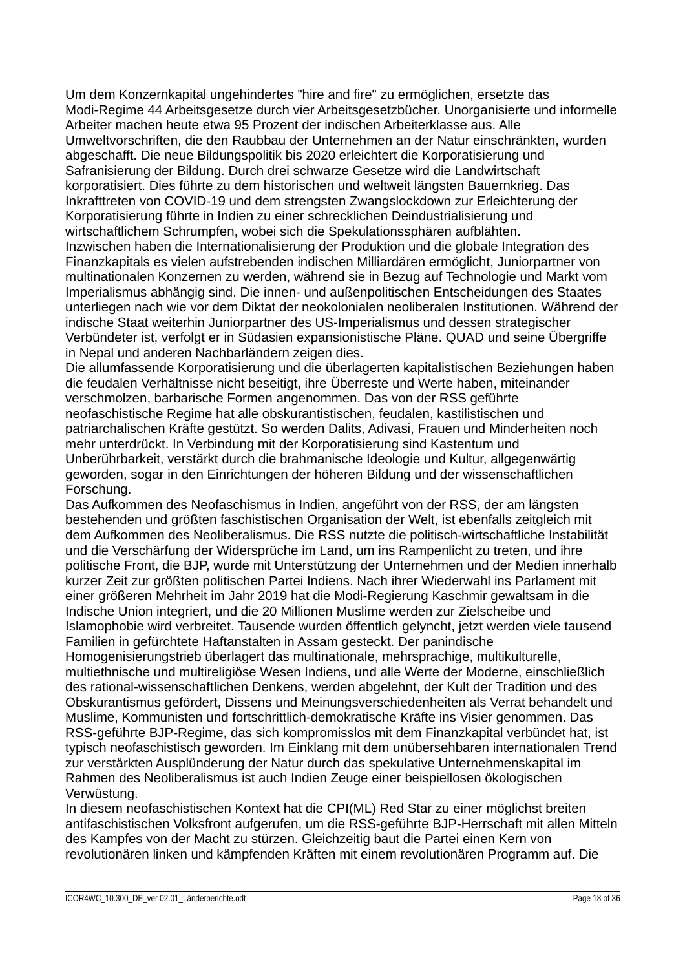Um dem Konzernkapital ungehindertes "hire and fire" zu ermöglichen, ersetzte das Modi-Regime 44 Arbeitsgesetze durch vier Arbeitsgesetzbücher. Unorganisierte und informelle Arbeiter machen heute etwa 95 Prozent der indischen Arbeiterklasse aus. Alle Umweltvorschriften, die den Raubbau der Unternehmen an der Natur einschränkten, wurden abgeschafft. Die neue Bildungspolitik bis 2020 erleichtert die Korporatisierung und Safranisierung der Bildung. Durch drei schwarze Gesetze wird die Landwirtschaft korporatisiert. Dies führte zu dem historischen und weltweit längsten Bauernkrieg. Das Inkrafttreten von COVID-19 und dem strengsten Zwangslockdown zur Erleichterung der Korporatisierung führte in Indien zu einer schrecklichen Deindustrialisierung und wirtschaftlichem Schrumpfen, wobei sich die Spekulationssphären aufblähten. Inzwischen haben die Internationalisierung der Produktion und die globale Integration des Finanzkapitals es vielen aufstrebenden indischen Milliardären ermöglicht, Juniorpartner von multinationalen Konzernen zu werden, während sie in Bezug auf Technologie und Markt vom Imperialismus abhängig sind. Die innen- und außenpolitischen Entscheidungen des Staates unterliegen nach wie vor dem Diktat der neokolonialen neoliberalen Institutionen. Während der indische Staat weiterhin Juniorpartner des US-Imperialismus und dessen strategischer Verbündeter ist, verfolgt er in Südasien expansionistische Pläne. QUAD und seine Übergriffe in Nepal und anderen Nachbarländern zeigen dies.

Die allumfassende Korporatisierung und die überlagerten kapitalistischen Beziehungen haben die feudalen Verhältnisse nicht beseitigt, ihre Überreste und Werte haben, miteinander verschmolzen, barbarische Formen angenommen. Das von der RSS geführte neofaschistische Regime hat alle obskurantistischen, feudalen, kastilistischen und patriarchalischen Kräfte gestützt. So werden Dalits, Adivasi, Frauen und Minderheiten noch mehr unterdrückt. In Verbindung mit der Korporatisierung sind Kastentum und Unberührbarkeit, verstärkt durch die brahmanische Ideologie und Kultur, allgegenwärtig geworden, sogar in den Einrichtungen der höheren Bildung und der wissenschaftlichen Forschung.

Das Aufkommen des Neofaschismus in Indien, angeführt von der RSS, der am längsten bestehenden und größten faschistischen Organisation der Welt, ist ebenfalls zeitgleich mit dem Aufkommen des Neoliberalismus. Die RSS nutzte die politisch-wirtschaftliche Instabilität und die Verschärfung der Widersprüche im Land, um ins Rampenlicht zu treten, und ihre politische Front, die BJP, wurde mit Unterstützung der Unternehmen und der Medien innerhalb kurzer Zeit zur größten politischen Partei Indiens. Nach ihrer Wiederwahl ins Parlament mit einer größeren Mehrheit im Jahr 2019 hat die Modi-Regierung Kaschmir gewaltsam in die Indische Union integriert, und die 20 Millionen Muslime werden zur Zielscheibe und Islamophobie wird verbreitet. Tausende wurden öffentlich gelyncht, jetzt werden viele tausend Familien in gefürchtete Haftanstalten in Assam gesteckt. Der panindische

Homogenisierungstrieb überlagert das multinationale, mehrsprachige, multikulturelle, multiethnische und multireligiöse Wesen Indiens, und alle Werte der Moderne, einschließlich des rational-wissenschaftlichen Denkens, werden abgelehnt, der Kult der Tradition und des Obskurantismus gefördert, Dissens und Meinungsverschiedenheiten als Verrat behandelt und Muslime, Kommunisten und fortschrittlich-demokratische Kräfte ins Visier genommen. Das RSS-geführte BJP-Regime, das sich kompromisslos mit dem Finanzkapital verbündet hat, ist typisch neofaschistisch geworden. Im Einklang mit dem unübersehbaren internationalen Trend zur verstärkten Ausplünderung der Natur durch das spekulative Unternehmenskapital im Rahmen des Neoliberalismus ist auch Indien Zeuge einer beispiellosen ökologischen Verwüstung.

In diesem neofaschistischen Kontext hat die CPI(ML) Red Star zu einer möglichst breiten antifaschistischen Volksfront aufgerufen, um die RSS-geführte BJP-Herrschaft mit allen Mitteln des Kampfes von der Macht zu stürzen. Gleichzeitig baut die Partei einen Kern von revolutionären linken und kämpfenden Kräften mit einem revolutionären Programm auf. Die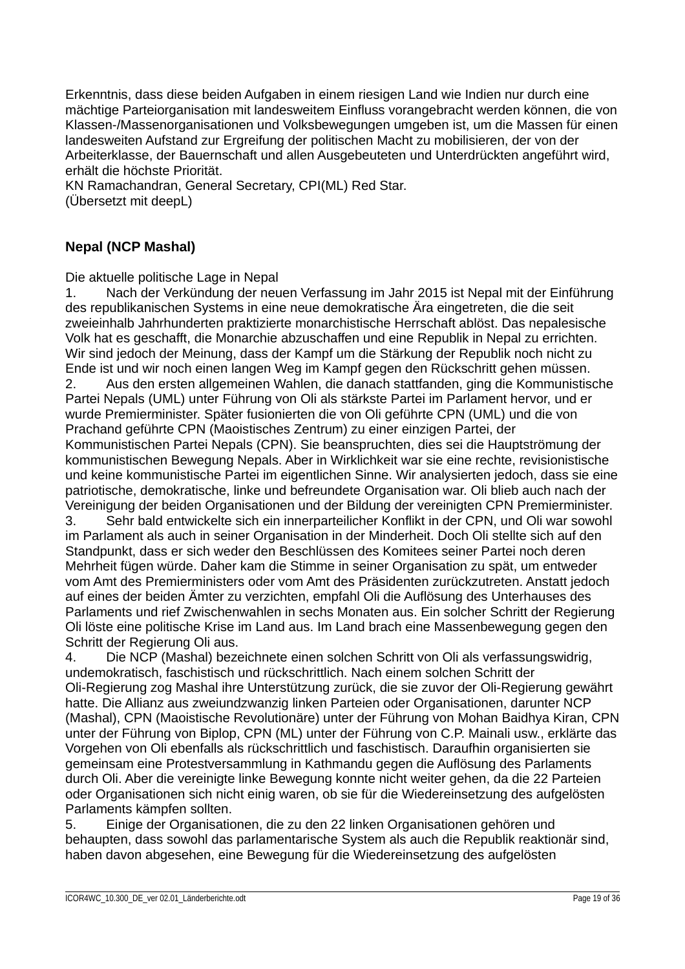Erkenntnis, dass diese beiden Aufgaben in einem riesigen Land wie Indien nur durch eine mächtige Parteiorganisation mit landesweitem Einfluss vorangebracht werden können, die von Klassen-/Massenorganisationen und Volksbewegungen umgeben ist, um die Massen für einen landesweiten Aufstand zur Ergreifung der politischen Macht zu mobilisieren, der von der Arbeiterklasse, der Bauernschaft und allen Ausgebeuteten und Unterdrückten angeführt wird, erhält die höchste Priorität.

KN Ramachandran, General Secretary, CPI(ML) Red Star. (Übersetzt mit deepL)

# **Nepal (NCP Mashal)**

Die aktuelle politische Lage in Nepal

1. Nach der Verkündung der neuen Verfassung im Jahr 2015 ist Nepal mit der Einführung des republikanischen Systems in eine neue demokratische Ära eingetreten, die die seit zweieinhalb Jahrhunderten praktizierte monarchistische Herrschaft ablöst. Das nepalesische Volk hat es geschafft, die Monarchie abzuschaffen und eine Republik in Nepal zu errichten. Wir sind jedoch der Meinung, dass der Kampf um die Stärkung der Republik noch nicht zu Ende ist und wir noch einen langen Weg im Kampf gegen den Rückschritt gehen müssen. 2. Aus den ersten allgemeinen Wahlen, die danach stattfanden, ging die Kommunistische Partei Nepals (UML) unter Führung von Oli als stärkste Partei im Parlament hervor, und er wurde Premierminister. Später fusionierten die von Oli geführte CPN (UML) und die von Prachand geführte CPN (Maoistisches Zentrum) zu einer einzigen Partei, der Kommunistischen Partei Nepals (CPN). Sie beanspruchten, dies sei die Hauptströmung der kommunistischen Bewegung Nepals. Aber in Wirklichkeit war sie eine rechte, revisionistische und keine kommunistische Partei im eigentlichen Sinne. Wir analysierten jedoch, dass sie eine patriotische, demokratische, linke und befreundete Organisation war. Oli blieb auch nach der Vereinigung der beiden Organisationen und der Bildung der vereinigten CPN Premierminister. 3. Sehr bald entwickelte sich ein innerparteilicher Konflikt in der CPN, und Oli war sowohl im Parlament als auch in seiner Organisation in der Minderheit. Doch Oli stellte sich auf den Standpunkt, dass er sich weder den Beschlüssen des Komitees seiner Partei noch deren Mehrheit fügen würde. Daher kam die Stimme in seiner Organisation zu spät, um entweder vom Amt des Premierministers oder vom Amt des Präsidenten zurückzutreten. Anstatt jedoch auf eines der beiden Ämter zu verzichten, empfahl Oli die Auflösung des Unterhauses des Parlaments und rief Zwischenwahlen in sechs Monaten aus. Ein solcher Schritt der Regierung Oli löste eine politische Krise im Land aus. Im Land brach eine Massenbewegung gegen den Schritt der Regierung Oli aus.

4. Die NCP (Mashal) bezeichnete einen solchen Schritt von Oli als verfassungswidrig, undemokratisch, faschistisch und rückschrittlich. Nach einem solchen Schritt der Oli-Regierung zog Mashal ihre Unterstützung zurück, die sie zuvor der Oli-Regierung gewährt hatte. Die Allianz aus zweiundzwanzig linken Parteien oder Organisationen, darunter NCP (Mashal), CPN (Maoistische Revolutionäre) unter der Führung von Mohan Baidhya Kiran, CPN unter der Führung von Biplop, CPN (ML) unter der Führung von C.P. Mainali usw., erklärte das Vorgehen von Oli ebenfalls als rückschrittlich und faschistisch. Daraufhin organisierten sie gemeinsam eine Protestversammlung in Kathmandu gegen die Auflösung des Parlaments durch Oli. Aber die vereinigte linke Bewegung konnte nicht weiter gehen, da die 22 Parteien oder Organisationen sich nicht einig waren, ob sie für die Wiedereinsetzung des aufgelösten Parlaments kämpfen sollten.

5. Einige der Organisationen, die zu den 22 linken Organisationen gehören und behaupten, dass sowohl das parlamentarische System als auch die Republik reaktionär sind, haben davon abgesehen, eine Bewegung für die Wiedereinsetzung des aufgelösten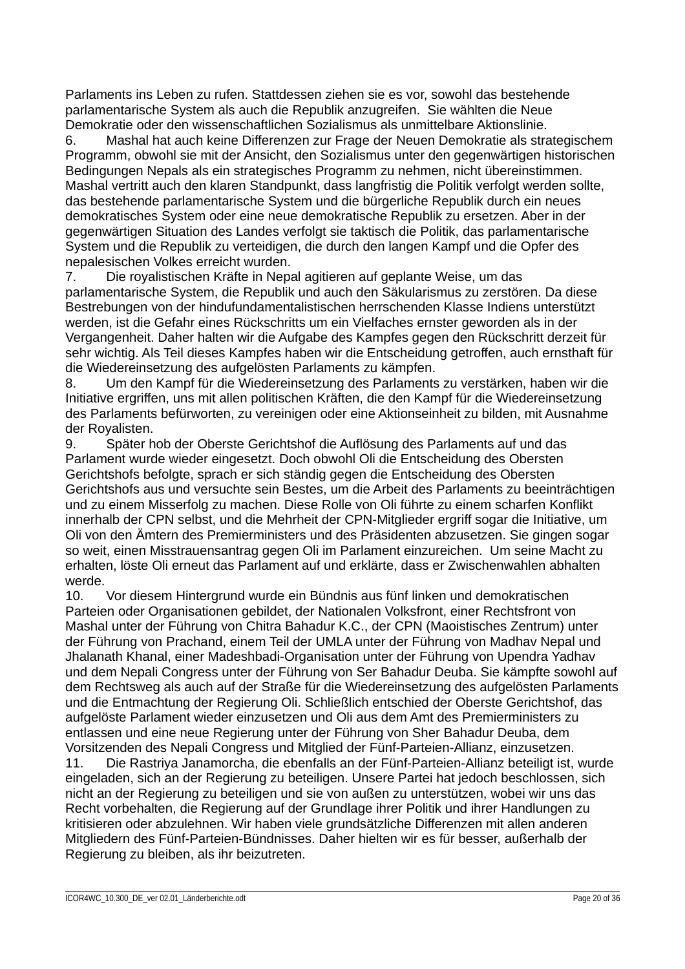Parlaments ins Leben zu rufen. Stattdessen ziehen sie es vor, sowohl das bestehende parlamentarische System als auch die Republik anzugreifen. Sie wählten die Neue Demokratie oder den wissenschaftlichen Sozialismus als unmittelbare Aktionslinie.

6. Mashal hat auch keine Differenzen zur Frage der Neuen Demokratie als strategischem Programm, obwohl sie mit der Ansicht, den Sozialismus unter den gegenwärtigen historischen Bedingungen Nepals als ein strategisches Programm zu nehmen, nicht übereinstimmen. Mashal vertritt auch den klaren Standpunkt, dass langfristig die Politik verfolgt werden sollte, das bestehende parlamentarische System und die bürgerliche Republik durch ein neues demokratisches System oder eine neue demokratische Republik zu ersetzen. Aber in der gegenwärtigen Situation des Landes verfolgt sie taktisch die Politik, das parlamentarische System und die Republik zu verteidigen, die durch den langen Kampf und die Opfer des nepalesischen Volkes erreicht wurden.

7. Die royalistischen Kräfte in Nepal agitieren auf geplante Weise, um das parlamentarische System, die Republik und auch den Säkularismus zu zerstören. Da diese Bestrebungen von der hindufundamentalistischen herrschenden Klasse Indiens unterstützt werden, ist die Gefahr eines Rückschritts um ein Vielfaches ernster geworden als in der Vergangenheit. Daher halten wir die Aufgabe des Kampfes gegen den Rückschritt derzeit für sehr wichtig. Als Teil dieses Kampfes haben wir die Entscheidung getroffen, auch ernsthaft für die Wiedereinsetzung des aufgelösten Parlaments zu kämpfen.

8. Um den Kampf für die Wiedereinsetzung des Parlaments zu verstärken, haben wir die Initiative ergriffen, uns mit allen politischen Kräften, die den Kampf für die Wiedereinsetzung des Parlaments befürworten, zu vereinigen oder eine Aktionseinheit zu bilden, mit Ausnahme der Royalisten.

9. Später hob der Oberste Gerichtshof die Auflösung des Parlaments auf und das Parlament wurde wieder eingesetzt. Doch obwohl Oli die Entscheidung des Obersten Gerichtshofs befolgte, sprach er sich ständig gegen die Entscheidung des Obersten Gerichtshofs aus und versuchte sein Bestes, um die Arbeit des Parlaments zu beeinträchtigen und zu einem Misserfolg zu machen. Diese Rolle von Oli führte zu einem scharfen Konflikt innerhalb der CPN selbst, und die Mehrheit der CPN-Mitglieder ergriff sogar die Initiative, um Oli von den Ämtern des Premierministers und des Präsidenten abzusetzen. Sie gingen sogar so weit, einen Misstrauensantrag gegen Oli im Parlament einzureichen. Um seine Macht zu erhalten, löste Oli erneut das Parlament auf und erklärte, dass er Zwischenwahlen abhalten werde.

10. Vor diesem Hintergrund wurde ein Bündnis aus fünf linken und demokratischen Parteien oder Organisationen gebildet, der Nationalen Volksfront, einer Rechtsfront von Mashal unter der Führung von Chitra Bahadur K.C., der CPN (Maoistisches Zentrum) unter der Führung von Prachand, einem Teil der UMLA unter der Führung von Madhav Nepal und Jhalanath Khanal, einer Madeshbadi-Organisation unter der Führung von Upendra Yadhav und dem Nepali Congress unter der Führung von Ser Bahadur Deuba. Sie kämpfte sowohl auf dem Rechtsweg als auch auf der Straße für die Wiedereinsetzung des aufgelösten Parlaments und die Entmachtung der Regierung Oli. Schließlich entschied der Oberste Gerichtshof, das aufgelöste Parlament wieder einzusetzen und Oli aus dem Amt des Premierministers zu entlassen und eine neue Regierung unter der Führung von Sher Bahadur Deuba, dem Vorsitzenden des Nepali Congress und Mitglied der Fünf-Parteien-Allianz, einzusetzen.

11. Die Rastriya Janamorcha, die ebenfalls an der Fünf-Parteien-Allianz beteiligt ist, wurde eingeladen, sich an der Regierung zu beteiligen. Unsere Partei hat jedoch beschlossen, sich nicht an der Regierung zu beteiligen und sie von außen zu unterstützen, wobei wir uns das Recht vorbehalten, die Regierung auf der Grundlage ihrer Politik und ihrer Handlungen zu kritisieren oder abzulehnen. Wir haben viele grundsätzliche Differenzen mit allen anderen Mitgliedern des Fünf-Parteien-Bündnisses. Daher hielten wir es für besser, außerhalb der Regierung zu bleiben, als ihr beizutreten.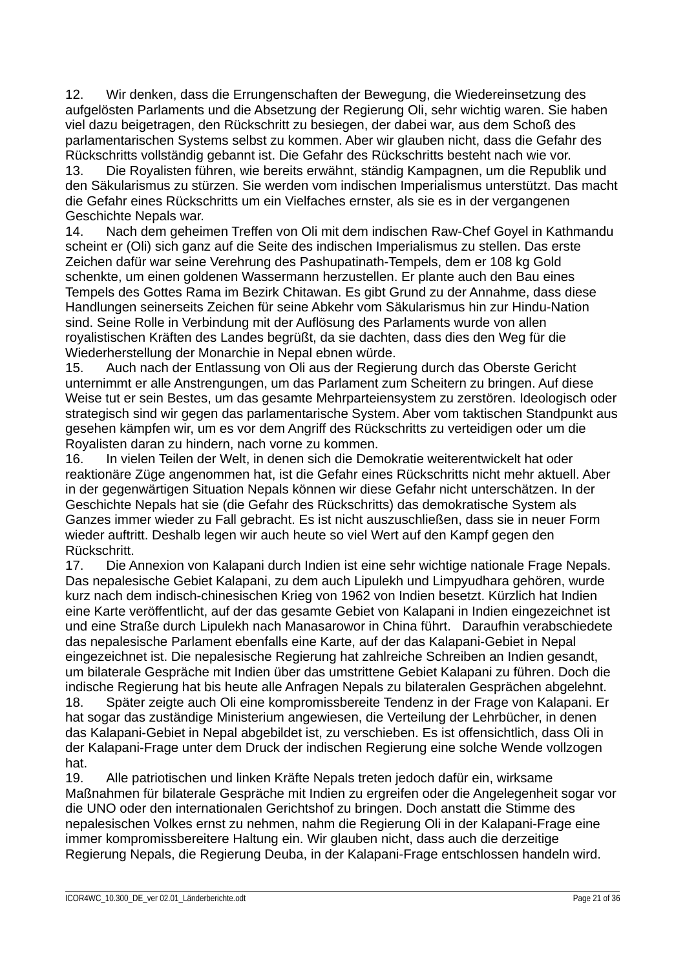12. Wir denken, dass die Errungenschaften der Bewegung, die Wiedereinsetzung des aufgelösten Parlaments und die Absetzung der Regierung Oli, sehr wichtig waren. Sie haben viel dazu beigetragen, den Rückschritt zu besiegen, der dabei war, aus dem Schoß des parlamentarischen Systems selbst zu kommen. Aber wir glauben nicht, dass die Gefahr des Rückschritts vollständig gebannt ist. Die Gefahr des Rückschritts besteht nach wie vor.

13. Die Royalisten führen, wie bereits erwähnt, ständig Kampagnen, um die Republik und den Säkularismus zu stürzen. Sie werden vom indischen Imperialismus unterstützt. Das macht die Gefahr eines Rückschritts um ein Vielfaches ernster, als sie es in der vergangenen Geschichte Nepals war.

14. Nach dem geheimen Treffen von Oli mit dem indischen Raw-Chef Goyel in Kathmandu scheint er (Oli) sich ganz auf die Seite des indischen Imperialismus zu stellen. Das erste Zeichen dafür war seine Verehrung des Pashupatinath-Tempels, dem er 108 kg Gold schenkte, um einen goldenen Wassermann herzustellen. Er plante auch den Bau eines Tempels des Gottes Rama im Bezirk Chitawan. Es gibt Grund zu der Annahme, dass diese Handlungen seinerseits Zeichen für seine Abkehr vom Säkularismus hin zur Hindu-Nation sind. Seine Rolle in Verbindung mit der Auflösung des Parlaments wurde von allen royalistischen Kräften des Landes begrüßt, da sie dachten, dass dies den Weg für die Wiederherstellung der Monarchie in Nepal ebnen würde.

15. Auch nach der Entlassung von Oli aus der Regierung durch das Oberste Gericht unternimmt er alle Anstrengungen, um das Parlament zum Scheitern zu bringen. Auf diese Weise tut er sein Bestes, um das gesamte Mehrparteiensystem zu zerstören. Ideologisch oder strategisch sind wir gegen das parlamentarische System. Aber vom taktischen Standpunkt aus gesehen kämpfen wir, um es vor dem Angriff des Rückschritts zu verteidigen oder um die Royalisten daran zu hindern, nach vorne zu kommen.

16. In vielen Teilen der Welt, in denen sich die Demokratie weiterentwickelt hat oder reaktionäre Züge angenommen hat, ist die Gefahr eines Rückschritts nicht mehr aktuell. Aber in der gegenwärtigen Situation Nepals können wir diese Gefahr nicht unterschätzen. In der Geschichte Nepals hat sie (die Gefahr des Rückschritts) das demokratische System als Ganzes immer wieder zu Fall gebracht. Es ist nicht auszuschließen, dass sie in neuer Form wieder auftritt. Deshalb legen wir auch heute so viel Wert auf den Kampf gegen den Rückschritt.

17. Die Annexion von Kalapani durch Indien ist eine sehr wichtige nationale Frage Nepals. Das nepalesische Gebiet Kalapani, zu dem auch Lipulekh und Limpyudhara gehören, wurde kurz nach dem indisch-chinesischen Krieg von 1962 von Indien besetzt. Kürzlich hat Indien eine Karte veröffentlicht, auf der das gesamte Gebiet von Kalapani in Indien eingezeichnet ist und eine Straße durch Lipulekh nach Manasarowor in China führt. Daraufhin verabschiedete das nepalesische Parlament ebenfalls eine Karte, auf der das Kalapani-Gebiet in Nepal eingezeichnet ist. Die nepalesische Regierung hat zahlreiche Schreiben an Indien gesandt, um bilaterale Gespräche mit Indien über das umstrittene Gebiet Kalapani zu führen. Doch die indische Regierung hat bis heute alle Anfragen Nepals zu bilateralen Gesprächen abgelehnt. 18. Später zeigte auch Oli eine kompromissbereite Tendenz in der Frage von Kalapani. Er hat sogar das zuständige Ministerium angewiesen, die Verteilung der Lehrbücher, in denen

das Kalapani-Gebiet in Nepal abgebildet ist, zu verschieben. Es ist offensichtlich, dass Oli in der Kalapani-Frage unter dem Druck der indischen Regierung eine solche Wende vollzogen hat.

19. Alle patriotischen und linken Kräfte Nepals treten jedoch dafür ein, wirksame Maßnahmen für bilaterale Gespräche mit Indien zu ergreifen oder die Angelegenheit sogar vor die UNO oder den internationalen Gerichtshof zu bringen. Doch anstatt die Stimme des nepalesischen Volkes ernst zu nehmen, nahm die Regierung Oli in der Kalapani-Frage eine immer kompromissbereitere Haltung ein. Wir glauben nicht, dass auch die derzeitige Regierung Nepals, die Regierung Deuba, in der Kalapani-Frage entschlossen handeln wird.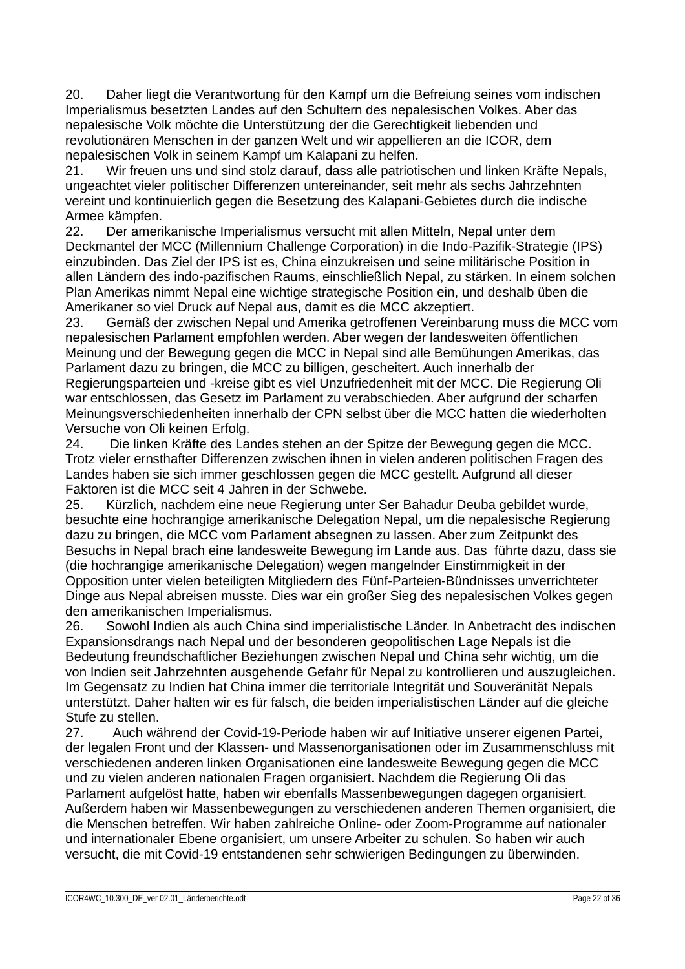20. Daher liegt die Verantwortung für den Kampf um die Befreiung seines vom indischen Imperialismus besetzten Landes auf den Schultern des nepalesischen Volkes. Aber das nepalesische Volk möchte die Unterstützung der die Gerechtigkeit liebenden und revolutionären Menschen in der ganzen Welt und wir appellieren an die ICOR, dem nepalesischen Volk in seinem Kampf um Kalapani zu helfen.

21. Wir freuen uns und sind stolz darauf, dass alle patriotischen und linken Kräfte Nepals, ungeachtet vieler politischer Differenzen untereinander, seit mehr als sechs Jahrzehnten vereint und kontinuierlich gegen die Besetzung des Kalapani-Gebietes durch die indische Armee kämpfen.

22. Der amerikanische Imperialismus versucht mit allen Mitteln, Nepal unter dem Deckmantel der MCC (Millennium Challenge Corporation) in die Indo-Pazifik-Strategie (IPS) einzubinden. Das Ziel der IPS ist es, China einzukreisen und seine militärische Position in allen Ländern des indo-pazifischen Raums, einschließlich Nepal, zu stärken. In einem solchen Plan Amerikas nimmt Nepal eine wichtige strategische Position ein, und deshalb üben die Amerikaner so viel Druck auf Nepal aus, damit es die MCC akzeptiert.

23. Gemäß der zwischen Nepal und Amerika getroffenen Vereinbarung muss die MCC vom nepalesischen Parlament empfohlen werden. Aber wegen der landesweiten öffentlichen Meinung und der Bewegung gegen die MCC in Nepal sind alle Bemühungen Amerikas, das Parlament dazu zu bringen, die MCC zu billigen, gescheitert. Auch innerhalb der Regierungsparteien und -kreise gibt es viel Unzufriedenheit mit der MCC. Die Regierung Oli war entschlossen, das Gesetz im Parlament zu verabschieden. Aber aufgrund der scharfen Meinungsverschiedenheiten innerhalb der CPN selbst über die MCC hatten die wiederholten Versuche von Oli keinen Erfolg.

24. Die linken Kräfte des Landes stehen an der Spitze der Bewegung gegen die MCC. Trotz vieler ernsthafter Differenzen zwischen ihnen in vielen anderen politischen Fragen des Landes haben sie sich immer geschlossen gegen die MCC gestellt. Aufgrund all dieser Faktoren ist die MCC seit 4 Jahren in der Schwebe.

25. Kürzlich, nachdem eine neue Regierung unter Ser Bahadur Deuba gebildet wurde, besuchte eine hochrangige amerikanische Delegation Nepal, um die nepalesische Regierung dazu zu bringen, die MCC vom Parlament absegnen zu lassen. Aber zum Zeitpunkt des Besuchs in Nepal brach eine landesweite Bewegung im Lande aus. Das führte dazu, dass sie (die hochrangige amerikanische Delegation) wegen mangelnder Einstimmigkeit in der Opposition unter vielen beteiligten Mitgliedern des Fünf-Parteien-Bündnisses unverrichteter Dinge aus Nepal abreisen musste. Dies war ein großer Sieg des nepalesischen Volkes gegen den amerikanischen Imperialismus.

26. Sowohl Indien als auch China sind imperialistische Länder. In Anbetracht des indischen Expansionsdrangs nach Nepal und der besonderen geopolitischen Lage Nepals ist die Bedeutung freundschaftlicher Beziehungen zwischen Nepal und China sehr wichtig, um die von Indien seit Jahrzehnten ausgehende Gefahr für Nepal zu kontrollieren und auszugleichen. Im Gegensatz zu Indien hat China immer die territoriale Integrität und Souveränität Nepals unterstützt. Daher halten wir es für falsch, die beiden imperialistischen Länder auf die gleiche Stufe zu stellen.

27. Auch während der Covid-19-Periode haben wir auf Initiative unserer eigenen Partei, der legalen Front und der Klassen- und Massenorganisationen oder im Zusammenschluss mit verschiedenen anderen linken Organisationen eine landesweite Bewegung gegen die MCC und zu vielen anderen nationalen Fragen organisiert. Nachdem die Regierung Oli das Parlament aufgelöst hatte, haben wir ebenfalls Massenbewegungen dagegen organisiert. Außerdem haben wir Massenbewegungen zu verschiedenen anderen Themen organisiert, die die Menschen betreffen. Wir haben zahlreiche Online- oder Zoom-Programme auf nationaler und internationaler Ebene organisiert, um unsere Arbeiter zu schulen. So haben wir auch versucht, die mit Covid-19 entstandenen sehr schwierigen Bedingungen zu überwinden.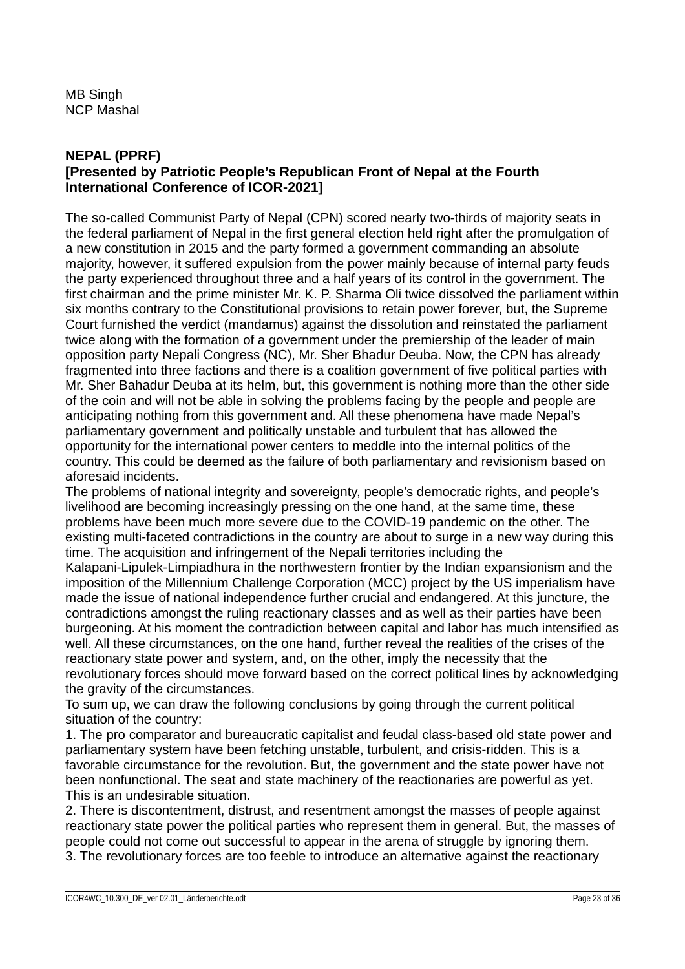MB Singh NCP Mashal

## **NEPAL (PPRF) [Presented by Patriotic People's Republican Front of Nepal at the Fourth International Conference of ICOR-2021]**

The so-called Communist Party of Nepal (CPN) scored nearly two-thirds of majority seats in the federal parliament of Nepal in the first general election held right after the promulgation of a new constitution in 2015 and the party formed a government commanding an absolute majority, however, it suffered expulsion from the power mainly because of internal party feuds the party experienced throughout three and a half years of its control in the government. The first chairman and the prime minister Mr. K. P. Sharma Oli twice dissolved the parliament within six months contrary to the Constitutional provisions to retain power forever, but, the Supreme Court furnished the verdict (mandamus) against the dissolution and reinstated the parliament twice along with the formation of a government under the premiership of the leader of main opposition party Nepali Congress (NC), Mr. Sher Bhadur Deuba. Now, the CPN has already fragmented into three factions and there is a coalition government of five political parties with Mr. Sher Bahadur Deuba at its helm, but, this government is nothing more than the other side of the coin and will not be able in solving the problems facing by the people and people are anticipating nothing from this government and. All these phenomena have made Nepal's parliamentary government and politically unstable and turbulent that has allowed the opportunity for the international power centers to meddle into the internal politics of the country. This could be deemed as the failure of both parliamentary and revisionism based on aforesaid incidents.

The problems of national integrity and sovereignty, people's democratic rights, and people's livelihood are becoming increasingly pressing on the one hand, at the same time, these problems have been much more severe due to the COVID-19 pandemic on the other. The existing multi-faceted contradictions in the country are about to surge in a new way during this time. The acquisition and infringement of the Nepali territories including the Kalapani-Lipulek-Limpiadhura in the northwestern frontier by the Indian expansionism and the imposition of the Millennium Challenge Corporation (MCC) project by the US imperialism have made the issue of national independence further crucial and endangered. At this juncture, the contradictions amongst the ruling reactionary classes and as well as their parties have been burgeoning. At his moment the contradiction between capital and labor has much intensified as well. All these circumstances, on the one hand, further reveal the realities of the crises of the reactionary state power and system, and, on the other, imply the necessity that the revolutionary forces should move forward based on the correct political lines by acknowledging the gravity of the circumstances.

To sum up, we can draw the following conclusions by going through the current political situation of the country:

1. The pro comparator and bureaucratic capitalist and feudal class-based old state power and parliamentary system have been fetching unstable, turbulent, and crisis-ridden. This is a favorable circumstance for the revolution. But, the government and the state power have not been nonfunctional. The seat and state machinery of the reactionaries are powerful as yet. This is an undesirable situation.

2. There is discontentment, distrust, and resentment amongst the masses of people against reactionary state power the political parties who represent them in general. But, the masses of people could not come out successful to appear in the arena of struggle by ignoring them. 3. The revolutionary forces are too feeble to introduce an alternative against the reactionary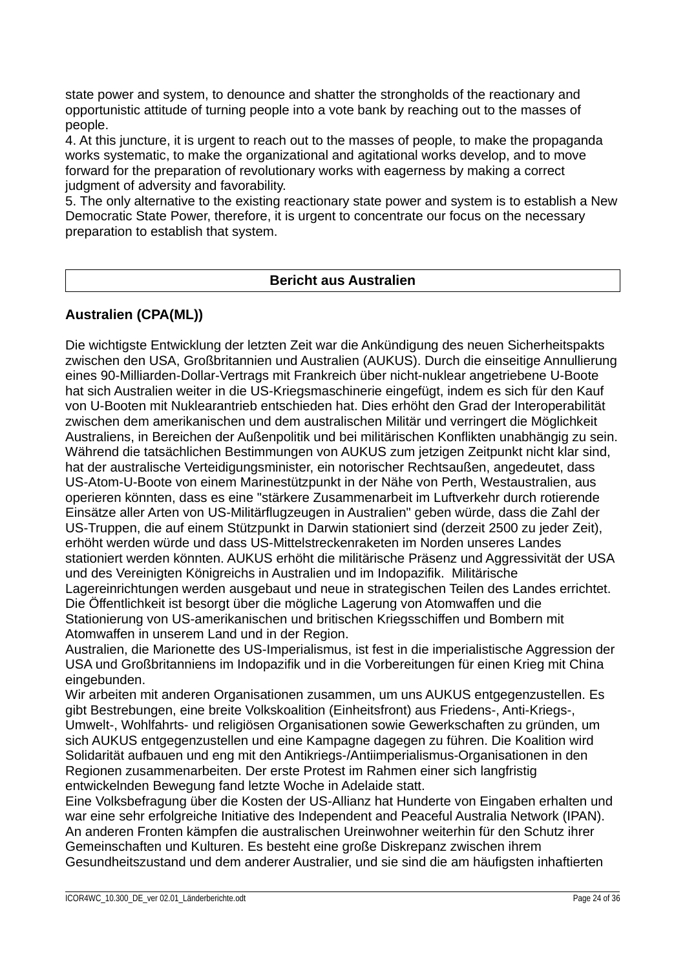state power and system, to denounce and shatter the strongholds of the reactionary and opportunistic attitude of turning people into a vote bank by reaching out to the masses of people.

4. At this juncture, it is urgent to reach out to the masses of people, to make the propaganda works systematic, to make the organizational and agitational works develop, and to move forward for the preparation of revolutionary works with eagerness by making a correct judgment of adversity and favorability.

5. The only alternative to the existing reactionary state power and system is to establish a New Democratic State Power, therefore, it is urgent to concentrate our focus on the necessary preparation to establish that system.

#### **Bericht aus Australien**

# **Australien (CPA(ML))**

Die wichtigste Entwicklung der letzten Zeit war die Ankündigung des neuen Sicherheitspakts zwischen den USA, Großbritannien und Australien (AUKUS). Durch die einseitige Annullierung eines 90-Milliarden-Dollar-Vertrags mit Frankreich über nicht-nuklear angetriebene U-Boote hat sich Australien weiter in die US-Kriegsmaschinerie eingefügt, indem es sich für den Kauf von U-Booten mit Nuklearantrieb entschieden hat. Dies erhöht den Grad der Interoperabilität zwischen dem amerikanischen und dem australischen Militär und verringert die Möglichkeit Australiens, in Bereichen der Außenpolitik und bei militärischen Konflikten unabhängig zu sein. Während die tatsächlichen Bestimmungen von AUKUS zum jetzigen Zeitpunkt nicht klar sind, hat der australische Verteidigungsminister, ein notorischer Rechtsaußen, angedeutet, dass US-Atom-U-Boote von einem Marinestützpunkt in der Nähe von Perth, Westaustralien, aus operieren könnten, dass es eine "stärkere Zusammenarbeit im Luftverkehr durch rotierende Einsätze aller Arten von US-Militärflugzeugen in Australien" geben würde, dass die Zahl der US-Truppen, die auf einem Stützpunkt in Darwin stationiert sind (derzeit 2500 zu jeder Zeit), erhöht werden würde und dass US-Mittelstreckenraketen im Norden unseres Landes stationiert werden könnten. AUKUS erhöht die militärische Präsenz und Aggressivität der USA und des Vereinigten Königreichs in Australien und im Indopazifik. Militärische Lagereinrichtungen werden ausgebaut und neue in strategischen Teilen des Landes errichtet. Die Öffentlichkeit ist besorgt über die mögliche Lagerung von Atomwaffen und die Stationierung von US-amerikanischen und britischen Kriegsschiffen und Bombern mit Atomwaffen in unserem Land und in der Region.

Australien, die Marionette des US-Imperialismus, ist fest in die imperialistische Aggression der USA und Großbritanniens im Indopazifik und in die Vorbereitungen für einen Krieg mit China eingebunden.

Wir arbeiten mit anderen Organisationen zusammen, um uns AUKUS entgegenzustellen. Es gibt Bestrebungen, eine breite Volkskoalition (Einheitsfront) aus Friedens-, Anti-Kriegs-, Umwelt-, Wohlfahrts- und religiösen Organisationen sowie Gewerkschaften zu gründen, um sich AUKUS entgegenzustellen und eine Kampagne dagegen zu führen. Die Koalition wird Solidarität aufbauen und eng mit den Antikriegs-/Antiimperialismus-Organisationen in den Regionen zusammenarbeiten. Der erste Protest im Rahmen einer sich langfristig entwickelnden Bewegung fand letzte Woche in Adelaide statt.

Eine Volksbefragung über die Kosten der US-Allianz hat Hunderte von Eingaben erhalten und war eine sehr erfolgreiche Initiative des Independent and Peaceful Australia Network (IPAN). An anderen Fronten kämpfen die australischen Ureinwohner weiterhin für den Schutz ihrer Gemeinschaften und Kulturen. Es besteht eine große Diskrepanz zwischen ihrem Gesundheitszustand und dem anderer Australier, und sie sind die am häufigsten inhaftierten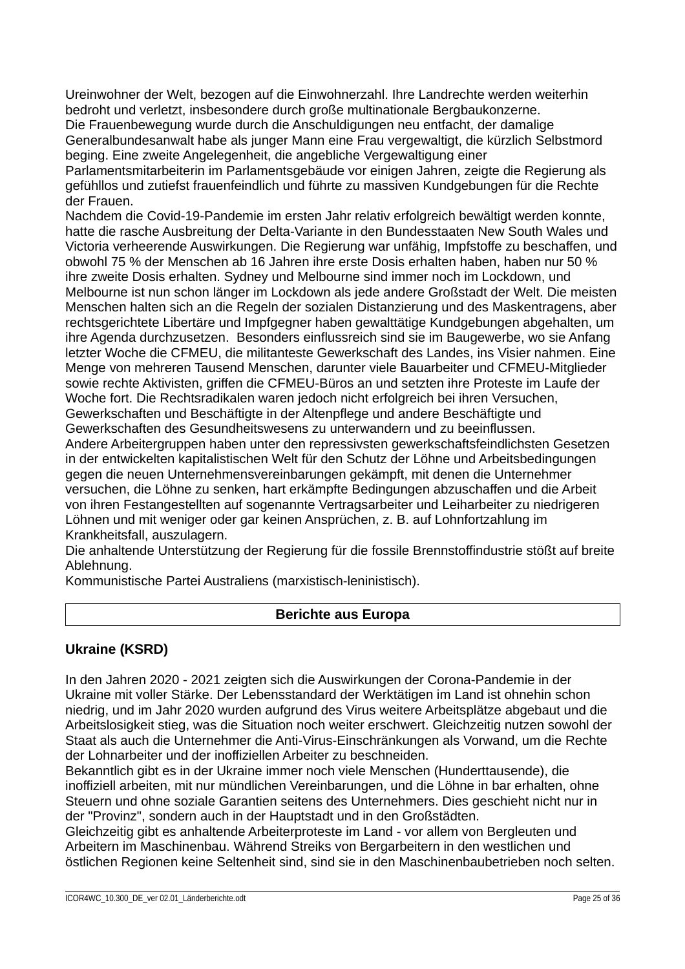Ureinwohner der Welt, bezogen auf die Einwohnerzahl. Ihre Landrechte werden weiterhin bedroht und verletzt, insbesondere durch große multinationale Bergbaukonzerne.

Die Frauenbewegung wurde durch die Anschuldigungen neu entfacht, der damalige Generalbundesanwalt habe als junger Mann eine Frau vergewaltigt, die kürzlich Selbstmord beging. Eine zweite Angelegenheit, die angebliche Vergewaltigung einer

Parlamentsmitarbeiterin im Parlamentsgebäude vor einigen Jahren, zeigte die Regierung als gefühllos und zutiefst frauenfeindlich und führte zu massiven Kundgebungen für die Rechte der Frauen.

Nachdem die Covid-19-Pandemie im ersten Jahr relativ erfolgreich bewältigt werden konnte, hatte die rasche Ausbreitung der Delta-Variante in den Bundesstaaten New South Wales und Victoria verheerende Auswirkungen. Die Regierung war unfähig, Impfstoffe zu beschaffen, und obwohl 75 % der Menschen ab 16 Jahren ihre erste Dosis erhalten haben, haben nur 50 % ihre zweite Dosis erhalten. Sydney und Melbourne sind immer noch im Lockdown, und Melbourne ist nun schon länger im Lockdown als jede andere Großstadt der Welt. Die meisten Menschen halten sich an die Regeln der sozialen Distanzierung und des Maskentragens, aber rechtsgerichtete Libertäre und Impfgegner haben gewalttätige Kundgebungen abgehalten, um ihre Agenda durchzusetzen. Besonders einflussreich sind sie im Baugewerbe, wo sie Anfang letzter Woche die CFMEU, die militanteste Gewerkschaft des Landes, ins Visier nahmen. Eine Menge von mehreren Tausend Menschen, darunter viele Bauarbeiter und CFMEU-Mitglieder sowie rechte Aktivisten, griffen die CFMEU-Büros an und setzten ihre Proteste im Laufe der Woche fort. Die Rechtsradikalen waren jedoch nicht erfolgreich bei ihren Versuchen, Gewerkschaften und Beschäftigte in der Altenpflege und andere Beschäftigte und Gewerkschaften des Gesundheitswesens zu unterwandern und zu beeinflussen.

Andere Arbeitergruppen haben unter den repressivsten gewerkschaftsfeindlichsten Gesetzen in der entwickelten kapitalistischen Welt für den Schutz der Löhne und Arbeitsbedingungen gegen die neuen Unternehmensvereinbarungen gekämpft, mit denen die Unternehmer versuchen, die Löhne zu senken, hart erkämpfte Bedingungen abzuschaffen und die Arbeit von ihren Festangestellten auf sogenannte Vertragsarbeiter und Leiharbeiter zu niedrigeren Löhnen und mit weniger oder gar keinen Ansprüchen, z. B. auf Lohnfortzahlung im Krankheitsfall, auszulagern.

Die anhaltende Unterstützung der Regierung für die fossile Brennstoffindustrie stößt auf breite Ablehnung.

Kommunistische Partei Australiens (marxistisch-leninistisch).

# **Berichte aus Europa**

# **Ukraine (KSRD)**

In den Jahren 2020 - 2021 zeigten sich die Auswirkungen der Corona-Pandemie in der Ukraine mit voller Stärke. Der Lebensstandard der Werktätigen im Land ist ohnehin schon niedrig, und im Jahr 2020 wurden aufgrund des Virus weitere Arbeitsplätze abgebaut und die Arbeitslosigkeit stieg, was die Situation noch weiter erschwert. Gleichzeitig nutzen sowohl der Staat als auch die Unternehmer die Anti-Virus-Einschränkungen als Vorwand, um die Rechte der Lohnarbeiter und der inoffiziellen Arbeiter zu beschneiden.

Bekanntlich gibt es in der Ukraine immer noch viele Menschen (Hunderttausende), die inoffiziell arbeiten, mit nur mündlichen Vereinbarungen, und die Löhne in bar erhalten, ohne Steuern und ohne soziale Garantien seitens des Unternehmers. Dies geschieht nicht nur in der "Provinz", sondern auch in der Hauptstadt und in den Großstädten.

Gleichzeitig gibt es anhaltende Arbeiterproteste im Land - vor allem von Bergleuten und Arbeitern im Maschinenbau. Während Streiks von Bergarbeitern in den westlichen und östlichen Regionen keine Seltenheit sind, sind sie in den Maschinenbaubetrieben noch selten.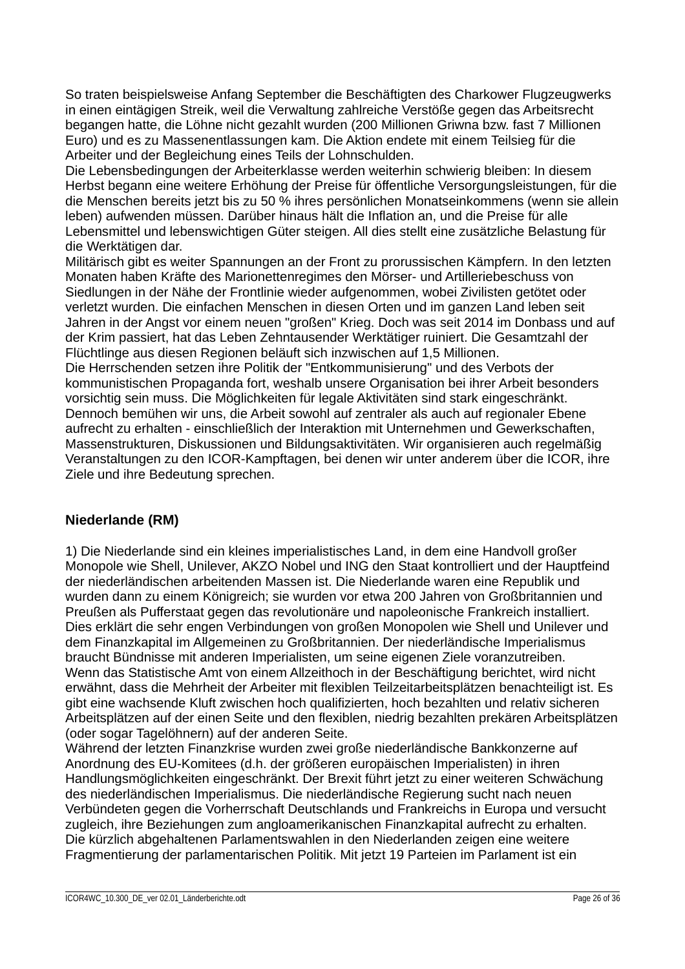So traten beispielsweise Anfang September die Beschäftigten des Charkower Flugzeugwerks in einen eintägigen Streik, weil die Verwaltung zahlreiche Verstöße gegen das Arbeitsrecht begangen hatte, die Löhne nicht gezahlt wurden (200 Millionen Griwna bzw. fast 7 Millionen Euro) und es zu Massenentlassungen kam. Die Aktion endete mit einem Teilsieg für die Arbeiter und der Begleichung eines Teils der Lohnschulden.

Die Lebensbedingungen der Arbeiterklasse werden weiterhin schwierig bleiben: In diesem Herbst begann eine weitere Erhöhung der Preise für öffentliche Versorgungsleistungen, für die die Menschen bereits jetzt bis zu 50 % ihres persönlichen Monatseinkommens (wenn sie allein leben) aufwenden müssen. Darüber hinaus hält die Inflation an, und die Preise für alle Lebensmittel und lebenswichtigen Güter steigen. All dies stellt eine zusätzliche Belastung für die Werktätigen dar.

Militärisch gibt es weiter Spannungen an der Front zu prorussischen Kämpfern. In den letzten Monaten haben Kräfte des Marionettenregimes den Mörser- und Artilleriebeschuss von Siedlungen in der Nähe der Frontlinie wieder aufgenommen, wobei Zivilisten getötet oder verletzt wurden. Die einfachen Menschen in diesen Orten und im ganzen Land leben seit Jahren in der Angst vor einem neuen "großen" Krieg. Doch was seit 2014 im Donbass und auf der Krim passiert, hat das Leben Zehntausender Werktätiger ruiniert. Die Gesamtzahl der Flüchtlinge aus diesen Regionen beläuft sich inzwischen auf 1,5 Millionen.

Die Herrschenden setzen ihre Politik der "Entkommunisierung" und des Verbots der kommunistischen Propaganda fort, weshalb unsere Organisation bei ihrer Arbeit besonders vorsichtig sein muss. Die Möglichkeiten für legale Aktivitäten sind stark eingeschränkt. Dennoch bemühen wir uns, die Arbeit sowohl auf zentraler als auch auf regionaler Ebene aufrecht zu erhalten - einschließlich der Interaktion mit Unternehmen und Gewerkschaften, Massenstrukturen, Diskussionen und Bildungsaktivitäten. Wir organisieren auch regelmäßig Veranstaltungen zu den ICOR-Kampftagen, bei denen wir unter anderem über die ICOR, ihre Ziele und ihre Bedeutung sprechen.

# **Niederlande (RM)**

1) Die Niederlande sind ein kleines imperialistisches Land, in dem eine Handvoll großer Monopole wie Shell, Unilever, AKZO Nobel und ING den Staat kontrolliert und der Hauptfeind der niederländischen arbeitenden Massen ist. Die Niederlande waren eine Republik und wurden dann zu einem Königreich; sie wurden vor etwa 200 Jahren von Großbritannien und Preußen als Pufferstaat gegen das revolutionäre und napoleonische Frankreich installiert. Dies erklärt die sehr engen Verbindungen von großen Monopolen wie Shell und Unilever und dem Finanzkapital im Allgemeinen zu Großbritannien. Der niederländische Imperialismus braucht Bündnisse mit anderen Imperialisten, um seine eigenen Ziele voranzutreiben. Wenn das Statistische Amt von einem Allzeithoch in der Beschäftigung berichtet, wird nicht erwähnt, dass die Mehrheit der Arbeiter mit flexiblen Teilzeitarbeitsplätzen benachteiligt ist. Es gibt eine wachsende Kluft zwischen hoch qualifizierten, hoch bezahlten und relativ sicheren Arbeitsplätzen auf der einen Seite und den flexiblen, niedrig bezahlten prekären Arbeitsplätzen (oder sogar Tagelöhnern) auf der anderen Seite.

Während der letzten Finanzkrise wurden zwei große niederländische Bankkonzerne auf Anordnung des EU-Komitees (d.h. der größeren europäischen Imperialisten) in ihren Handlungsmöglichkeiten eingeschränkt. Der Brexit führt jetzt zu einer weiteren Schwächung des niederländischen Imperialismus. Die niederländische Regierung sucht nach neuen Verbündeten gegen die Vorherrschaft Deutschlands und Frankreichs in Europa und versucht zugleich, ihre Beziehungen zum angloamerikanischen Finanzkapital aufrecht zu erhalten. Die kürzlich abgehaltenen Parlamentswahlen in den Niederlanden zeigen eine weitere Fragmentierung der parlamentarischen Politik. Mit jetzt 19 Parteien im Parlament ist ein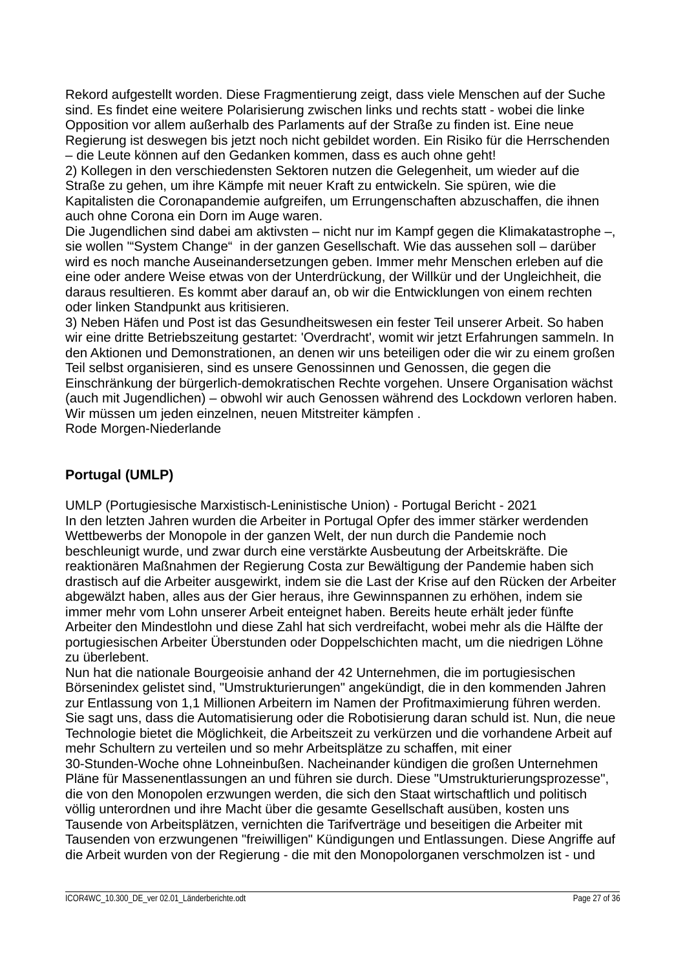Rekord aufgestellt worden. Diese Fragmentierung zeigt, dass viele Menschen auf der Suche sind. Es findet eine weitere Polarisierung zwischen links und rechts statt - wobei die linke Opposition vor allem außerhalb des Parlaments auf der Straße zu finden ist. Eine neue Regierung ist deswegen bis jetzt noch nicht gebildet worden. Ein Risiko für die Herrschenden – die Leute können auf den Gedanken kommen, dass es auch ohne geht!

2) Kollegen in den verschiedensten Sektoren nutzen die Gelegenheit, um wieder auf die Straße zu gehen, um ihre Kämpfe mit neuer Kraft zu entwickeln. Sie spüren, wie die Kapitalisten die Coronapandemie aufgreifen, um Errungenschaften abzuschaffen, die ihnen auch ohne Corona ein Dorn im Auge waren.

Die Jugendlichen sind dabei am aktivsten – nicht nur im Kampf gegen die Klimakatastrophe –, sie wollen '"System Change" in der ganzen Gesellschaft. Wie das aussehen soll – darüber wird es noch manche Auseinandersetzungen geben. Immer mehr Menschen erleben auf die eine oder andere Weise etwas von der Unterdrückung, der Willkür und der Ungleichheit, die daraus resultieren. Es kommt aber darauf an, ob wir die Entwicklungen von einem rechten oder linken Standpunkt aus kritisieren.

3) Neben Häfen und Post ist das Gesundheitswesen ein fester Teil unserer Arbeit. So haben wir eine dritte Betriebszeitung gestartet: 'Overdracht', womit wir jetzt Erfahrungen sammeln. In den Aktionen und Demonstrationen, an denen wir uns beteiligen oder die wir zu einem großen Teil selbst organisieren, sind es unsere Genossinnen und Genossen, die gegen die Einschränkung der bürgerlich-demokratischen Rechte vorgehen. Unsere Organisation wächst (auch mit Jugendlichen) – obwohl wir auch Genossen während des Lockdown verloren haben. Wir müssen um jeden einzelnen, neuen Mitstreiter kämpfen . Rode Morgen-Niederlande

# **Portugal (UMLP)**

UMLP (Portugiesische Marxistisch-Leninistische Union) - Portugal Bericht - 2021 In den letzten Jahren wurden die Arbeiter in Portugal Opfer des immer stärker werdenden Wettbewerbs der Monopole in der ganzen Welt, der nun durch die Pandemie noch beschleunigt wurde, und zwar durch eine verstärkte Ausbeutung der Arbeitskräfte. Die reaktionären Maßnahmen der Regierung Costa zur Bewältigung der Pandemie haben sich drastisch auf die Arbeiter ausgewirkt, indem sie die Last der Krise auf den Rücken der Arbeiter abgewälzt haben, alles aus der Gier heraus, ihre Gewinnspannen zu erhöhen, indem sie immer mehr vom Lohn unserer Arbeit enteignet haben. Bereits heute erhält jeder fünfte Arbeiter den Mindestlohn und diese Zahl hat sich verdreifacht, wobei mehr als die Hälfte der portugiesischen Arbeiter Überstunden oder Doppelschichten macht, um die niedrigen Löhne zu überlebent.

Nun hat die nationale Bourgeoisie anhand der 42 Unternehmen, die im portugiesischen Börsenindex gelistet sind, "Umstrukturierungen" angekündigt, die in den kommenden Jahren zur Entlassung von 1,1 Millionen Arbeitern im Namen der Profitmaximierung führen werden. Sie sagt uns, dass die Automatisierung oder die Robotisierung daran schuld ist. Nun, die neue Technologie bietet die Möglichkeit, die Arbeitszeit zu verkürzen und die vorhandene Arbeit auf mehr Schultern zu verteilen und so mehr Arbeitsplätze zu schaffen, mit einer 30-Stunden-Woche ohne Lohneinbußen. Nacheinander kündigen die großen Unternehmen Pläne für Massenentlassungen an und führen sie durch. Diese "Umstrukturierungsprozesse", die von den Monopolen erzwungen werden, die sich den Staat wirtschaftlich und politisch völlig unterordnen und ihre Macht über die gesamte Gesellschaft ausüben, kosten uns Tausende von Arbeitsplätzen, vernichten die Tarifverträge und beseitigen die Arbeiter mit Tausenden von erzwungenen "freiwilligen" Kündigungen und Entlassungen. Diese Angriffe auf die Arbeit wurden von der Regierung - die mit den Monopolorganen verschmolzen ist - und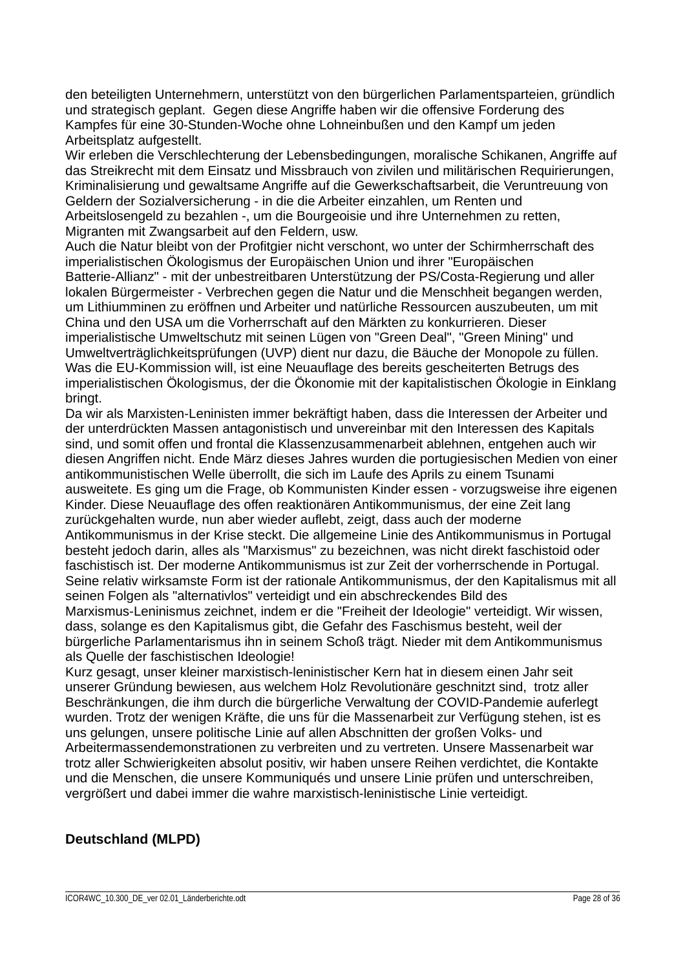den beteiligten Unternehmern, unterstützt von den bürgerlichen Parlamentsparteien, gründlich und strategisch geplant. Gegen diese Angriffe haben wir die offensive Forderung des Kampfes für eine 30-Stunden-Woche ohne Lohneinbußen und den Kampf um jeden Arbeitsplatz aufgestellt.

Wir erleben die Verschlechterung der Lebensbedingungen, moralische Schikanen, Angriffe auf das Streikrecht mit dem Einsatz und Missbrauch von zivilen und militärischen Requirierungen, Kriminalisierung und gewaltsame Angriffe auf die Gewerkschaftsarbeit, die Veruntreuung von Geldern der Sozialversicherung - in die die Arbeiter einzahlen, um Renten und Arbeitslosengeld zu bezahlen -, um die Bourgeoisie und ihre Unternehmen zu retten, Migranten mit Zwangsarbeit auf den Feldern, usw.

Auch die Natur bleibt von der Profitgier nicht verschont, wo unter der Schirmherrschaft des imperialistischen Ökologismus der Europäischen Union und ihrer "Europäischen Batterie-Allianz" - mit der unbestreitbaren Unterstützung der PS/Costa-Regierung und aller lokalen Bürgermeister - Verbrechen gegen die Natur und die Menschheit begangen werden, um Lithiumminen zu eröffnen und Arbeiter und natürliche Ressourcen auszubeuten, um mit China und den USA um die Vorherrschaft auf den Märkten zu konkurrieren. Dieser imperialistische Umweltschutz mit seinen Lügen von "Green Deal", "Green Mining" und Umweltverträglichkeitsprüfungen (UVP) dient nur dazu, die Bäuche der Monopole zu füllen. Was die EU-Kommission will, ist eine Neuauflage des bereits gescheiterten Betrugs des imperialistischen Ökologismus, der die Ökonomie mit der kapitalistischen Ökologie in Einklang bringt.

Da wir als Marxisten-Leninisten immer bekräftigt haben, dass die Interessen der Arbeiter und der unterdrückten Massen antagonistisch und unvereinbar mit den Interessen des Kapitals sind, und somit offen und frontal die Klassenzusammenarbeit ablehnen, entgehen auch wir diesen Angriffen nicht. Ende März dieses Jahres wurden die portugiesischen Medien von einer antikommunistischen Welle überrollt, die sich im Laufe des Aprils zu einem Tsunami ausweitete. Es ging um die Frage, ob Kommunisten Kinder essen - vorzugsweise ihre eigenen Kinder. Diese Neuauflage des offen reaktionären Antikommunismus, der eine Zeit lang zurückgehalten wurde, nun aber wieder auflebt, zeigt, dass auch der moderne Antikommunismus in der Krise steckt. Die allgemeine Linie des Antikommunismus in Portugal besteht jedoch darin, alles als "Marxismus" zu bezeichnen, was nicht direkt faschistoid oder faschistisch ist. Der moderne Antikommunismus ist zur Zeit der vorherrschende in Portugal. Seine relativ wirksamste Form ist der rationale Antikommunismus, der den Kapitalismus mit all seinen Folgen als "alternativlos" verteidigt und ein abschreckendes Bild des Marxismus-Leninismus zeichnet, indem er die "Freiheit der Ideologie" verteidigt. Wir wissen, dass, solange es den Kapitalismus gibt, die Gefahr des Faschismus besteht, weil der bürgerliche Parlamentarismus ihn in seinem Schoß trägt. Nieder mit dem Antikommunismus als Quelle der faschistischen Ideologie!

Kurz gesagt, unser kleiner marxistisch-leninistischer Kern hat in diesem einen Jahr seit unserer Gründung bewiesen, aus welchem Holz Revolutionäre geschnitzt sind, trotz aller Beschränkungen, die ihm durch die bürgerliche Verwaltung der COVID-Pandemie auferlegt wurden. Trotz der wenigen Kräfte, die uns für die Massenarbeit zur Verfügung stehen, ist es uns gelungen, unsere politische Linie auf allen Abschnitten der großen Volks- und Arbeitermassendemonstrationen zu verbreiten und zu vertreten. Unsere Massenarbeit war trotz aller Schwierigkeiten absolut positiv, wir haben unsere Reihen verdichtet, die Kontakte und die Menschen, die unsere Kommuniqués und unsere Linie prüfen und unterschreiben, vergrößert und dabei immer die wahre marxistisch-leninistische Linie verteidigt.

# **Deutschland (MLPD)**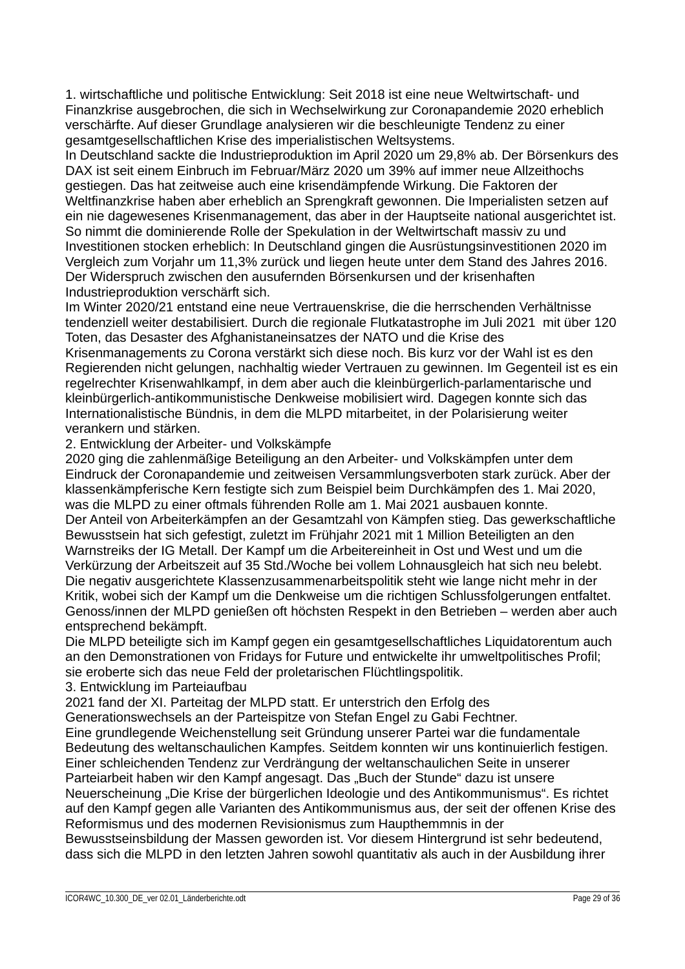1. wirtschaftliche und politische Entwicklung: Seit 2018 ist eine neue Weltwirtschaft- und Finanzkrise ausgebrochen, die sich in Wechselwirkung zur Coronapandemie 2020 erheblich verschärfte. Auf dieser Grundlage analysieren wir die beschleunigte Tendenz zu einer gesamtgesellschaftlichen Krise des imperialistischen Weltsystems.

In Deutschland sackte die Industrieproduktion im April 2020 um 29,8% ab. Der Börsenkurs des DAX ist seit einem Einbruch im Februar/März 2020 um 39% auf immer neue Allzeithochs gestiegen. Das hat zeitweise auch eine krisendämpfende Wirkung. Die Faktoren der Weltfinanzkrise haben aber erheblich an Sprengkraft gewonnen. Die Imperialisten setzen auf ein nie dagewesenes Krisenmanagement, das aber in der Hauptseite national ausgerichtet ist. So nimmt die dominierende Rolle der Spekulation in der Weltwirtschaft massiv zu und Investitionen stocken erheblich: In Deutschland gingen die Ausrüstungsinvestitionen 2020 im Vergleich zum Vorjahr um 11,3% zurück und liegen heute unter dem Stand des Jahres 2016. Der Widerspruch zwischen den ausufernden Börsenkursen und der krisenhaften Industrieproduktion verschärft sich.

Im Winter 2020/21 entstand eine neue Vertrauenskrise, die die herrschenden Verhältnisse tendenziell weiter destabilisiert. Durch die regionale Flutkatastrophe im Juli 2021 mit über 120 Toten, das Desaster des Afghanistaneinsatzes der NATO und die Krise des Krisenmanagements zu Corona verstärkt sich diese noch. Bis kurz vor der Wahl ist es den

Regierenden nicht gelungen, nachhaltig wieder Vertrauen zu gewinnen. Im Gegenteil ist es ein regelrechter Krisenwahlkampf, in dem aber auch die kleinbürgerlich-parlamentarische und kleinbürgerlich-antikommunistische Denkweise mobilisiert wird. Dagegen konnte sich das Internationalistische Bündnis, in dem die MLPD mitarbeitet, in der Polarisierung weiter verankern und stärken.

#### 2. Entwicklung der Arbeiter- und Volkskämpfe

2020 ging die zahlenmäßige Beteiligung an den Arbeiter- und Volkskämpfen unter dem Eindruck der Coronapandemie und zeitweisen Versammlungsverboten stark zurück. Aber der klassenkämpferische Kern festigte sich zum Beispiel beim Durchkämpfen des 1. Mai 2020, was die MLPD zu einer oftmals führenden Rolle am 1. Mai 2021 ausbauen konnte. Der Anteil von Arbeiterkämpfen an der Gesamtzahl von Kämpfen stieg. Das gewerkschaftliche Bewusstsein hat sich gefestigt, zuletzt im Frühjahr 2021 mit 1 Million Beteiligten an den Warnstreiks der IG Metall. Der Kampf um die Arbeitereinheit in Ost und West und um die Verkürzung der Arbeitszeit auf 35 Std./Woche bei vollem Lohnausgleich hat sich neu belebt. Die negativ ausgerichtete Klassenzusammenarbeitspolitik steht wie lange nicht mehr in der Kritik, wobei sich der Kampf um die Denkweise um die richtigen Schlussfolgerungen entfaltet. Genoss/innen der MLPD genießen oft höchsten Respekt in den Betrieben – werden aber auch entsprechend bekämpft.

Die MLPD beteiligte sich im Kampf gegen ein gesamtgesellschaftliches Liquidatorentum auch an den Demonstrationen von Fridays for Future und entwickelte ihr umweltpolitisches Profil; sie eroberte sich das neue Feld der proletarischen Flüchtlingspolitik.

## 3. Entwicklung im Parteiaufbau

2021 fand der XI. Parteitag der MLPD statt. Er unterstrich den Erfolg des

Generationswechsels an der Parteispitze von Stefan Engel zu Gabi Fechtner. Eine grundlegende Weichenstellung seit Gründung unserer Partei war die fundamentale Bedeutung des weltanschaulichen Kampfes. Seitdem konnten wir uns kontinuierlich festigen. Einer schleichenden Tendenz zur Verdrängung der weltanschaulichen Seite in unserer Parteiarbeit haben wir den Kampf angesagt. Das "Buch der Stunde" dazu ist unsere Neuerscheinung "Die Krise der bürgerlichen Ideologie und des Antikommunismus". Es richtet auf den Kampf gegen alle Varianten des Antikommunismus aus, der seit der offenen Krise des Reformismus und des modernen Revisionismus zum Haupthemmnis in der Bewusstseinsbildung der Massen geworden ist. Vor diesem Hintergrund ist sehr bedeutend,

dass sich die MLPD in den letzten Jahren sowohl quantitativ als auch in der Ausbildung ihrer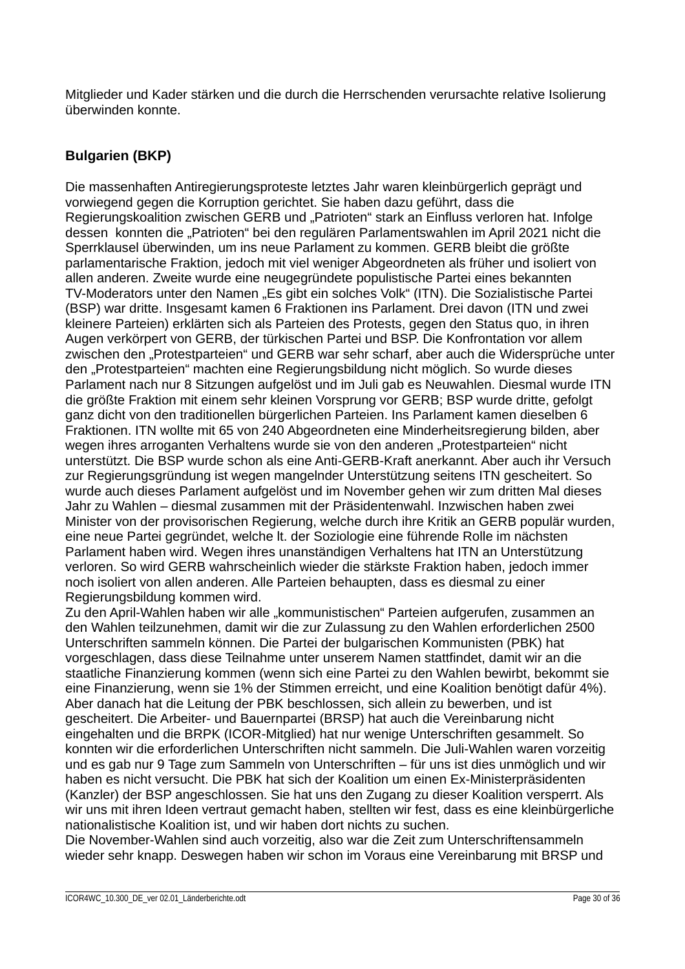Mitglieder und Kader stärken und die durch die Herrschenden verursachte relative Isolierung überwinden konnte.

# **Bulgarien (BKP)**

Die massenhaften Antiregierungsproteste letztes Jahr waren kleinbürgerlich geprägt und vorwiegend gegen die Korruption gerichtet. Sie haben dazu geführt, dass die Regierungskoalition zwischen GERB und "Patrioten" stark an Einfluss verloren hat. Infolge dessen konnten die "Patrioten" bei den regulären Parlamentswahlen im April 2021 nicht die Sperrklausel überwinden, um ins neue Parlament zu kommen. GERB bleibt die größte parlamentarische Fraktion, jedoch mit viel weniger Abgeordneten als früher und isoliert von allen anderen. Zweite wurde eine neugegründete populistische Partei eines bekannten TV-Moderators unter den Namen "Es gibt ein solches Volk" (ITN). Die Sozialistische Partei (BSP) war dritte. Insgesamt kamen 6 Fraktionen ins Parlament. Drei davon (ITN und zwei kleinere Parteien) erklärten sich als Parteien des Protests, gegen den Status quo, in ihren Augen verkörpert von GERB, der türkischen Partei und BSP. Die Konfrontation vor allem zwischen den "Protestparteien" und GERB war sehr scharf, aber auch die Widersprüche unter den "Protestparteien" machten eine Regierungsbildung nicht möglich. So wurde dieses Parlament nach nur 8 Sitzungen aufgelöst und im Juli gab es Neuwahlen. Diesmal wurde ITN die größte Fraktion mit einem sehr kleinen Vorsprung vor GERB; BSP wurde dritte, gefolgt ganz dicht von den traditionellen bürgerlichen Parteien. Ins Parlament kamen dieselben 6 Fraktionen. ITN wollte mit 65 von 240 Abgeordneten eine Minderheitsregierung bilden, aber wegen ihres arroganten Verhaltens wurde sie von den anderen "Protestparteien" nicht unterstützt. Die BSP wurde schon als eine Anti-GERB-Kraft anerkannt. Aber auch ihr Versuch zur Regierungsgründung ist wegen mangelnder Unterstützung seitens ITN gescheitert. So wurde auch dieses Parlament aufgelöst und im November gehen wir zum dritten Mal dieses Jahr zu Wahlen – diesmal zusammen mit der Präsidentenwahl. Inzwischen haben zwei Minister von der provisorischen Regierung, welche durch ihre Kritik an GERB populär wurden, eine neue Partei gegründet, welche lt. der Soziologie eine führende Rolle im nächsten Parlament haben wird. Wegen ihres unanständigen Verhaltens hat ITN an Unterstützung verloren. So wird GERB wahrscheinlich wieder die stärkste Fraktion haben, jedoch immer noch isoliert von allen anderen. Alle Parteien behaupten, dass es diesmal zu einer Regierungsbildung kommen wird.

Zu den April-Wahlen haben wir alle "kommunistischen" Parteien aufgerufen, zusammen an den Wahlen teilzunehmen, damit wir die zur Zulassung zu den Wahlen erforderlichen 2500 Unterschriften sammeln können. Die Partei der bulgarischen Kommunisten (PBK) hat vorgeschlagen, dass diese Teilnahme unter unserem Namen stattfindet, damit wir an die staatliche Finanzierung kommen (wenn sich eine Partei zu den Wahlen bewirbt, bekommt sie eine Finanzierung, wenn sie 1% der Stimmen erreicht, und eine Koalition benötigt dafür 4%). Aber danach hat die Leitung der PBK beschlossen, sich allein zu bewerben, und ist gescheitert. Die Arbeiter- und Bauernpartei (BRSP) hat auch die Vereinbarung nicht eingehalten und die BRPK (ICOR-Mitglied) hat nur wenige Unterschriften gesammelt. So konnten wir die erforderlichen Unterschriften nicht sammeln. Die Juli-Wahlen waren vorzeitig und es gab nur 9 Tage zum Sammeln von Unterschriften – für uns ist dies unmöglich und wir haben es nicht versucht. Die PBK hat sich der Koalition um einen Ex-Ministerpräsidenten (Kanzler) der BSP angeschlossen. Sie hat uns den Zugang zu dieser Koalition versperrt. Als wir uns mit ihren Ideen vertraut gemacht haben, stellten wir fest, dass es eine kleinbürgerliche nationalistische Koalition ist, und wir haben dort nichts zu suchen.

Die November-Wahlen sind auch vorzeitig, also war die Zeit zum Unterschriftensammeln wieder sehr knapp. Deswegen haben wir schon im Voraus eine Vereinbarung mit BRSP und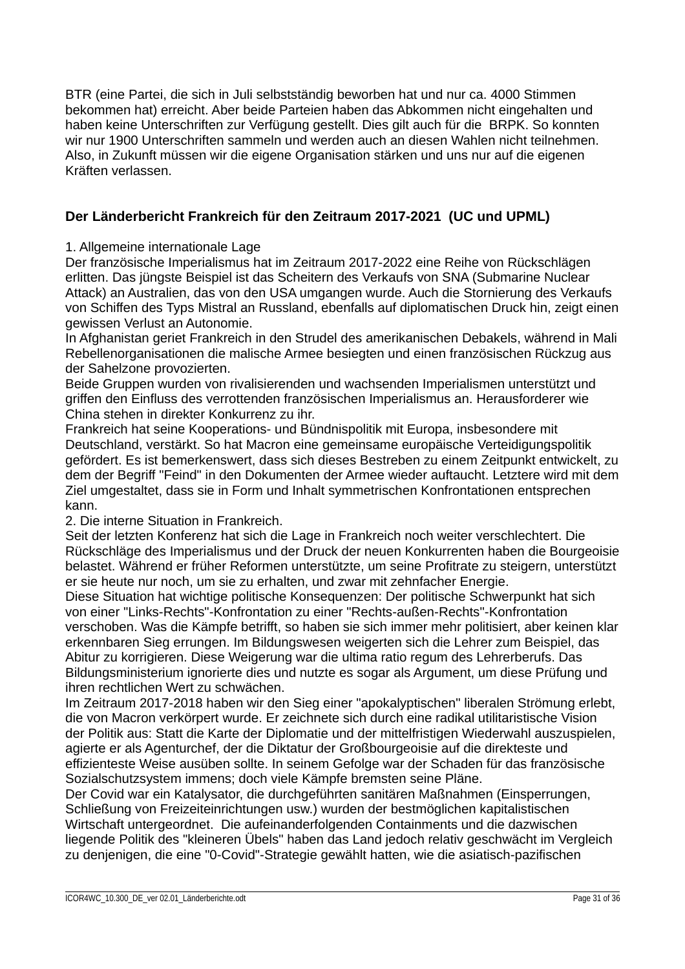BTR (eine Partei, die sich in Juli selbstständig beworben hat und nur ca. 4000 Stimmen bekommen hat) erreicht. Aber beide Parteien haben das Abkommen nicht eingehalten und haben keine Unterschriften zur Verfügung gestellt. Dies gilt auch für die BRPK. So konnten wir nur 1900 Unterschriften sammeln und werden auch an diesen Wahlen nicht teilnehmen. Also, in Zukunft müssen wir die eigene Organisation stärken und uns nur auf die eigenen Kräften verlassen.

# **Der Länderbericht Frankreich für den Zeitraum 2017-2021 (UC und UPML)**

## 1. Allgemeine internationale Lage

Der französische Imperialismus hat im Zeitraum 2017-2022 eine Reihe von Rückschlägen erlitten. Das jüngste Beispiel ist das Scheitern des Verkaufs von SNA (Submarine Nuclear Attack) an Australien, das von den USA umgangen wurde. Auch die Stornierung des Verkaufs von Schiffen des Typs Mistral an Russland, ebenfalls auf diplomatischen Druck hin, zeigt einen gewissen Verlust an Autonomie.

In Afghanistan geriet Frankreich in den Strudel des amerikanischen Debakels, während in Mali Rebellenorganisationen die malische Armee besiegten und einen französischen Rückzug aus der Sahelzone provozierten.

Beide Gruppen wurden von rivalisierenden und wachsenden Imperialismen unterstützt und griffen den Einfluss des verrottenden französischen Imperialismus an. Herausforderer wie China stehen in direkter Konkurrenz zu ihr.

Frankreich hat seine Kooperations- und Bündnispolitik mit Europa, insbesondere mit Deutschland, verstärkt. So hat Macron eine gemeinsame europäische Verteidigungspolitik gefördert. Es ist bemerkenswert, dass sich dieses Bestreben zu einem Zeitpunkt entwickelt, zu dem der Begriff "Feind" in den Dokumenten der Armee wieder auftaucht. Letztere wird mit dem Ziel umgestaltet, dass sie in Form und Inhalt symmetrischen Konfrontationen entsprechen kann.

2. Die interne Situation in Frankreich.

Seit der letzten Konferenz hat sich die Lage in Frankreich noch weiter verschlechtert. Die Rückschläge des Imperialismus und der Druck der neuen Konkurrenten haben die Bourgeoisie belastet. Während er früher Reformen unterstützte, um seine Profitrate zu steigern, unterstützt er sie heute nur noch, um sie zu erhalten, und zwar mit zehnfacher Energie.

Diese Situation hat wichtige politische Konsequenzen: Der politische Schwerpunkt hat sich von einer "Links-Rechts"-Konfrontation zu einer "Rechts-außen-Rechts"-Konfrontation verschoben. Was die Kämpfe betrifft, so haben sie sich immer mehr politisiert, aber keinen klar erkennbaren Sieg errungen. Im Bildungswesen weigerten sich die Lehrer zum Beispiel, das Abitur zu korrigieren. Diese Weigerung war die ultima ratio regum des Lehrerberufs. Das Bildungsministerium ignorierte dies und nutzte es sogar als Argument, um diese Prüfung und ihren rechtlichen Wert zu schwächen.

Im Zeitraum 2017-2018 haben wir den Sieg einer "apokalyptischen" liberalen Strömung erlebt, die von Macron verkörpert wurde. Er zeichnete sich durch eine radikal utilitaristische Vision der Politik aus: Statt die Karte der Diplomatie und der mittelfristigen Wiederwahl auszuspielen, agierte er als Agenturchef, der die Diktatur der Großbourgeoisie auf die direkteste und effizienteste Weise ausüben sollte. In seinem Gefolge war der Schaden für das französische Sozialschutzsystem immens; doch viele Kämpfe bremsten seine Pläne.

Der Covid war ein Katalysator, die durchgeführten sanitären Maßnahmen (Einsperrungen, Schließung von Freizeiteinrichtungen usw.) wurden der bestmöglichen kapitalistischen Wirtschaft untergeordnet. Die aufeinanderfolgenden Containments und die dazwischen liegende Politik des "kleineren Übels" haben das Land jedoch relativ geschwächt im Vergleich zu denjenigen, die eine "0-Covid"-Strategie gewählt hatten, wie die asiatisch-pazifischen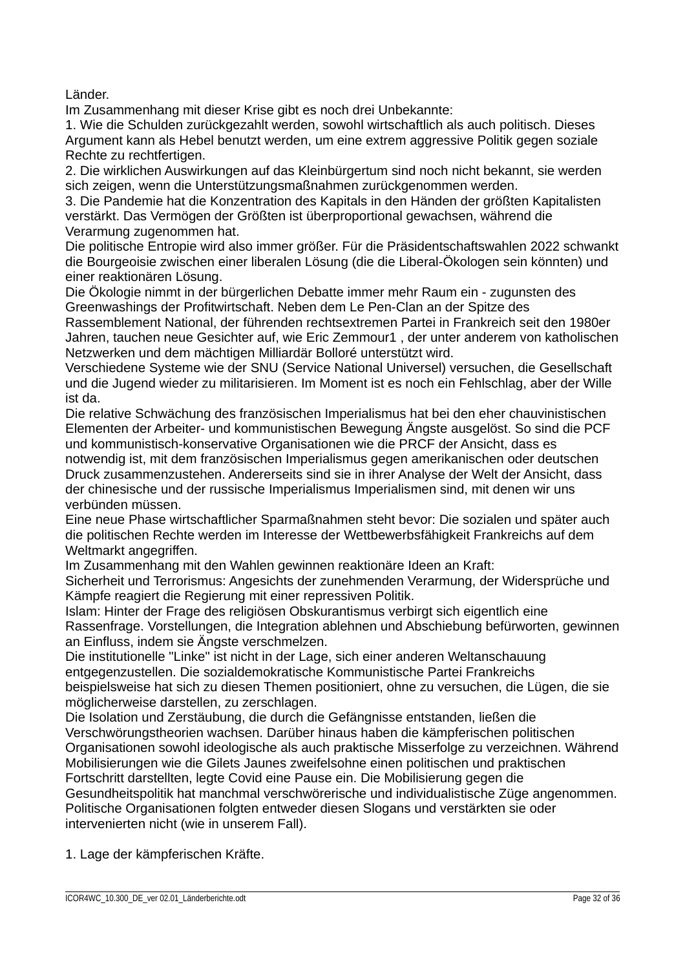Länder.

Im Zusammenhang mit dieser Krise gibt es noch drei Unbekannte:

1. Wie die Schulden zurückgezahlt werden, sowohl wirtschaftlich als auch politisch. Dieses Argument kann als Hebel benutzt werden, um eine extrem aggressive Politik gegen soziale Rechte zu rechtfertigen.

2. Die wirklichen Auswirkungen auf das Kleinbürgertum sind noch nicht bekannt, sie werden sich zeigen, wenn die Unterstützungsmaßnahmen zurückgenommen werden.

3. Die Pandemie hat die Konzentration des Kapitals in den Händen der größten Kapitalisten verstärkt. Das Vermögen der Größten ist überproportional gewachsen, während die Verarmung zugenommen hat.

Die politische Entropie wird also immer größer. Für die Präsidentschaftswahlen 2022 schwankt die Bourgeoisie zwischen einer liberalen Lösung (die die Liberal-Ökologen sein könnten) und einer reaktionären Lösung.

Die Ökologie nimmt in der bürgerlichen Debatte immer mehr Raum ein - zugunsten des Greenwashings der Profitwirtschaft. Neben dem Le Pen-Clan an der Spitze des

Rassemblement National, der führenden rechtsextremen Partei in Frankreich seit den 1980er Jahren, tauchen neue Gesichter auf, wie Eric Zemmour1 , der unter anderem von katholischen Netzwerken und dem mächtigen Milliardär Bolloré unterstützt wird.

Verschiedene Systeme wie der SNU (Service National Universel) versuchen, die Gesellschaft und die Jugend wieder zu militarisieren. Im Moment ist es noch ein Fehlschlag, aber der Wille ist da.

Die relative Schwächung des französischen Imperialismus hat bei den eher chauvinistischen Elementen der Arbeiter- und kommunistischen Bewegung Ängste ausgelöst. So sind die PCF und kommunistisch-konservative Organisationen wie die PRCF der Ansicht, dass es

notwendig ist, mit dem französischen Imperialismus gegen amerikanischen oder deutschen Druck zusammenzustehen. Andererseits sind sie in ihrer Analyse der Welt der Ansicht, dass der chinesische und der russische Imperialismus Imperialismen sind, mit denen wir uns verbünden müssen.

Eine neue Phase wirtschaftlicher Sparmaßnahmen steht bevor: Die sozialen und später auch die politischen Rechte werden im Interesse der Wettbewerbsfähigkeit Frankreichs auf dem Weltmarkt angegriffen.

Im Zusammenhang mit den Wahlen gewinnen reaktionäre Ideen an Kraft:

Sicherheit und Terrorismus: Angesichts der zunehmenden Verarmung, der Widersprüche und Kämpfe reagiert die Regierung mit einer repressiven Politik.

Islam: Hinter der Frage des religiösen Obskurantismus verbirgt sich eigentlich eine Rassenfrage. Vorstellungen, die Integration ablehnen und Abschiebung befürworten, gewinnen an Einfluss, indem sie Ängste verschmelzen.

Die institutionelle "Linke" ist nicht in der Lage, sich einer anderen Weltanschauung entgegenzustellen. Die sozialdemokratische Kommunistische Partei Frankreichs beispielsweise hat sich zu diesen Themen positioniert, ohne zu versuchen, die Lügen, die sie möglicherweise darstellen, zu zerschlagen.

Die Isolation und Zerstäubung, die durch die Gefängnisse entstanden, ließen die Verschwörungstheorien wachsen. Darüber hinaus haben die kämpferischen politischen Organisationen sowohl ideologische als auch praktische Misserfolge zu verzeichnen. Während Mobilisierungen wie die Gilets Jaunes zweifelsohne einen politischen und praktischen Fortschritt darstellten, legte Covid eine Pause ein. Die Mobilisierung gegen die

Gesundheitspolitik hat manchmal verschwörerische und individualistische Züge angenommen. Politische Organisationen folgten entweder diesen Slogans und verstärkten sie oder intervenierten nicht (wie in unserem Fall).

# 1. Lage der kämpferischen Kräfte.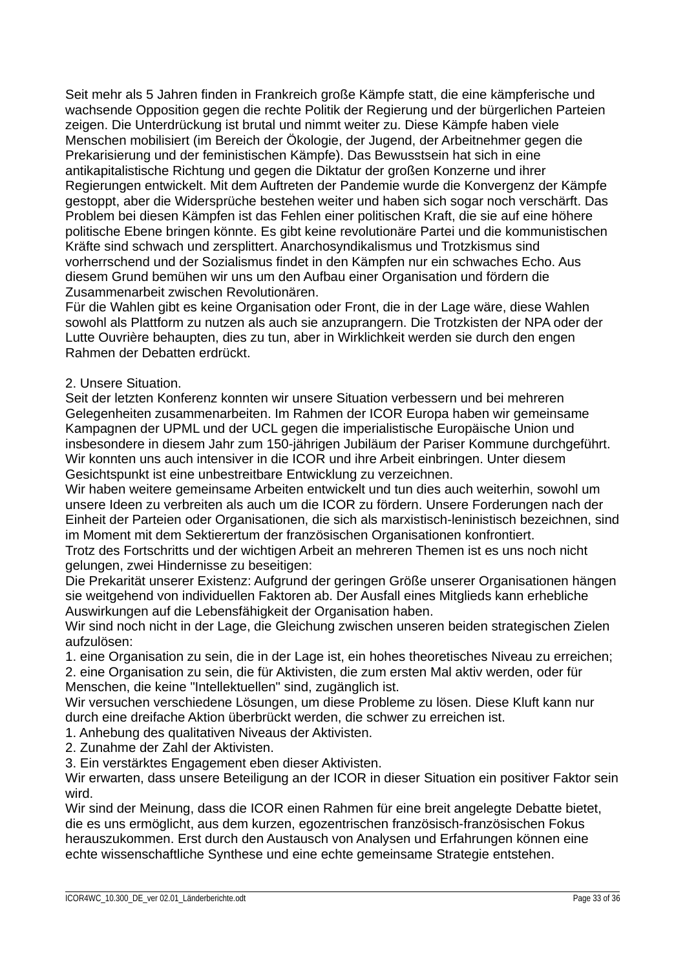Seit mehr als 5 Jahren finden in Frankreich große Kämpfe statt, die eine kämpferische und wachsende Opposition gegen die rechte Politik der Regierung und der bürgerlichen Parteien zeigen. Die Unterdrückung ist brutal und nimmt weiter zu. Diese Kämpfe haben viele Menschen mobilisiert (im Bereich der Ökologie, der Jugend, der Arbeitnehmer gegen die Prekarisierung und der feministischen Kämpfe). Das Bewusstsein hat sich in eine antikapitalistische Richtung und gegen die Diktatur der großen Konzerne und ihrer Regierungen entwickelt. Mit dem Auftreten der Pandemie wurde die Konvergenz der Kämpfe gestoppt, aber die Widersprüche bestehen weiter und haben sich sogar noch verschärft. Das Problem bei diesen Kämpfen ist das Fehlen einer politischen Kraft, die sie auf eine höhere politische Ebene bringen könnte. Es gibt keine revolutionäre Partei und die kommunistischen Kräfte sind schwach und zersplittert. Anarchosyndikalismus und Trotzkismus sind vorherrschend und der Sozialismus findet in den Kämpfen nur ein schwaches Echo. Aus diesem Grund bemühen wir uns um den Aufbau einer Organisation und fördern die Zusammenarbeit zwischen Revolutionären.

Für die Wahlen gibt es keine Organisation oder Front, die in der Lage wäre, diese Wahlen sowohl als Plattform zu nutzen als auch sie anzuprangern. Die Trotzkisten der NPA oder der Lutte Ouvrière behaupten, dies zu tun, aber in Wirklichkeit werden sie durch den engen Rahmen der Debatten erdrückt.

## 2. Unsere Situation.

Seit der letzten Konferenz konnten wir unsere Situation verbessern und bei mehreren Gelegenheiten zusammenarbeiten. Im Rahmen der ICOR Europa haben wir gemeinsame Kampagnen der UPML und der UCL gegen die imperialistische Europäische Union und insbesondere in diesem Jahr zum 150-jährigen Jubiläum der Pariser Kommune durchgeführt. Wir konnten uns auch intensiver in die ICOR und ihre Arbeit einbringen. Unter diesem Gesichtspunkt ist eine unbestreitbare Entwicklung zu verzeichnen.

Wir haben weitere gemeinsame Arbeiten entwickelt und tun dies auch weiterhin, sowohl um unsere Ideen zu verbreiten als auch um die ICOR zu fördern. Unsere Forderungen nach der Einheit der Parteien oder Organisationen, die sich als marxistisch-leninistisch bezeichnen, sind im Moment mit dem Sektierertum der französischen Organisationen konfrontiert.

Trotz des Fortschritts und der wichtigen Arbeit an mehreren Themen ist es uns noch nicht gelungen, zwei Hindernisse zu beseitigen:

Die Prekarität unserer Existenz: Aufgrund der geringen Größe unserer Organisationen hängen sie weitgehend von individuellen Faktoren ab. Der Ausfall eines Mitglieds kann erhebliche Auswirkungen auf die Lebensfähigkeit der Organisation haben.

Wir sind noch nicht in der Lage, die Gleichung zwischen unseren beiden strategischen Zielen aufzulösen:

1. eine Organisation zu sein, die in der Lage ist, ein hohes theoretisches Niveau zu erreichen;

2. eine Organisation zu sein, die für Aktivisten, die zum ersten Mal aktiv werden, oder für Menschen, die keine "Intellektuellen" sind, zugänglich ist.

Wir versuchen verschiedene Lösungen, um diese Probleme zu lösen. Diese Kluft kann nur durch eine dreifache Aktion überbrückt werden, die schwer zu erreichen ist.

1. Anhebung des qualitativen Niveaus der Aktivisten.

2. Zunahme der Zahl der Aktivisten.

3. Ein verstärktes Engagement eben dieser Aktivisten.

Wir erwarten, dass unsere Beteiligung an der ICOR in dieser Situation ein positiver Faktor sein wird.

Wir sind der Meinung, dass die ICOR einen Rahmen für eine breit angelegte Debatte bietet, die es uns ermöglicht, aus dem kurzen, egozentrischen französisch-französischen Fokus herauszukommen. Erst durch den Austausch von Analysen und Erfahrungen können eine echte wissenschaftliche Synthese und eine echte gemeinsame Strategie entstehen.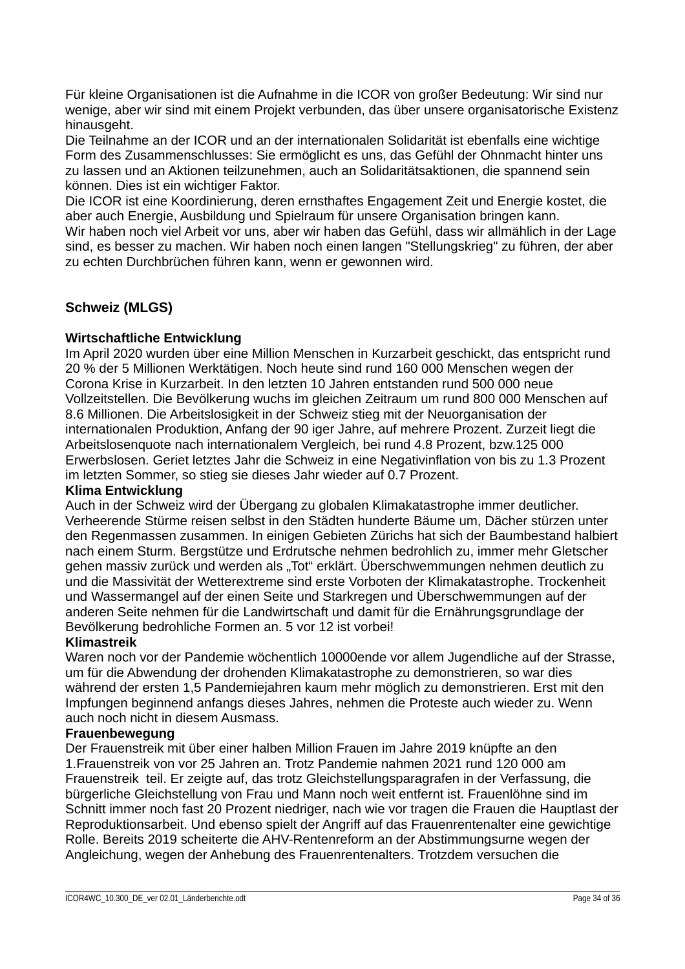Für kleine Organisationen ist die Aufnahme in die ICOR von großer Bedeutung: Wir sind nur wenige, aber wir sind mit einem Projekt verbunden, das über unsere organisatorische Existenz hinausgeht.

Die Teilnahme an der ICOR und an der internationalen Solidarität ist ebenfalls eine wichtige Form des Zusammenschlusses: Sie ermöglicht es uns, das Gefühl der Ohnmacht hinter uns zu lassen und an Aktionen teilzunehmen, auch an Solidaritätsaktionen, die spannend sein können. Dies ist ein wichtiger Faktor.

Die ICOR ist eine Koordinierung, deren ernsthaftes Engagement Zeit und Energie kostet, die aber auch Energie, Ausbildung und Spielraum für unsere Organisation bringen kann. Wir haben noch viel Arbeit vor uns, aber wir haben das Gefühl, dass wir allmählich in der Lage sind, es besser zu machen. Wir haben noch einen langen "Stellungskrieg" zu führen, der aber zu echten Durchbrüchen führen kann, wenn er gewonnen wird.

# **Schweiz (MLGS)**

## **Wirtschaftliche Entwicklung**

Im April 2020 wurden über eine Million Menschen in Kurzarbeit geschickt, das entspricht rund 20 % der 5 Millionen Werktätigen. Noch heute sind rund 160 000 Menschen wegen der Corona Krise in Kurzarbeit. In den letzten 10 Jahren entstanden rund 500 000 neue Vollzeitstellen. Die Bevölkerung wuchs im gleichen Zeitraum um rund 800 000 Menschen auf 8.6 Millionen. Die Arbeitslosigkeit in der Schweiz stieg mit der Neuorganisation der internationalen Produktion, Anfang der 90 iger Jahre, auf mehrere Prozent. Zurzeit liegt die Arbeitslosenquote nach internationalem Vergleich, bei rund 4.8 Prozent, bzw.125 000 Erwerbslosen. Geriet letztes Jahr die Schweiz in eine Negativinflation von bis zu 1.3 Prozent im letzten Sommer, so stieg sie dieses Jahr wieder auf 0.7 Prozent.

## **Klima Entwicklung**

Auch in der Schweiz wird der Übergang zu globalen Klimakatastrophe immer deutlicher. Verheerende Stürme reisen selbst in den Städten hunderte Bäume um, Dächer stürzen unter den Regenmassen zusammen. In einigen Gebieten Zürichs hat sich der Baumbestand halbiert nach einem Sturm. Bergstütze und Erdrutsche nehmen bedrohlich zu, immer mehr Gletscher gehen massiv zurück und werden als "Tot" erklärt. Überschwemmungen nehmen deutlich zu und die Massivität der Wetterextreme sind erste Vorboten der Klimakatastrophe. Trockenheit und Wassermangel auf der einen Seite und Starkregen und Überschwemmungen auf der anderen Seite nehmen für die Landwirtschaft und damit für die Ernährungsgrundlage der Bevölkerung bedrohliche Formen an. 5 vor 12 ist vorbei!

## **Klimastreik**

Waren noch vor der Pandemie wöchentlich 10000ende vor allem Jugendliche auf der Strasse, um für die Abwendung der drohenden Klimakatastrophe zu demonstrieren, so war dies während der ersten 1,5 Pandemiejahren kaum mehr möglich zu demonstrieren. Erst mit den Impfungen beginnend anfangs dieses Jahres, nehmen die Proteste auch wieder zu. Wenn auch noch nicht in diesem Ausmass.

## **Frauenbewegung**

Der Frauenstreik mit über einer halben Million Frauen im Jahre 2019 knüpfte an den 1.Frauenstreik von vor 25 Jahren an. Trotz Pandemie nahmen 2021 rund 120 000 am Frauenstreik teil. Er zeigte auf, das trotz Gleichstellungsparagrafen in der Verfassung, die bürgerliche Gleichstellung von Frau und Mann noch weit entfernt ist. Frauenlöhne sind im Schnitt immer noch fast 20 Prozent niedriger, nach wie vor tragen die Frauen die Hauptlast der Reproduktionsarbeit. Und ebenso spielt der Angriff auf das Frauenrentenalter eine gewichtige Rolle. Bereits 2019 scheiterte die AHV-Rentenreform an der Abstimmungsurne wegen der Angleichung, wegen der Anhebung des Frauenrentenalters. Trotzdem versuchen die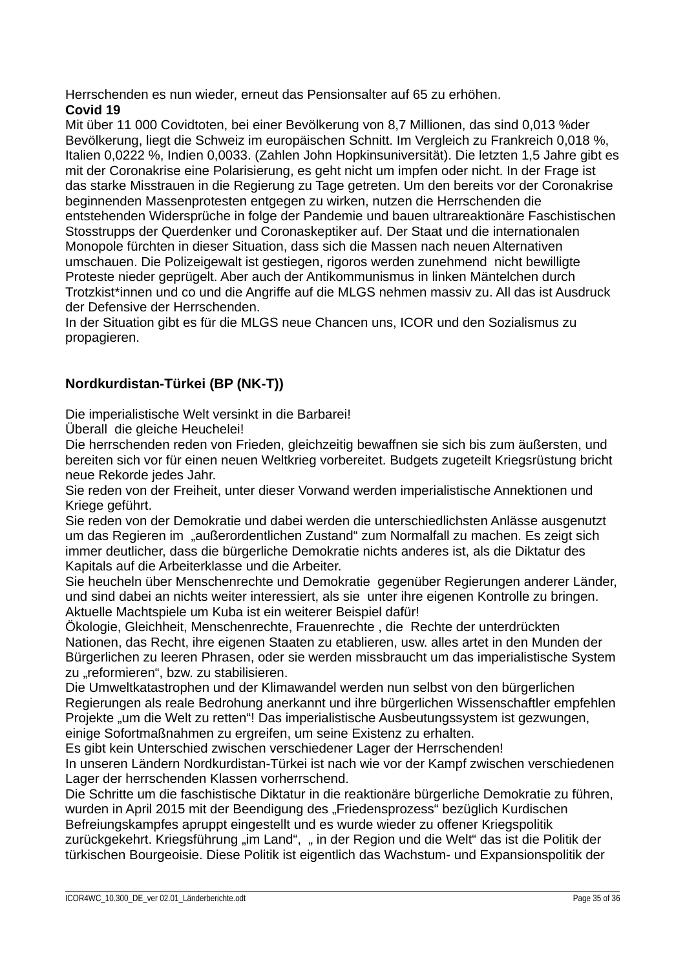Herrschenden es nun wieder, erneut das Pensionsalter auf 65 zu erhöhen.

# **Covid 19**

Mit über 11 000 Covidtoten, bei einer Bevölkerung von 8,7 Millionen, das sind 0,013 %der Bevölkerung, liegt die Schweiz im europäischen Schnitt. Im Vergleich zu Frankreich 0,018 %, Italien 0,0222 %, Indien 0,0033. (Zahlen John Hopkinsuniversität). Die letzten 1,5 Jahre gibt es mit der Coronakrise eine Polarisierung, es geht nicht um impfen oder nicht. In der Frage ist das starke Misstrauen in die Regierung zu Tage getreten. Um den bereits vor der Coronakrise beginnenden Massenprotesten entgegen zu wirken, nutzen die Herrschenden die entstehenden Widersprüche in folge der Pandemie und bauen ultrareaktionäre Faschistischen Stosstrupps der Querdenker und Coronaskeptiker auf. Der Staat und die internationalen Monopole fürchten in dieser Situation, dass sich die Massen nach neuen Alternativen umschauen. Die Polizeigewalt ist gestiegen, rigoros werden zunehmend nicht bewilligte Proteste nieder geprügelt. Aber auch der Antikommunismus in linken Mäntelchen durch Trotzkist\*innen und co und die Angriffe auf die MLGS nehmen massiv zu. All das ist Ausdruck der Defensive der Herrschenden.

In der Situation gibt es für die MLGS neue Chancen uns, ICOR und den Sozialismus zu propagieren.

# **Nordkurdistan-Türkei (BP (NK-T))**

Die imperialistische Welt versinkt in die Barbarei!

Überall die gleiche Heuchelei!

Die herrschenden reden von Frieden, gleichzeitig bewaffnen sie sich bis zum äußersten, und bereiten sich vor für einen neuen Weltkrieg vorbereitet. Budgets zugeteilt Kriegsrüstung bricht neue Rekorde jedes Jahr.

Sie reden von der Freiheit, unter dieser Vorwand werden imperialistische Annektionen und Kriege geführt.

Sie reden von der Demokratie und dabei werden die unterschiedlichsten Anlässe ausgenutzt um das Regieren im "außerordentlichen Zustand" zum Normalfall zu machen. Es zeigt sich immer deutlicher, dass die bürgerliche Demokratie nichts anderes ist, als die Diktatur des Kapitals auf die Arbeiterklasse und die Arbeiter.

Sie heucheln über Menschenrechte und Demokratie gegenüber Regierungen anderer Länder, und sind dabei an nichts weiter interessiert, als sie unter ihre eigenen Kontrolle zu bringen. Aktuelle Machtspiele um Kuba ist ein weiterer Beispiel dafür!

Ökologie, Gleichheit, Menschenrechte, Frauenrechte , die Rechte der unterdrückten Nationen, das Recht, ihre eigenen Staaten zu etablieren, usw. alles artet in den Munden der Bürgerlichen zu leeren Phrasen, oder sie werden missbraucht um das imperialistische System zu "reformieren", bzw. zu stabilisieren.

Die Umweltkatastrophen und der Klimawandel werden nun selbst von den bürgerlichen Regierungen als reale Bedrohung anerkannt und ihre bürgerlichen Wissenschaftler empfehlen Projekte "um die Welt zu retten"! Das imperialistische Ausbeutungssystem ist gezwungen, einige Sofortmaßnahmen zu ergreifen, um seine Existenz zu erhalten.

Es gibt kein Unterschied zwischen verschiedener Lager der Herrschenden! In unseren Ländern Nordkurdistan-Türkei ist nach wie vor der Kampf zwischen verschiedenen Lager der herrschenden Klassen vorherrschend.

Die Schritte um die faschistische Diktatur in die reaktionäre bürgerliche Demokratie zu führen, wurden in April 2015 mit der Beendigung des "Friedensprozess" bezüglich Kurdischen Befreiungskampfes apruppt eingestellt und es wurde wieder zu offener Kriegspolitik zurückgekehrt. Kriegsführung "im Land", " in der Region und die Welt" das ist die Politik der türkischen Bourgeoisie. Diese Politik ist eigentlich das Wachstum- und Expansionspolitik der